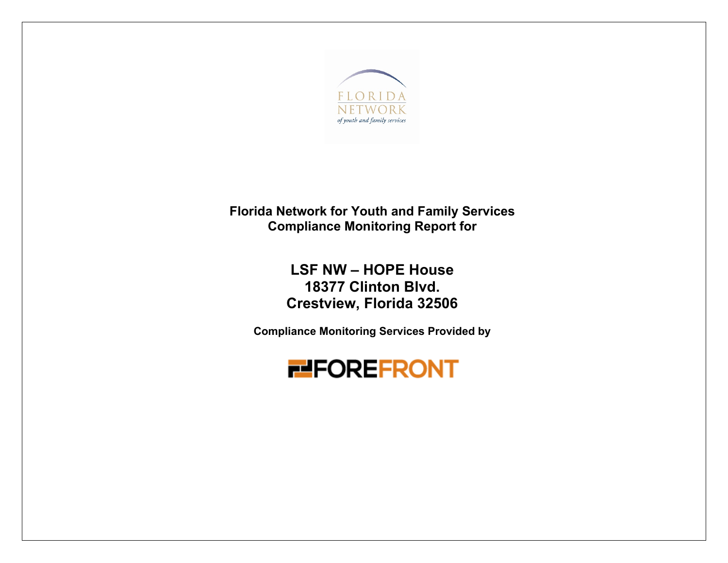

**Florida Network for Youth and Family Services Compliance Monitoring Report for**

> **LSF NW – HOPE House 18377 Clinton Blvd. Crestview, Florida 32506**

**Compliance Monitoring Services Provided by** 

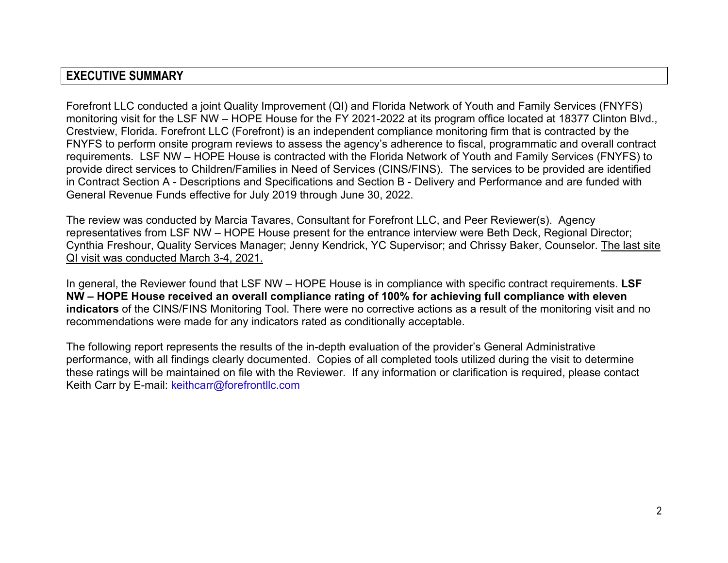## **EXECUTIVE SUMMARY**

Forefront LLC conducted a joint Quality Improvement (QI) and Florida Network of Youth and Family Services (FNYFS) monitoring visit for the LSF NW – HOPE House for the FY 2021-2022 at its program office located at 18377 Clinton Blvd., Crestview, Florida. Forefront LLC (Forefront) is an independent compliance monitoring firm that is contracted by the FNYFS to perform onsite program reviews to assess the agency's adherence to fiscal, programmatic and overall contract requirements. LSF NW – HOPE House is contracted with the Florida Network of Youth and Family Services (FNYFS) to provide direct services to Children/Families in Need of Services (CINS/FINS). The services to be provided are identified in Contract Section A - Descriptions and Specifications and Section B - Delivery and Performance and are funded with General Revenue Funds effective for July 2019 through June 30, 2022.

The review was conducted by Marcia Tavares, Consultant for Forefront LLC, and Peer Reviewer(s). Agency representatives from LSF NW – HOPE House present for the entrance interview were Beth Deck, Regional Director; Cynthia Freshour, Quality Services Manager; Jenny Kendrick, YC Supervisor; and Chrissy Baker, Counselor. The last site QI visit was conducted March 3-4, 2021.

In general, the Reviewer found that LSF NW – HOPE House is in compliance with specific contract requirements. **LSF NW – HOPE House received an overall compliance rating of 100% for achieving full compliance with eleven indicators** of the CINS/FINS Monitoring Tool. There were no corrective actions as a result of the monitoring visit and no recommendations were made for any indicators rated as conditionally acceptable.

The following report represents the results of the in-depth evaluation of the provider's General Administrative performance, with all findings clearly documented. Copies of all completed tools utilized during the visit to determine these ratings will be maintained on file with the Reviewer. If any information or clarification is required, please contact Keith Carr by E-mail: keithcarr@forefrontllc.com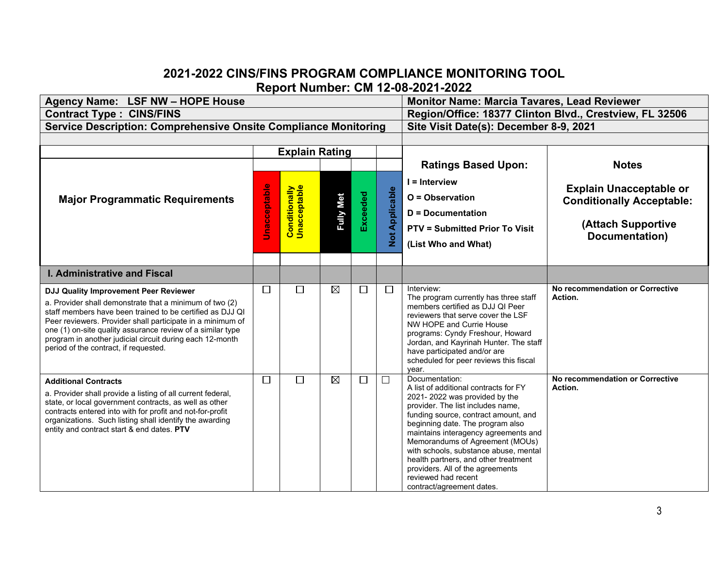## **2021-2022 CINS/FINS PROGRAM COMPLIANCE MONITORING TOOL Report Number: CM 12-08-2021-2022**

| Agency Name: LSF NW - HOPE House                                                                                                                                                                                                                                                                                                                                                               |        | <b>Monitor Name: Marcia Tavares, Lead Reviewer</b> |                  |                 |                             |                                                                                                                                                                                                                                                                                                                                                                                                                                                               |                                                                                                            |  |
|------------------------------------------------------------------------------------------------------------------------------------------------------------------------------------------------------------------------------------------------------------------------------------------------------------------------------------------------------------------------------------------------|--------|----------------------------------------------------|------------------|-----------------|-----------------------------|---------------------------------------------------------------------------------------------------------------------------------------------------------------------------------------------------------------------------------------------------------------------------------------------------------------------------------------------------------------------------------------------------------------------------------------------------------------|------------------------------------------------------------------------------------------------------------|--|
| <b>Contract Type: CINS/FINS</b>                                                                                                                                                                                                                                                                                                                                                                |        |                                                    |                  |                 |                             | Region/Office: 18377 Clinton Blvd., Crestview, FL 32506                                                                                                                                                                                                                                                                                                                                                                                                       |                                                                                                            |  |
| <b>Service Description: Comprehensive Onsite Compliance Monitoring</b>                                                                                                                                                                                                                                                                                                                         |        |                                                    |                  |                 |                             | Site Visit Date(s): December 8-9, 2021                                                                                                                                                                                                                                                                                                                                                                                                                        |                                                                                                            |  |
|                                                                                                                                                                                                                                                                                                                                                                                                |        |                                                    |                  |                 |                             |                                                                                                                                                                                                                                                                                                                                                                                                                                                               |                                                                                                            |  |
|                                                                                                                                                                                                                                                                                                                                                                                                |        | <b>Explain Rating</b>                              |                  |                 |                             |                                                                                                                                                                                                                                                                                                                                                                                                                                                               |                                                                                                            |  |
|                                                                                                                                                                                                                                                                                                                                                                                                |        |                                                    |                  |                 |                             | <b>Ratings Based Upon:</b>                                                                                                                                                                                                                                                                                                                                                                                                                                    | <b>Notes</b>                                                                                               |  |
| <b>Major Programmatic Requirements</b>                                                                                                                                                                                                                                                                                                                                                         |        | <b>Conditionally</b><br>Unacceptable               | <b>Fully Met</b> | <b>Exceeded</b> | Applicable<br>$\frac{1}{2}$ | I = Interview<br>O = Observation<br><b>D</b> = Documentation<br><b>PTV = Submitted Prior To Visit</b><br>(List Who and What)                                                                                                                                                                                                                                                                                                                                  | <b>Explain Unacceptable or</b><br><b>Conditionally Acceptable:</b><br>(Attach Supportive<br>Documentation) |  |
| <b>I. Administrative and Fiscal</b>                                                                                                                                                                                                                                                                                                                                                            |        |                                                    |                  |                 |                             |                                                                                                                                                                                                                                                                                                                                                                                                                                                               |                                                                                                            |  |
| DJJ Quality Improvement Peer Reviewer<br>a. Provider shall demonstrate that a minimum of two (2)<br>staff members have been trained to be certified as DJJ QI<br>Peer reviewers. Provider shall participate in a minimum of<br>one (1) on-site quality assurance review of a similar type<br>program in another judicial circuit during each 12-month<br>period of the contract, if requested. | □      | $\Box$                                             | $\boxtimes$      | □               | $\Box$                      | Interview:<br>The program currently has three staff<br>members certified as DJJ QI Peer<br>reviewers that serve cover the LSF<br>NW HOPE and Currie House<br>programs: Cyndy Freshour, Howard<br>Jordan, and Kayrinah Hunter. The staff<br>have participated and/or are<br>scheduled for peer reviews this fiscal<br>year.                                                                                                                                    | No recommendation or Corrective<br>Action.                                                                 |  |
| <b>Additional Contracts</b><br>a. Provider shall provide a listing of all current federal,<br>state, or local government contracts, as well as other<br>contracts entered into with for profit and not-for-profit<br>organizations. Such listing shall identify the awarding<br>entity and contract start & end dates. PTV                                                                     | $\Box$ | П                                                  | $\boxtimes$      | □               | $\Box$                      | Documentation:<br>A list of additional contracts for FY<br>2021-2022 was provided by the<br>provider. The list includes name,<br>funding source, contract amount, and<br>beginning date. The program also<br>maintains interagency agreements and<br>Memorandums of Agreement (MOUs)<br>with schools, substance abuse, mental<br>health partners, and other treatment<br>providers. All of the agreements<br>reviewed had recent<br>contract/agreement dates. | No recommendation or Corrective<br>Action.                                                                 |  |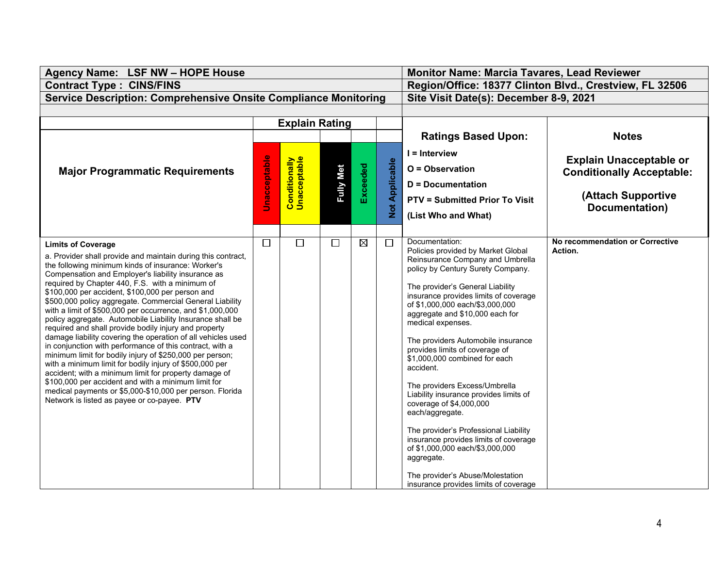| Agency Name: LSF NW - HOPE House                                                                                       |                     | <b>Monitor Name: Marcia Tavares, Lead Reviewer</b> |                  |             |                       |                                                                          |                                  |  |
|------------------------------------------------------------------------------------------------------------------------|---------------------|----------------------------------------------------|------------------|-------------|-----------------------|--------------------------------------------------------------------------|----------------------------------|--|
| <b>Contract Type: CINS/FINS</b>                                                                                        |                     |                                                    |                  |             |                       | Region/Office: 18377 Clinton Blvd., Crestview, FL 32506                  |                                  |  |
| <b>Service Description: Comprehensive Onsite Compliance Monitoring</b>                                                 |                     |                                                    |                  |             |                       | Site Visit Date(s): December 8-9, 2021                                   |                                  |  |
|                                                                                                                        |                     |                                                    |                  |             |                       |                                                                          |                                  |  |
|                                                                                                                        |                     | <b>Explain Rating</b>                              |                  |             |                       |                                                                          |                                  |  |
|                                                                                                                        |                     |                                                    |                  |             |                       | <b>Ratings Based Upon:</b>                                               | <b>Notes</b>                     |  |
|                                                                                                                        |                     |                                                    |                  |             |                       | $I = Interview$                                                          |                                  |  |
|                                                                                                                        | <b>Jnacceptable</b> | <b>Conditionally</b><br>Unacceptable               |                  |             |                       |                                                                          | <b>Explain Unacceptable or</b>   |  |
| <b>Major Programmatic Requirements</b>                                                                                 |                     |                                                    | <b>Fully Met</b> | Exceeded    |                       | O = Observation                                                          | <b>Conditionally Acceptable:</b> |  |
|                                                                                                                        |                     |                                                    |                  |             |                       | <b>D</b> = Documentation                                                 |                                  |  |
|                                                                                                                        |                     |                                                    |                  |             | <b>Not Applicable</b> | <b>PTV = Submitted Prior To Visit</b>                                    | (Attach Supportive               |  |
|                                                                                                                        |                     |                                                    |                  |             |                       | (List Who and What)                                                      | Documentation)                   |  |
|                                                                                                                        |                     |                                                    |                  |             |                       |                                                                          |                                  |  |
| <b>Limits of Coverage</b>                                                                                              | $\Box$              | П                                                  | $\Box$           | $\boxtimes$ | $\Box$                | Documentation:                                                           | No recommendation or Corrective  |  |
| a. Provider shall provide and maintain during this contract,                                                           |                     |                                                    |                  |             |                       | Policies provided by Market Global                                       | Action.                          |  |
| the following minimum kinds of insurance: Worker's                                                                     |                     |                                                    |                  |             |                       | Reinsurance Company and Umbrella<br>policy by Century Surety Company.    |                                  |  |
| Compensation and Employer's liability insurance as                                                                     |                     |                                                    |                  |             |                       |                                                                          |                                  |  |
| required by Chapter 440, F.S. with a minimum of<br>\$100,000 per accident, \$100,000 per person and                    |                     |                                                    |                  |             |                       | The provider's General Liability                                         |                                  |  |
| \$500,000 policy aggregate. Commercial General Liability                                                               |                     |                                                    |                  |             |                       | insurance provides limits of coverage<br>of \$1,000,000 each/\$3,000,000 |                                  |  |
| with a limit of \$500,000 per occurrence, and \$1,000,000<br>policy aggregate. Automobile Liability Insurance shall be |                     |                                                    |                  |             |                       | aggregate and \$10,000 each for                                          |                                  |  |
| required and shall provide bodily injury and property                                                                  |                     |                                                    |                  |             |                       | medical expenses.                                                        |                                  |  |
| damage liability covering the operation of all vehicles used                                                           |                     |                                                    |                  |             |                       | The providers Automobile insurance                                       |                                  |  |
| in conjunction with performance of this contract, with a<br>minimum limit for bodily injury of \$250,000 per person;   |                     |                                                    |                  |             |                       | provides limits of coverage of                                           |                                  |  |
| with a minimum limit for bodily injury of \$500,000 per                                                                |                     |                                                    |                  |             |                       | \$1,000,000 combined for each<br>accident.                               |                                  |  |
| accident; with a minimum limit for property damage of                                                                  |                     |                                                    |                  |             |                       |                                                                          |                                  |  |
| \$100,000 per accident and with a minimum limit for<br>medical payments or \$5,000-\$10,000 per person. Florida        |                     |                                                    |                  |             |                       | The providers Excess/Umbrella                                            |                                  |  |
| Network is listed as payee or co-payee. PTV                                                                            |                     |                                                    |                  |             |                       | Liability insurance provides limits of<br>coverage of \$4,000,000        |                                  |  |
|                                                                                                                        |                     |                                                    |                  |             |                       | each/aggregate.                                                          |                                  |  |
|                                                                                                                        |                     |                                                    |                  |             |                       | The provider's Professional Liability                                    |                                  |  |
|                                                                                                                        |                     |                                                    |                  |             |                       | insurance provides limits of coverage                                    |                                  |  |
|                                                                                                                        |                     |                                                    |                  |             |                       | of \$1,000,000 each/\$3,000,000                                          |                                  |  |
|                                                                                                                        |                     |                                                    |                  |             |                       | aggregate.                                                               |                                  |  |
|                                                                                                                        |                     |                                                    |                  |             |                       | The provider's Abuse/Molestation                                         |                                  |  |
|                                                                                                                        |                     |                                                    |                  |             |                       | insurance provides limits of coverage                                    |                                  |  |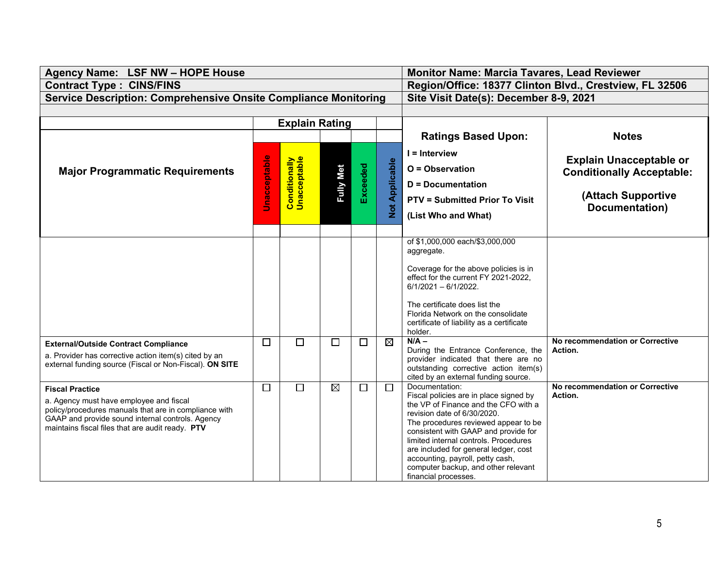| Agency Name: LSF NW - HOPE House                                                                                                                                                                                                   |                     | <b>Monitor Name: Marcia Tavares, Lead Reviewer</b> |                  |          |                             |                                                                                                                                                                                                                                                                                                                                                                                                      |                                                                                                            |  |
|------------------------------------------------------------------------------------------------------------------------------------------------------------------------------------------------------------------------------------|---------------------|----------------------------------------------------|------------------|----------|-----------------------------|------------------------------------------------------------------------------------------------------------------------------------------------------------------------------------------------------------------------------------------------------------------------------------------------------------------------------------------------------------------------------------------------------|------------------------------------------------------------------------------------------------------------|--|
| <b>Contract Type: CINS/FINS</b>                                                                                                                                                                                                    |                     |                                                    |                  |          |                             | Region/Office: 18377 Clinton Blvd., Crestview, FL 32506                                                                                                                                                                                                                                                                                                                                              |                                                                                                            |  |
| <b>Service Description: Comprehensive Onsite Compliance Monitoring</b>                                                                                                                                                             |                     |                                                    |                  |          |                             | Site Visit Date(s): December 8-9, 2021                                                                                                                                                                                                                                                                                                                                                               |                                                                                                            |  |
|                                                                                                                                                                                                                                    |                     |                                                    |                  |          |                             |                                                                                                                                                                                                                                                                                                                                                                                                      |                                                                                                            |  |
|                                                                                                                                                                                                                                    |                     | <b>Explain Rating</b>                              |                  |          |                             |                                                                                                                                                                                                                                                                                                                                                                                                      |                                                                                                            |  |
|                                                                                                                                                                                                                                    |                     |                                                    |                  |          |                             | <b>Ratings Based Upon:</b>                                                                                                                                                                                                                                                                                                                                                                           | <b>Notes</b>                                                                                               |  |
| <b>Major Programmatic Requirements</b>                                                                                                                                                                                             | <b>Unacceptable</b> | <b>Conditionally</b><br>Unacceptable               | <b>Fully Met</b> | Exceeded | Applicable<br>$\frac{1}{2}$ | $I =$ Interview<br>O = Observation<br>D = Documentation<br><b>PTV = Submitted Prior To Visit</b><br>(List Who and What)                                                                                                                                                                                                                                                                              | <b>Explain Unacceptable or</b><br><b>Conditionally Acceptable:</b><br>(Attach Supportive<br>Documentation) |  |
|                                                                                                                                                                                                                                    |                     |                                                    |                  |          |                             | of \$1,000,000 each/\$3,000,000<br>aggregate.<br>Coverage for the above policies is in<br>effect for the current FY 2021-2022,<br>$6/1/2021 - 6/1/2022$ .<br>The certificate does list the<br>Florida Network on the consolidate<br>certificate of liability as a certificate<br>holder.                                                                                                             |                                                                                                            |  |
| <b>External/Outside Contract Compliance</b><br>a. Provider has corrective action item(s) cited by an<br>external funding source (Fiscal or Non-Fiscal). ON SITE                                                                    | $\Box$              | П                                                  | □                | $\Box$   | $\boxtimes$                 | $N/A -$<br>During the Entrance Conference, the<br>provider indicated that there are no<br>outstanding corrective action item(s)<br>cited by an external funding source.                                                                                                                                                                                                                              | No recommendation or Corrective<br>Action.                                                                 |  |
| <b>Fiscal Practice</b><br>a. Agency must have employee and fiscal<br>policy/procedures manuals that are in compliance with<br>GAAP and provide sound internal controls. Agency<br>maintains fiscal files that are audit ready. PTV | П                   | $\Box$                                             | $\boxtimes$      | $\Box$   | $\Box$                      | Documentation:<br>Fiscal policies are in place signed by<br>the VP of Finance and the CFO with a<br>revision date of 6/30/2020.<br>The procedures reviewed appear to be<br>consistent with GAAP and provide for<br>limited internal controls. Procedures<br>are included for general ledger, cost<br>accounting, payroll, petty cash,<br>computer backup, and other relevant<br>financial processes. | No recommendation or Corrective<br>Action.                                                                 |  |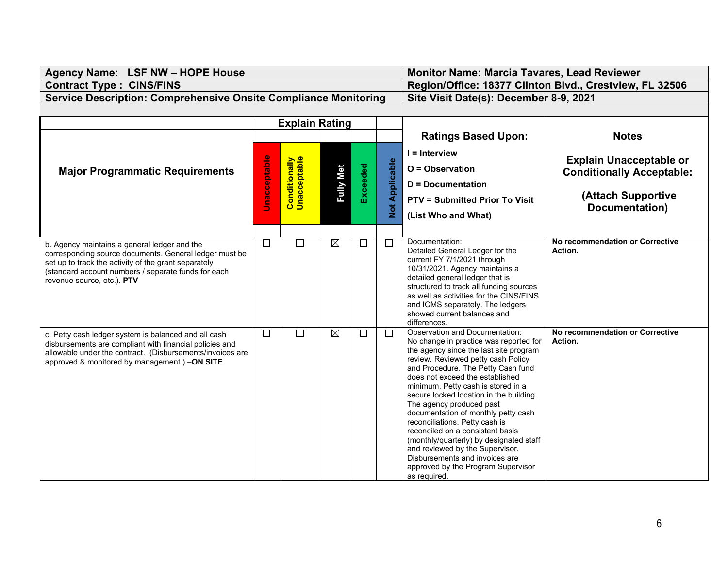| Agency Name: LSF NW - HOPE House                                                                                                                                                                                                                    |                     | <b>Monitor Name: Marcia Tavares, Lead Reviewer</b> |                  |          |                          |                                                                                                                                                                                                                                                                                                                                                                                                                                                                                                                                                                                                                                          |                                                                                                            |  |
|-----------------------------------------------------------------------------------------------------------------------------------------------------------------------------------------------------------------------------------------------------|---------------------|----------------------------------------------------|------------------|----------|--------------------------|------------------------------------------------------------------------------------------------------------------------------------------------------------------------------------------------------------------------------------------------------------------------------------------------------------------------------------------------------------------------------------------------------------------------------------------------------------------------------------------------------------------------------------------------------------------------------------------------------------------------------------------|------------------------------------------------------------------------------------------------------------|--|
| <b>Contract Type: CINS/FINS</b>                                                                                                                                                                                                                     |                     |                                                    |                  |          |                          | Region/Office: 18377 Clinton Blvd., Crestview, FL 32506                                                                                                                                                                                                                                                                                                                                                                                                                                                                                                                                                                                  |                                                                                                            |  |
| <b>Service Description: Comprehensive Onsite Compliance Monitoring</b>                                                                                                                                                                              |                     |                                                    |                  |          |                          | Site Visit Date(s): December 8-9, 2021                                                                                                                                                                                                                                                                                                                                                                                                                                                                                                                                                                                                   |                                                                                                            |  |
|                                                                                                                                                                                                                                                     |                     |                                                    |                  |          |                          |                                                                                                                                                                                                                                                                                                                                                                                                                                                                                                                                                                                                                                          |                                                                                                            |  |
|                                                                                                                                                                                                                                                     |                     | <b>Explain Rating</b>                              |                  |          |                          |                                                                                                                                                                                                                                                                                                                                                                                                                                                                                                                                                                                                                                          |                                                                                                            |  |
|                                                                                                                                                                                                                                                     |                     |                                                    |                  |          |                          | <b>Ratings Based Upon:</b>                                                                                                                                                                                                                                                                                                                                                                                                                                                                                                                                                                                                               | <b>Notes</b>                                                                                               |  |
| <b>Major Programmatic Requirements</b>                                                                                                                                                                                                              | <b>Unacceptable</b> | <b>Conditionally</b><br>Unacceptable               | <b>Fully Met</b> | Exceeded | Applicable<br><b>Not</b> | $I =$ Interview<br>O = Observation<br><b>D</b> = Documentation<br><b>PTV = Submitted Prior To Visit</b><br>(List Who and What)                                                                                                                                                                                                                                                                                                                                                                                                                                                                                                           | <b>Explain Unacceptable or</b><br><b>Conditionally Acceptable:</b><br>(Attach Supportive<br>Documentation) |  |
| b. Agency maintains a general ledger and the<br>corresponding source documents. General ledger must be<br>set up to track the activity of the grant separately<br>(standard account numbers / separate funds for each<br>revenue source, etc.). PTV | $\Box$              | $\Box$                                             | $\boxtimes$      | $\Box$   | $\Box$                   | Documentation:<br>Detailed General Ledger for the<br>current FY 7/1/2021 through<br>10/31/2021. Agency maintains a<br>detailed general ledger that is<br>structured to track all funding sources<br>as well as activities for the CINS/FINS<br>and ICMS separately. The ledgers<br>showed current balances and<br>differences.                                                                                                                                                                                                                                                                                                           | No recommendation or Corrective<br>Action.                                                                 |  |
| c. Petty cash ledger system is balanced and all cash<br>disbursements are compliant with financial policies and<br>allowable under the contract. (Disbursements/invoices are<br>approved & monitored by management.) -ON SITE                       | $\Box$              | $\Box$                                             | $\boxtimes$      | □        | □                        | <b>Observation and Documentation:</b><br>No change in practice was reported for<br>the agency since the last site program<br>review. Reviewed petty cash Policy<br>and Procedure. The Petty Cash fund<br>does not exceed the established<br>minimum. Petty cash is stored in a<br>secure locked location in the building.<br>The agency produced past<br>documentation of monthly petty cash<br>reconciliations. Petty cash is<br>reconciled on a consistent basis<br>(monthly/quarterly) by designated staff<br>and reviewed by the Supervisor.<br>Disbursements and invoices are<br>approved by the Program Supervisor<br>as required. | No recommendation or Corrective<br>Action.                                                                 |  |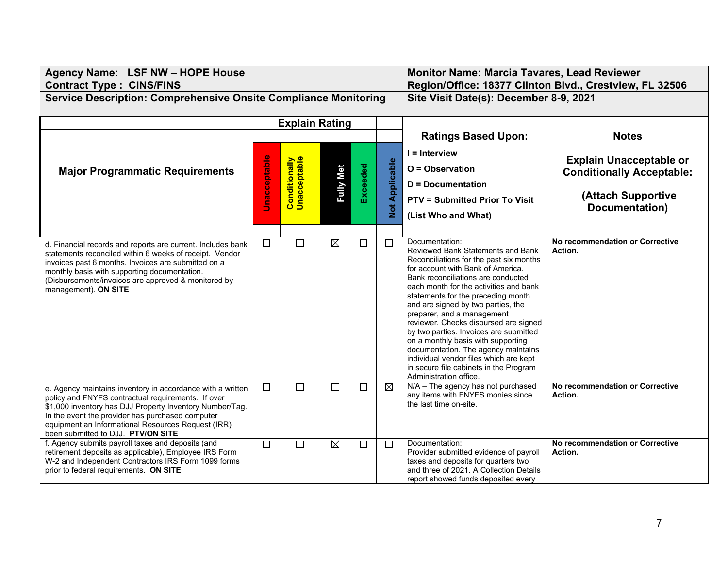| Agency Name: LSF NW - HOPE House                                                                                                                                                                                                                                                                                             |                                                             | <b>Monitor Name: Marcia Tavares, Lead Reviewer</b> |                  |          |                       |                                                                                                                                                                                                                                                                                                                                                                                                                                                                                                                                                                                                             |                                                                                                            |  |
|------------------------------------------------------------------------------------------------------------------------------------------------------------------------------------------------------------------------------------------------------------------------------------------------------------------------------|-------------------------------------------------------------|----------------------------------------------------|------------------|----------|-----------------------|-------------------------------------------------------------------------------------------------------------------------------------------------------------------------------------------------------------------------------------------------------------------------------------------------------------------------------------------------------------------------------------------------------------------------------------------------------------------------------------------------------------------------------------------------------------------------------------------------------------|------------------------------------------------------------------------------------------------------------|--|
| <b>Contract Type: CINS/FINS</b>                                                                                                                                                                                                                                                                                              |                                                             |                                                    |                  |          |                       | Region/Office: 18377 Clinton Blvd., Crestview, FL 32506                                                                                                                                                                                                                                                                                                                                                                                                                                                                                                                                                     |                                                                                                            |  |
| <b>Service Description: Comprehensive Onsite Compliance Monitoring</b>                                                                                                                                                                                                                                                       |                                                             |                                                    |                  |          |                       | Site Visit Date(s): December 8-9, 2021                                                                                                                                                                                                                                                                                                                                                                                                                                                                                                                                                                      |                                                                                                            |  |
|                                                                                                                                                                                                                                                                                                                              |                                                             |                                                    |                  |          |                       |                                                                                                                                                                                                                                                                                                                                                                                                                                                                                                                                                                                                             |                                                                                                            |  |
|                                                                                                                                                                                                                                                                                                                              |                                                             | <b>Explain Rating</b>                              |                  |          |                       |                                                                                                                                                                                                                                                                                                                                                                                                                                                                                                                                                                                                             |                                                                                                            |  |
|                                                                                                                                                                                                                                                                                                                              |                                                             |                                                    |                  |          |                       | <b>Ratings Based Upon:</b>                                                                                                                                                                                                                                                                                                                                                                                                                                                                                                                                                                                  | <b>Notes</b>                                                                                               |  |
| <b>Major Programmatic Requirements</b>                                                                                                                                                                                                                                                                                       | <b>Unacceptable</b><br><b>Conditionally</b><br>Unacceptable |                                                    | <b>Fully Met</b> | Exceeded | <b>Not Applicable</b> | $I =$ Interview<br>O = Observation<br><b>D</b> = Documentation<br><b>PTV = Submitted Prior To Visit</b><br>(List Who and What)                                                                                                                                                                                                                                                                                                                                                                                                                                                                              | <b>Explain Unacceptable or</b><br><b>Conditionally Acceptable:</b><br>(Attach Supportive<br>Documentation) |  |
| d. Financial records and reports are current. Includes bank<br>statements reconciled within 6 weeks of receipt. Vendor<br>invoices past 6 months. Invoices are submitted on a<br>monthly basis with supporting documentation.<br>(Disbursements/invoices are approved & monitored by<br>management). ON SITE                 | $\Box$                                                      | П                                                  | $\boxtimes$      | $\Box$   | П                     | Documentation:<br>Reviewed Bank Statements and Bank<br>Reconciliations for the past six months<br>for account with Bank of America.<br>Bank reconciliations are conducted<br>each month for the activities and bank<br>statements for the preceding month<br>and are signed by two parties, the<br>preparer, and a management<br>reviewer. Checks disbursed are signed<br>by two parties. Invoices are submitted<br>on a monthly basis with supporting<br>documentation. The agency maintains<br>individual vendor files which are kept<br>in secure file cabinets in the Program<br>Administration office. | No recommendation or Corrective<br>Action.                                                                 |  |
| e. Agency maintains inventory in accordance with a written<br>policy and FNYFS contractual requirements. If over<br>\$1,000 inventory has DJJ Property Inventory Number/Tag.<br>In the event the provider has purchased computer<br>equipment an Informational Resources Request (IRR)<br>been submitted to DJJ. PTV/ON SITE | $\Box$                                                      | □                                                  | $\Box$           | $\Box$   | $\boxtimes$           | N/A - The agency has not purchased<br>any items with FNYFS monies since<br>the last time on-site.                                                                                                                                                                                                                                                                                                                                                                                                                                                                                                           | No recommendation or Corrective<br>Action.                                                                 |  |
| f. Agency submits payroll taxes and deposits (and<br>retirement deposits as applicable), Employee IRS Form<br>W-2 and Independent Contractors IRS Form 1099 forms<br>prior to federal requirements. ON SITE                                                                                                                  | $\Box$                                                      | П                                                  | $\boxtimes$      | □        | П                     | Documentation:<br>Provider submitted evidence of payroll<br>taxes and deposits for quarters two<br>and three of 2021. A Collection Details<br>report showed funds deposited every                                                                                                                                                                                                                                                                                                                                                                                                                           | No recommendation or Corrective<br>Action.                                                                 |  |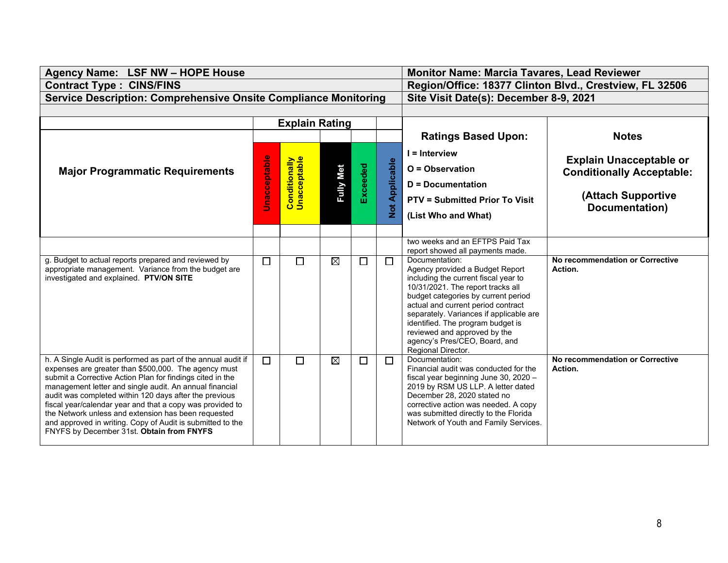| Agency Name: LSF NW - HOPE House                                                                                                                                                                                                                                                                                                                                                                                                                                                                                                       |              | Monitor Name: Marcia Tavares, Lead Reviewer |                                        |          |                              |                                                                                                                                                                                                                                                                                                                                                                                    |                                                                                                            |  |
|----------------------------------------------------------------------------------------------------------------------------------------------------------------------------------------------------------------------------------------------------------------------------------------------------------------------------------------------------------------------------------------------------------------------------------------------------------------------------------------------------------------------------------------|--------------|---------------------------------------------|----------------------------------------|----------|------------------------------|------------------------------------------------------------------------------------------------------------------------------------------------------------------------------------------------------------------------------------------------------------------------------------------------------------------------------------------------------------------------------------|------------------------------------------------------------------------------------------------------------|--|
| <b>Contract Type: CINS/FINS</b>                                                                                                                                                                                                                                                                                                                                                                                                                                                                                                        |              |                                             |                                        |          |                              | Region/Office: 18377 Clinton Blvd., Crestview, FL 32506                                                                                                                                                                                                                                                                                                                            |                                                                                                            |  |
| <b>Service Description: Comprehensive Onsite Compliance Monitoring</b>                                                                                                                                                                                                                                                                                                                                                                                                                                                                 |              |                                             | Site Visit Date(s): December 8-9, 2021 |          |                              |                                                                                                                                                                                                                                                                                                                                                                                    |                                                                                                            |  |
|                                                                                                                                                                                                                                                                                                                                                                                                                                                                                                                                        |              |                                             |                                        |          |                              |                                                                                                                                                                                                                                                                                                                                                                                    |                                                                                                            |  |
|                                                                                                                                                                                                                                                                                                                                                                                                                                                                                                                                        |              | <b>Explain Rating</b>                       |                                        |          |                              |                                                                                                                                                                                                                                                                                                                                                                                    |                                                                                                            |  |
|                                                                                                                                                                                                                                                                                                                                                                                                                                                                                                                                        |              |                                             |                                        |          |                              | <b>Ratings Based Upon:</b>                                                                                                                                                                                                                                                                                                                                                         | <b>Notes</b>                                                                                               |  |
| <b>Major Programmatic Requirements</b>                                                                                                                                                                                                                                                                                                                                                                                                                                                                                                 | Jnacceptable | <b>Conditionally</b><br>Unacceptable        | <b>Fully Met</b>                       | Exceeded | Applicable<br>$\overline{5}$ | $I =$ Interview<br>O = Observation<br>D = Documentation<br><b>PTV = Submitted Prior To Visit</b><br>(List Who and What)                                                                                                                                                                                                                                                            | <b>Explain Unacceptable or</b><br><b>Conditionally Acceptable:</b><br>(Attach Supportive<br>Documentation) |  |
|                                                                                                                                                                                                                                                                                                                                                                                                                                                                                                                                        |              |                                             |                                        |          |                              |                                                                                                                                                                                                                                                                                                                                                                                    |                                                                                                            |  |
|                                                                                                                                                                                                                                                                                                                                                                                                                                                                                                                                        |              |                                             |                                        |          |                              | two weeks and an EFTPS Paid Tax<br>report showed all payments made.                                                                                                                                                                                                                                                                                                                |                                                                                                            |  |
| g. Budget to actual reports prepared and reviewed by<br>appropriate management. Variance from the budget are<br>investigated and explained. PTV/ON SITE                                                                                                                                                                                                                                                                                                                                                                                | $\Box$       | $\Box$                                      | $\boxtimes$                            | $\Box$   | $\Box$                       | Documentation:<br>Agency provided a Budget Report<br>including the current fiscal year to<br>10/31/2021. The report tracks all<br>budget categories by current period<br>actual and current period contract<br>separately. Variances if applicable are<br>identified. The program budget is<br>reviewed and approved by the<br>agency's Pres/CEO, Board, and<br>Regional Director. | No recommendation or Corrective<br>Action.                                                                 |  |
| h. A Single Audit is performed as part of the annual audit if<br>expenses are greater than \$500,000. The agency must<br>submit a Corrective Action Plan for findings cited in the<br>management letter and single audit. An annual financial<br>audit was completed within 120 days after the previous<br>fiscal year/calendar year and that a copy was provided to<br>the Network unless and extension has been requested<br>and approved in writing. Copy of Audit is submitted to the<br>FNYFS by December 31st. Obtain from FNYFS | $\Box$       | $\Box$                                      | $\boxtimes$                            | $\Box$   | П                            | Documentation:<br>Financial audit was conducted for the<br>fiscal year beginning June 30, 2020 -<br>2019 by RSM US LLP. A letter dated<br>December 28, 2020 stated no<br>corrective action was needed. A copy<br>was submitted directly to the Florida<br>Network of Youth and Family Services.                                                                                    | No recommendation or Corrective<br>Action.                                                                 |  |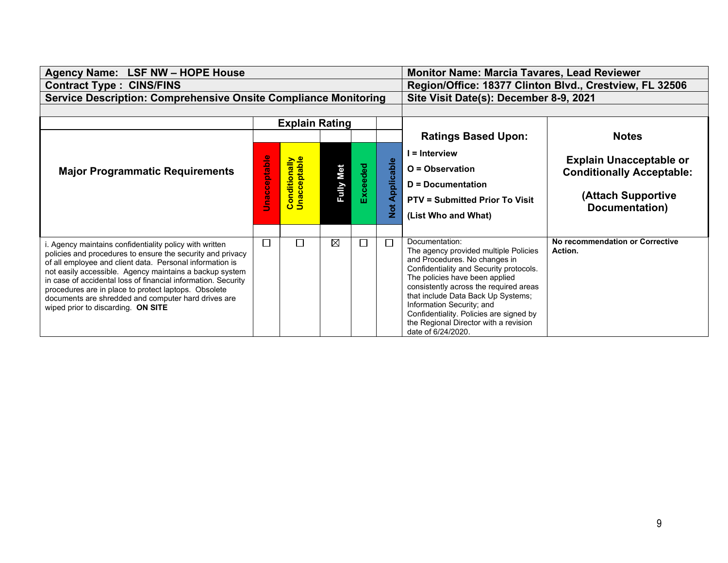| Agency Name: LSF NW - HOPE House                                                                                                                                                                                                                                                                                                                                                                                                                                  |             |                                      |                                        |            |                   | <b>Monitor Name: Marcia Tavares, Lead Reviewer</b>                                                                                                                                                                                                                                                                                                                                           |                                            |  |
|-------------------------------------------------------------------------------------------------------------------------------------------------------------------------------------------------------------------------------------------------------------------------------------------------------------------------------------------------------------------------------------------------------------------------------------------------------------------|-------------|--------------------------------------|----------------------------------------|------------|-------------------|----------------------------------------------------------------------------------------------------------------------------------------------------------------------------------------------------------------------------------------------------------------------------------------------------------------------------------------------------------------------------------------------|--------------------------------------------|--|
| <b>Contract Type: CINS/FINS</b>                                                                                                                                                                                                                                                                                                                                                                                                                                   |             |                                      |                                        |            |                   | Region/Office: 18377 Clinton Blvd., Crestview, FL 32506                                                                                                                                                                                                                                                                                                                                      |                                            |  |
| <b>Service Description: Comprehensive Onsite Compliance Monitoring</b>                                                                                                                                                                                                                                                                                                                                                                                            |             |                                      | Site Visit Date(s): December 8-9, 2021 |            |                   |                                                                                                                                                                                                                                                                                                                                                                                              |                                            |  |
|                                                                                                                                                                                                                                                                                                                                                                                                                                                                   |             |                                      |                                        |            |                   |                                                                                                                                                                                                                                                                                                                                                                                              |                                            |  |
|                                                                                                                                                                                                                                                                                                                                                                                                                                                                   |             | <b>Explain Rating</b>                |                                        |            |                   |                                                                                                                                                                                                                                                                                                                                                                                              |                                            |  |
|                                                                                                                                                                                                                                                                                                                                                                                                                                                                   |             |                                      |                                        |            |                   | <b>Ratings Based Upon:</b>                                                                                                                                                                                                                                                                                                                                                                   | <b>Notes</b>                               |  |
|                                                                                                                                                                                                                                                                                                                                                                                                                                                                   |             |                                      |                                        |            |                   | I = Interview                                                                                                                                                                                                                                                                                                                                                                                |                                            |  |
|                                                                                                                                                                                                                                                                                                                                                                                                                                                                   | nacceptable |                                      |                                        |            |                   |                                                                                                                                                                                                                                                                                                                                                                                              | <b>Explain Unacceptable or</b>             |  |
| <b>Major Programmatic Requirements</b>                                                                                                                                                                                                                                                                                                                                                                                                                            |             |                                      |                                        | Exceeded   |                   | $O =$ Observation                                                                                                                                                                                                                                                                                                                                                                            | <b>Conditionally Acceptable:</b>           |  |
|                                                                                                                                                                                                                                                                                                                                                                                                                                                                   |             | <b>Fully Met</b>                     |                                        | Applicable | D = Documentation |                                                                                                                                                                                                                                                                                                                                                                                              |                                            |  |
|                                                                                                                                                                                                                                                                                                                                                                                                                                                                   |             | <b>Conditionally</b><br>Unacceptable |                                        |            |                   | <b>PTV = Submitted Prior To Visit</b>                                                                                                                                                                                                                                                                                                                                                        | (Attach Supportive                         |  |
|                                                                                                                                                                                                                                                                                                                                                                                                                                                                   |             |                                      |                                        |            | $\frac{1}{2}$     | (List Who and What)                                                                                                                                                                                                                                                                                                                                                                          | Documentation)                             |  |
|                                                                                                                                                                                                                                                                                                                                                                                                                                                                   |             |                                      |                                        |            |                   |                                                                                                                                                                                                                                                                                                                                                                                              |                                            |  |
| . Agency maintains confidentiality policy with written<br>policies and procedures to ensure the security and privacy<br>of all employee and client data. Personal information is<br>not easily accessible. Agency maintains a backup system<br>in case of accidental loss of financial information. Security<br>procedures are in place to protect laptops. Obsolete<br>documents are shredded and computer hard drives are<br>wiped prior to discarding. ON SITE | Г           | $\Box$                               | $\boxtimes$                            | П          | J.                | Documentation:<br>The agency provided multiple Policies<br>and Procedures. No changes in<br>Confidentiality and Security protocols.<br>The policies have been applied<br>consistently across the required areas<br>that include Data Back Up Systems;<br>Information Security; and<br>Confidentiality. Policies are signed by<br>the Regional Director with a revision<br>date of 6/24/2020. | No recommendation or Corrective<br>Action. |  |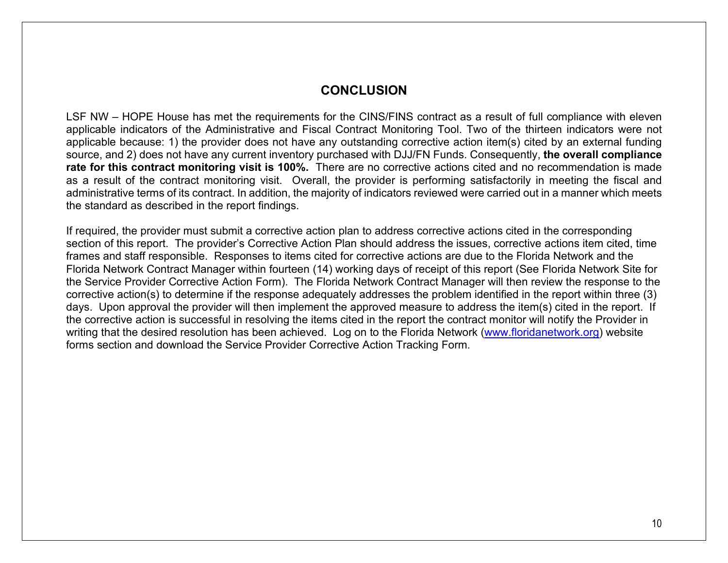## **CONCLUSION**

LSF NW – HOPE House has met the requirements for the CINS/FINS contract as a result of full compliance with eleven applicable indicators of the Administrative and Fiscal Contract Monitoring Tool. Two of the thirteen indicators were not applicable because: 1) the provider does not have any outstanding corrective action item(s) cited by an external funding source, and 2) does not have any current inventory purchased with DJJ/FN Funds. Consequently, **the overall compliance rate for this contract monitoring visit is 100%.** There are no corrective actions cited and no recommendation is made as a result of the contract monitoring visit. Overall, the provider is performing satisfactorily in meeting the fiscal and administrative terms of its contract. In addition, the majority of indicators reviewed were carried out in a manner which meets the standard as described in the report findings.

If required, the provider must submit a corrective action plan to address corrective actions cited in the corresponding section of this report. The provider's Corrective Action Plan should address the issues, corrective actions item cited, time frames and staff responsible. Responses to items cited for corrective actions are due to the Florida Network and the Florida Network Contract Manager within fourteen (14) working days of receipt of this report (See Florida Network Site for the Service Provider Corrective Action Form). The Florida Network Contract Manager will then review the response to the corrective action(s) to determine if the response adequately addresses the problem identified in the report within three (3) days. Upon approval the provider will then implement the approved measure to address the item(s) cited in the report. If the corrective action is successful in resolving the items cited in the report the contract monitor will notify the Provider in writing that the desired resolution has been achieved. Log on to the Florida Network [\(www.floridanetwork.org\)](http://www.floridanetwork.org/) website forms section and download the Service Provider Corrective Action Tracking Form.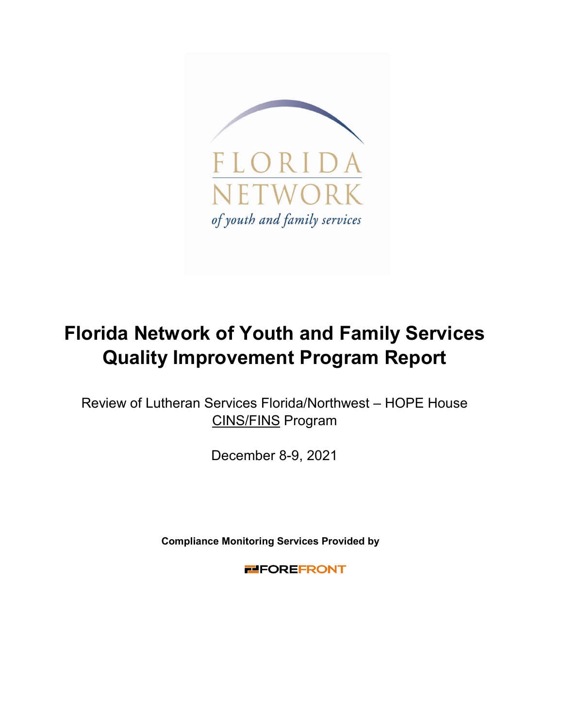

# **Florida Network of Youth and Family Services Quality Improvement Program Report**

Review of Lutheran Services Florida/Northwest – HOPE House CINS/FINS Program

December 8-9, 2021

**Compliance Monitoring Services Provided by** 

**FILEOREFRONT**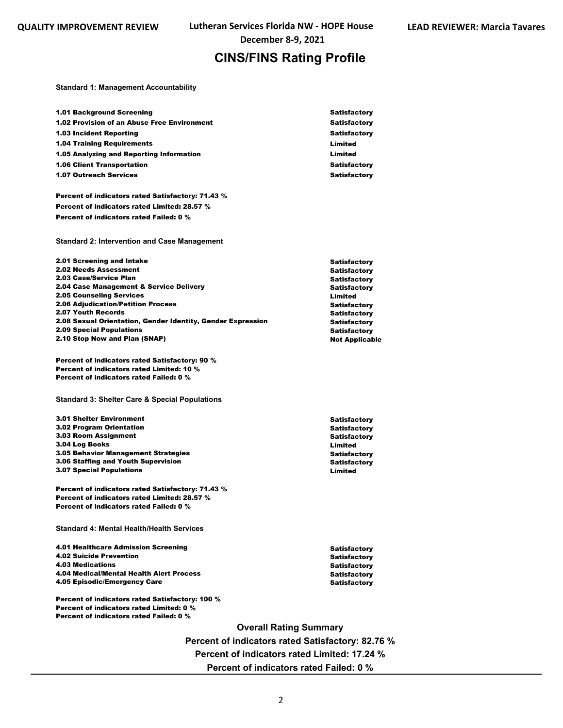**December 8-9, 2021**

## **CINS/FINS Rating Profile**

**Standard 1: Management Accountability**

Percent of indicators rated Failed: 0 %

| <b>1.01 Background Screening</b>                                             | <b>Satisfactory</b>            |
|------------------------------------------------------------------------------|--------------------------------|
| 1.02 Provision of an Abuse Free Environment                                  | Satisfactory                   |
| <b>1.03 Incident Reporting</b>                                               | <b>Satisfactory</b>            |
| <b>1.04 Training Requirements</b>                                            | Limited                        |
| 1.05 Analyzing and Reporting Information                                     | Limited                        |
| <b>1.06 Client Transportation</b>                                            | <b>Satisfactory</b>            |
| <b>1.07 Outreach Services</b>                                                | <b>Satisfactory</b>            |
|                                                                              |                                |
| Percent of indicators rated Satisfactory: 71.43 %                            |                                |
| Percent of indicators rated Limited: 28.57 %                                 |                                |
| Percent of indicators rated Failed: 0 %                                      |                                |
|                                                                              |                                |
| <b>Standard 2: Intervention and Case Management</b>                          |                                |
| 2.01 Screening and Intake                                                    | Satisfactory                   |
| 2.02 Needs Assessment                                                        | Satisfactory                   |
| 2.03 Case/Service Plan                                                       | <b>Satisfactory</b>            |
| 2.04 Case Management & Service Delivery                                      | <b>Satisfactory</b>            |
| <b>2.05 Counseling Services</b><br><b>2.06 Adjudication/Petition Process</b> | Limited<br><b>Satisfactory</b> |
| 2.07 Youth Records                                                           | <b>Satisfactory</b>            |
| 2.08 Sexual Orientation, Gender Identity, Gender Expression                  | <b>Satisfactory</b>            |
| <b>2.09 Special Populations</b>                                              | <b>Satisfactory</b>            |
| 2.10 Stop Now and Plan (SNAP)                                                | <b>Not Applicable</b>          |
| Percent of indicators rated Satisfactory: 90 %                               |                                |
| Percent of indicators rated Limited: 10 %                                    |                                |
| Percent of indicators rated Failed: 0 %                                      |                                |
|                                                                              |                                |
| <b>Standard 3: Shelter Care &amp; Special Populations</b>                    |                                |
| <b>3.01 Shelter Environment</b>                                              |                                |
| <b>3.02 Program Orientation</b>                                              | Satisfactory<br>Satisfactory   |
| 3.03 Room Assignment                                                         | <b>Satisfactory</b>            |
| 3.04 Log Books                                                               | Limited                        |
| <b>3.05 Behavior Management Strategies</b>                                   | Satisfactory                   |
| 3.06 Staffing and Youth Supervision                                          | <b>Satisfactory</b>            |
| <b>3.07 Special Populations</b>                                              | Limited                        |
| <b>Percent of indicators rated Satisfactory: 71.43 %</b>                     |                                |
| Percent of indicators rated Limited: 28.57 %                                 |                                |
| Percent of indicators rated Failed: 0 %                                      |                                |
| <b>Standard 4: Mental Health/Health Services</b>                             |                                |
| 4.01 Healthcare Admission Screening                                          | Satisfactory                   |
| <b>4.02 Suicide Prevention</b>                                               | Satisfactory                   |
| <b>4.03 Medications</b>                                                      | <b>Satisfactory</b>            |
| 4.04 Medical/Mental Health Alert Process                                     | <b>Satisfactory</b>            |
| 4.05 Episodic/Emergency Care                                                 | <b>Satisfactory</b>            |
| Percent of indicators rated Satisfactory: 100 %                              |                                |
| Percent of indicators rated Limited: 0 %                                     |                                |

**Overall Rating Summary Percent of indicators rated Satisfactory: 82.76 % Percent of indicators rated Limited: 17.24 % Percent of indicators rated Failed: 0 %**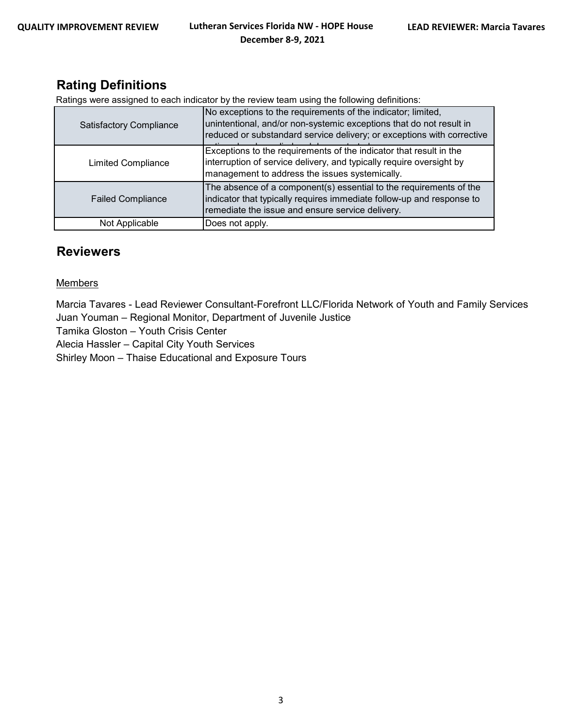## **Rating Definitions**

Ratings were assigned to each indicator by the review team using the following definitions:

| <b>Satisfactory Compliance</b> | No exceptions to the requirements of the indicator; limited,<br>unintentional, and/or non-systemic exceptions that do not result in<br>reduced or substandard service delivery; or exceptions with corrective |
|--------------------------------|---------------------------------------------------------------------------------------------------------------------------------------------------------------------------------------------------------------|
| <b>Limited Compliance</b>      | Exceptions to the requirements of the indicator that result in the<br>interruption of service delivery, and typically require oversight by<br>management to address the issues systemically.                  |
| <b>Failed Compliance</b>       | The absence of a component(s) essential to the requirements of the<br>indicator that typically requires immediate follow-up and response to<br>remediate the issue and ensure service delivery.               |
| Not Applicable                 | Does not apply.                                                                                                                                                                                               |

## **Reviewers**

#### **Members**

Marcia Tavares - Lead Reviewer Consultant-Forefront LLC/Florida Network of Youth and Family Services Juan Youman – Regional Monitor, Department of Juvenile Justice

Tamika Gloston – Youth Crisis Center

Alecia Hassler – Capital City Youth Services

Shirley Moon – Thaise Educational and Exposure Tours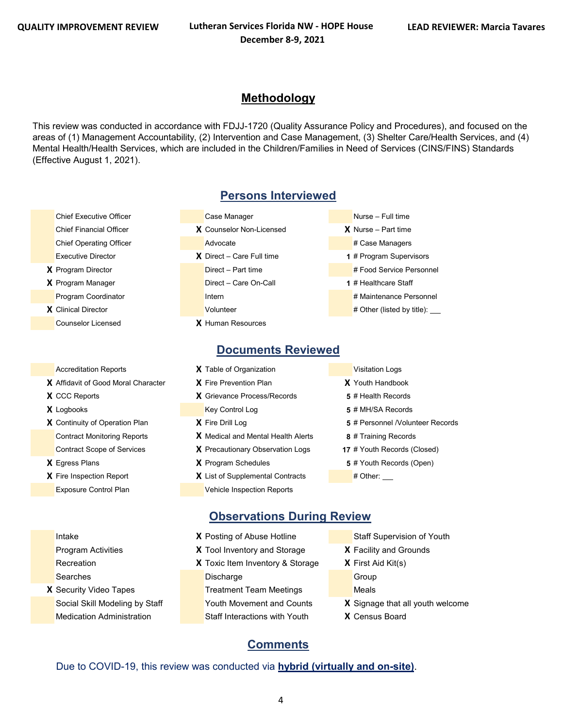## **Methodology**

This review was conducted in accordance with FDJJ-1720 (Quality Assurance Policy and Procedures), and focused on the areas of (1) Management Accountability, (2) Intervention and Case Management, (3) Shelter Care/Health Services, and (4) Mental Health/Health Services, which are included in the Children/Families in Need of Services (CINS/FINS) Standards (Effective August 1, 2021).

- 
- 
- Counselor Licensed **X** Human Resources

- 
- 
- 
- 
- 
- 

## **Persons Interviewed**

- Chief Executive Officer Case Manager Case Manager Nurse Full time Chief Financial Officer **X** Counselor Non-Licensed **X** Nurse – Part time Chief Operating Officer **Advocate** Advocate **Advocate Advocate Advocate** Advocate Advocate Advocate Advocate Advocate Advocate Advocate Advocate Advocate Advocate Advocate Advocate Advocate Advocate Advocate Advocate Advoc Executive Director **X** Direct – Care Full time **1** # Program Supervisors **X** Program Director **Direct – Part time A Program Direct – Part time # Food Service Personnel X** Program Manager **Direct – Care On-Call <b>1** # Healthcare Staff Program Coordinator **Internal Internal Internal Internal Internal Internal Internal Internal Internal Internal Internal Internal Internal Internal Internal Internal Internal Internal Internal Internal Internal Internal Int X** Clinical Director **X Volunteer 2** Volunteer **2** Volunteer **# Other (listed by title):**
- 

## **Documents Reviewed**

- Accreditation Reports **X** Table of Organization **Victor** Visitation Logs **X** Affidavit of Good Moral Character **X** Fire Prevention Plan **X** Youth Handbook **X** CCC Reports **X** Grievance Process/Records **5** # Health Records **X** Logbooks **Key Control Log <b>5** # MH/SA Records **X** Continuity of Operation Plan **X** Fire Drill Log **5** # Personnel /Volunteer Records Contract Monitoring Reports **X** Medical and Mental Health Alerts **8** # Training Records Contract Scope of Services **X** Precautionary Observation Logs **17** # Youth Records (Closed) **X** Egress Plans **X** Program Schedules **5** # Youth Records (Open) **X** List of Supplemental Contracts # Other:
	- Exposure Control Plan Vehicle Inspection Reports
- 
- 
- 
- 
- 
- 
- 
- -
- **Observations During Review**
- **Intake <b>X** Posting of Abuse Hotline Staff Supervision of Youth Program Activities **X** Tool Inventory and Storage **X** Facility and Grounds Recreation **X** Toxic Item Inventory & Storage **X** First Aid Kit(s) Searches **Discharge** Discharge Group **X** Security Video Tapes Treatment Team Meetings Meals Social Skill Modeling by Staff Youth Movement and Counts **X** Signage that all youth welcome
	-
	-
	- -
		-
	-
	- Medication Administration Staff Interactions with Youth **X** Census Board

## **Comments**

Due to COVID-19, this review was conducted via **hybrid (virtually and on-site)**.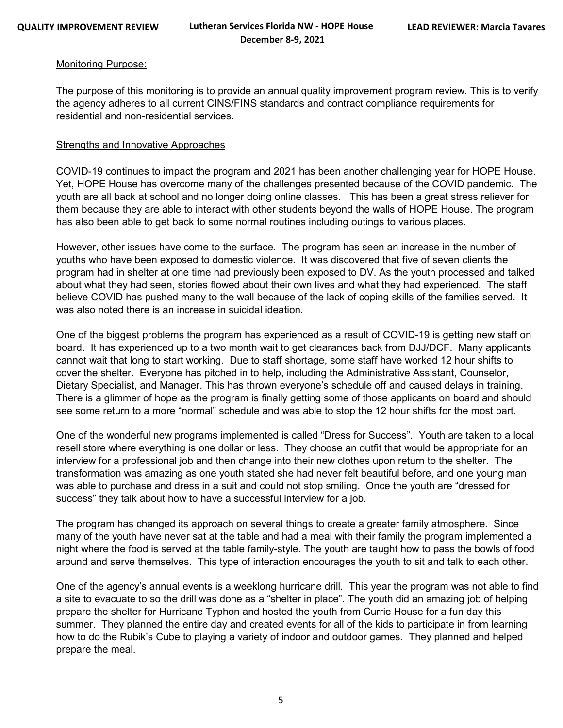#### Monitoring Purpose:

The purpose of this monitoring is to provide an annual quality improvement program review. This is to verify the agency adheres to all current CINS/FINS standards and contract compliance requirements for residential and non-residential services.

#### Strengths and Innovative Approaches

COVID-19 continues to impact the program and 2021 has been another challenging year for HOPE House. Yet, HOPE House has overcome many of the challenges presented because of the COVID pandemic. The youth are all back at school and no longer doing online classes. This has been a great stress reliever for them because they are able to interact with other students beyond the walls of HOPE House. The program has also been able to get back to some normal routines including outings to various places.

However, other issues have come to the surface. The program has seen an increase in the number of youths who have been exposed to domestic violence. It was discovered that five of seven clients the program had in shelter at one time had previously been exposed to DV. As the youth processed and talked about what they had seen, stories flowed about their own lives and what they had experienced. The staff believe COVID has pushed many to the wall because of the lack of coping skills of the families served. It was also noted there is an increase in suicidal ideation.

One of the biggest problems the program has experienced as a result of COVID-19 is getting new staff on board. It has experienced up to a two month wait to get clearances back from DJJ/DCF. Many applicants cannot wait that long to start working. Due to staff shortage, some staff have worked 12 hour shifts to cover the shelter. Everyone has pitched in to help, including the Administrative Assistant, Counselor, Dietary Specialist, and Manager. This has thrown everyone's schedule off and caused delays in training. There is a glimmer of hope as the program is finally getting some of those applicants on board and should see some return to a more "normal" schedule and was able to stop the 12 hour shifts for the most part.

One of the wonderful new programs implemented is called "Dress for Success". Youth are taken to a local resell store where everything is one dollar or less. They choose an outfit that would be appropriate for an interview for a professional job and then change into their new clothes upon return to the shelter. The transformation was amazing as one youth stated she had never felt beautiful before, and one young man was able to purchase and dress in a suit and could not stop smiling. Once the youth are "dressed for success" they talk about how to have a successful interview for a job.

The program has changed its approach on several things to create a greater family atmosphere. Since many of the youth have never sat at the table and had a meal with their family the program implemented a night where the food is served at the table family-style. The youth are taught how to pass the bowls of food around and serve themselves. This type of interaction encourages the youth to sit and talk to each other.

One of the agency's annual events is a weeklong hurricane drill. This year the program was not able to find a site to evacuate to so the drill was done as a "shelter in place". The youth did an amazing job of helping prepare the shelter for Hurricane Typhon and hosted the youth from Currie House for a fun day this summer. They planned the entire day and created events for all of the kids to participate in from learning how to do the Rubik's Cube to playing a variety of indoor and outdoor games. They planned and helped prepare the meal.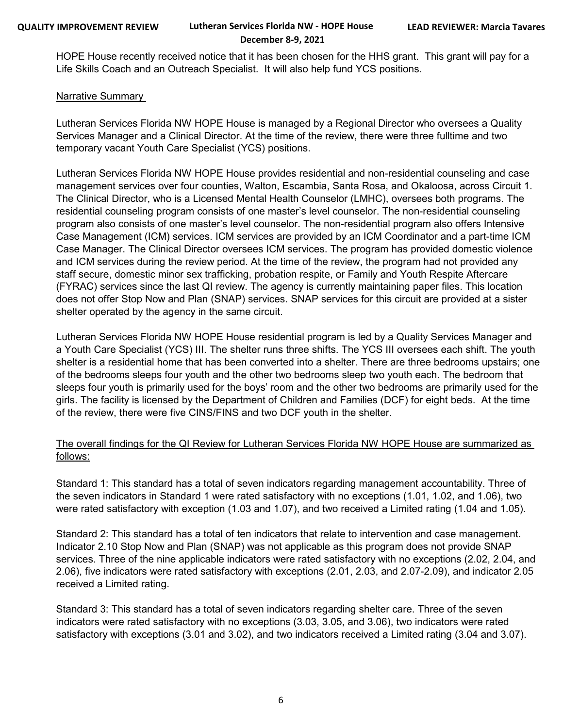HOPE House recently received notice that it has been chosen for the HHS grant. This grant will pay for a Life Skills Coach and an Outreach Specialist. It will also help fund YCS positions.

#### Narrative Summary

Lutheran Services Florida NW HOPE House is managed by a Regional Director who oversees a Quality Services Manager and a Clinical Director. At the time of the review, there were three fulltime and two temporary vacant Youth Care Specialist (YCS) positions.

Lutheran Services Florida NW HOPE House provides residential and non-residential counseling and case management services over four counties, Walton, Escambia, Santa Rosa, and Okaloosa, across Circuit 1. The Clinical Director, who is a Licensed Mental Health Counselor (LMHC), oversees both programs. The residential counseling program consists of one master's level counselor. The non-residential counseling program also consists of one master's level counselor. The non-residential program also offers Intensive Case Management (ICM) services. ICM services are provided by an ICM Coordinator and a part-time ICM Case Manager. The Clinical Director oversees ICM services. The program has provided domestic violence and ICM services during the review period. At the time of the review, the program had not provided any staff secure, domestic minor sex trafficking, probation respite, or Family and Youth Respite Aftercare (FYRAC) services since the last QI review. The agency is currently maintaining paper files. This location does not offer Stop Now and Plan (SNAP) services. SNAP services for this circuit are provided at a sister shelter operated by the agency in the same circuit.

Lutheran Services Florida NW HOPE House residential program is led by a Quality Services Manager and a Youth Care Specialist (YCS) III. The shelter runs three shifts. The YCS III oversees each shift. The youth shelter is a residential home that has been converted into a shelter. There are three bedrooms upstairs; one of the bedrooms sleeps four youth and the other two bedrooms sleep two youth each. The bedroom that sleeps four youth is primarily used for the boys' room and the other two bedrooms are primarily used for the girls. The facility is licensed by the Department of Children and Families (DCF) for eight beds. At the time of the review, there were five CINS/FINS and two DCF youth in the shelter.

### The overall findings for the QI Review for Lutheran Services Florida NW HOPE House are summarized as follows:

Standard 1: This standard has a total of seven indicators regarding management accountability. Three of the seven indicators in Standard 1 were rated satisfactory with no exceptions (1.01, 1.02, and 1.06), two were rated satisfactory with exception (1.03 and 1.07), and two received a Limited rating (1.04 and 1.05).

Standard 2: This standard has a total of ten indicators that relate to intervention and case management. Indicator 2.10 Stop Now and Plan (SNAP) was not applicable as this program does not provide SNAP services. Three of the nine applicable indicators were rated satisfactory with no exceptions (2.02, 2.04, and 2.06), five indicators were rated satisfactory with exceptions (2.01, 2.03, and 2.07-2.09), and indicator 2.05 received a Limited rating.

Standard 3: This standard has a total of seven indicators regarding shelter care. Three of the seven indicators were rated satisfactory with no exceptions (3.03, 3.05, and 3.06), two indicators were rated satisfactory with exceptions (3.01 and 3.02), and two indicators received a Limited rating (3.04 and 3.07).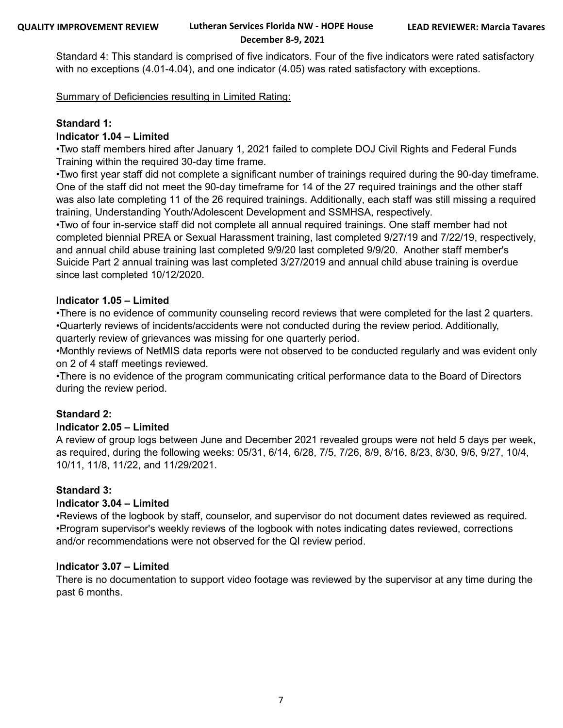Standard 4: This standard is comprised of five indicators. Four of the five indicators were rated satisfactory with no exceptions (4.01-4.04), and one indicator (4.05) was rated satisfactory with exceptions.

Summary of Deficiencies resulting in Limited Rating:

#### **Standard 1:**

#### **Indicator 1.04 – Limited**

• Two staff members hired after January 1, 2021 failed to complete DOJ Civil Rights and Federal Funds Training within the required 30-day time frame.

•Two first year staff did not complete a significant number of trainings required during the 90-day timeframe. One of the staff did not meet the 90-day timeframe for 14 of the 27 required trainings and the other staff was also late completing 11 of the 26 required trainings. Additionally, each staff was still missing a required training, Understanding Youth/Adolescent Development and SSMHSA, respectively.

• Two of four in-service staff did not complete all annual required trainings. One staff member had not completed biennial PREA or Sexual Harassment training, last completed 9/27/19 and 7/22/19, respectively, and annual child abuse training last completed 9/9/20 last completed 9/9/20. Another staff member's Suicide Part 2 annual training was last completed 3/27/2019 and annual child abuse training is overdue since last completed 10/12/2020.

#### **Indicator 1.05 – Limited**

• There is no evidence of community counseling record reviews that were completed for the last 2 quarters. • Quarterly reviews of incidents/accidents were not conducted during the review period. Additionally, quarterly review of grievances was missing for one quarterly period.

• Monthly reviews of NetMIS data reports were not observed to be conducted regularly and was evident only on 2 of 4 staff meetings reviewed.

•There is no evidence of the program communicating critical performance data to the Board of Directors during the review period.

#### **Standard 2:**

#### **Indicator 2.05 – Limited**

A review of group logs between June and December 2021 revealed groups were not held 5 days per week, as required, during the following weeks: 05/31, 6/14, 6/28, 7/5, 7/26, 8/9, 8/16, 8/23, 8/30, 9/6, 9/27, 10/4, 10/11, 11/8, 11/22, and 11/29/2021.

#### **Standard 3:**

#### **Indicator 3.04 – Limited**

• Reviews of the logbook by staff, counselor, and supervisor do not document dates reviewed as required. • Program supervisor's weekly reviews of the logbook with notes indicating dates reviewed, corrections and/or recommendations were not observed for the QI review period.

#### **Indicator 3.07 – Limited**

There is no documentation to support video footage was reviewed by the supervisor at any time during the past 6 months.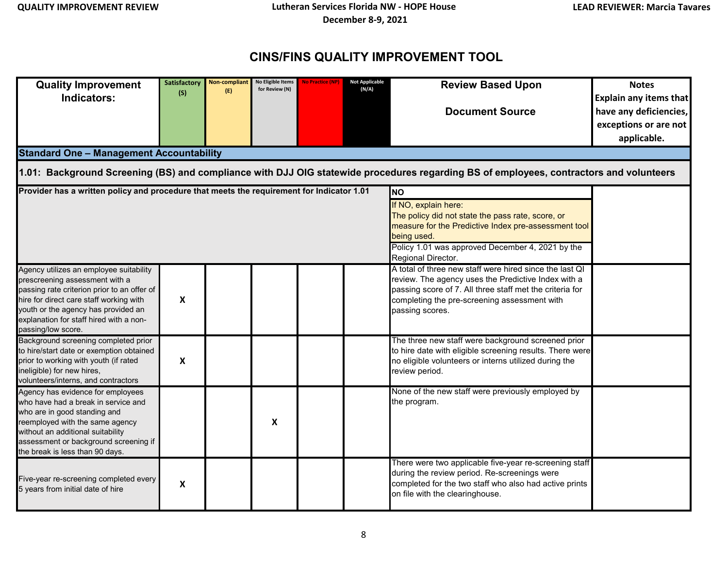## **CINS/FINS QUALITY IMPROVEMENT TOOL**

| <b>Quality Improvement</b><br>Indicators:<br><b>Standard One - Management Accountability</b>                                                                                                                                                                                | <b>Satisfactory</b><br>(S) | <b>Non-compliant</b><br>(E) | No Eligible Items<br>for Review (N) | <b>No Practice (NP)</b> | <b>Not Applicable</b><br>(N/A) | <b>Review Based Upon</b><br><b>Document Source</b><br>1.01: Background Screening (BS) and compliance with DJJ OIG statewide procedures regarding BS of employees, contractors and volunteers                                                  | <b>Notes</b><br><b>Explain any items that</b><br>have any deficiencies,<br>exceptions or are not<br>applicable. |  |  |  |
|-----------------------------------------------------------------------------------------------------------------------------------------------------------------------------------------------------------------------------------------------------------------------------|----------------------------|-----------------------------|-------------------------------------|-------------------------|--------------------------------|-----------------------------------------------------------------------------------------------------------------------------------------------------------------------------------------------------------------------------------------------|-----------------------------------------------------------------------------------------------------------------|--|--|--|
| Provider has a written policy and procedure that meets the requirement for Indicator 1.01<br><b>INO</b>                                                                                                                                                                     |                            |                             |                                     |                         |                                |                                                                                                                                                                                                                                               |                                                                                                                 |  |  |  |
| If NO, explain here:<br>The policy did not state the pass rate, score, or<br>measure for the Predictive Index pre-assessment tool<br>being used.<br>Policy 1.01 was approved December 4, 2021 by the<br>Regional Director.                                                  |                            |                             |                                     |                         |                                |                                                                                                                                                                                                                                               |                                                                                                                 |  |  |  |
| Agency utilizes an employee suitability<br>prescreening assessment with a<br>passing rate criterion prior to an offer of<br>hire for direct care staff working with<br>youth or the agency has provided an<br>explanation for staff hired with a non-<br>passing/low score. | $\boldsymbol{\mathsf{x}}$  |                             |                                     |                         |                                | A total of three new staff were hired since the last QI<br>review. The agency uses the Predictive Index with a<br>passing score of 7. All three staff met the criteria for<br>completing the pre-screening assessment with<br>passing scores. |                                                                                                                 |  |  |  |
| Background screening completed prior<br>to hire/start date or exemption obtained<br>prior to working with youth (if rated<br>ineligible) for new hires,<br>volunteers/interns, and contractors                                                                              | $\boldsymbol{\mathsf{X}}$  |                             |                                     |                         |                                | The three new staff were background screened prior<br>to hire date with eligible screening results. There were<br>no eligible volunteers or interns utilized during the<br>review period.                                                     |                                                                                                                 |  |  |  |
| Agency has evidence for employees<br>who have had a break in service and<br>who are in good standing and<br>reemployed with the same agency<br>without an additional suitability<br>assessment or background screening if<br>the break is less than 90 days.                |                            |                             | X                                   |                         |                                | None of the new staff were previously employed by<br>the program.                                                                                                                                                                             |                                                                                                                 |  |  |  |
| Five-year re-screening completed every<br>5 years from initial date of hire                                                                                                                                                                                                 | X                          |                             |                                     |                         |                                | There were two applicable five-year re-screening staff<br>during the review period. Re-screenings were<br>completed for the two staff who also had active prints<br>on file with the clearinghouse.                                           |                                                                                                                 |  |  |  |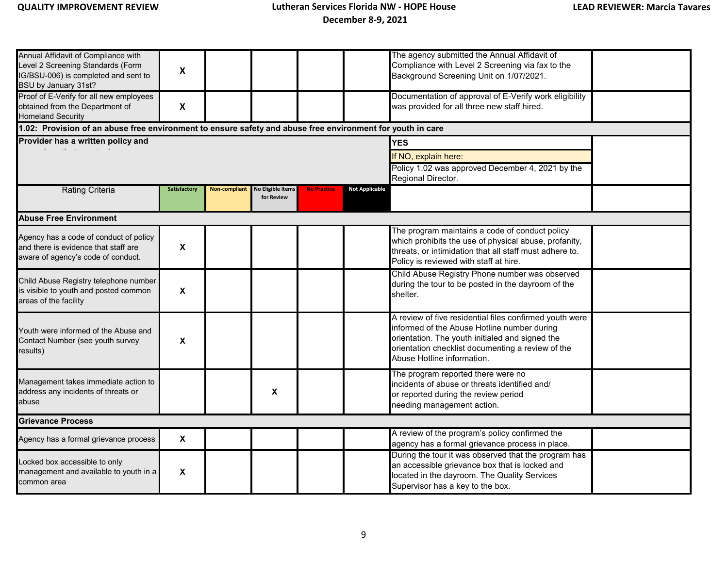| Annual Affidavit of Compliance with<br>Level 2 Screening Standards (Form<br>IG/BSU-006) is completed and sent to<br>BSU by January 31st?<br>Proof of E-Verify for all new employees<br>obtained from the Department of<br><b>Homeland Security</b><br>1.02: Provision of an abuse free environment to ensure safety and abuse free environment for youth in care<br>Provider has a written policy and | $\pmb{\mathsf{X}}$<br>X | The agency submitted the Annual Affidavit of<br>Compliance with Level 2 Screening via fax to the<br>Background Screening Unit on 1/07/2021.<br>Documentation of approval of E-Verify work eligibility<br>was provided for all three new staff hired.<br><b>YES</b><br>If NO, explain here: |                                        |                    |                       |                                                                                                                                                                                                                                              |  |
|-------------------------------------------------------------------------------------------------------------------------------------------------------------------------------------------------------------------------------------------------------------------------------------------------------------------------------------------------------------------------------------------------------|-------------------------|--------------------------------------------------------------------------------------------------------------------------------------------------------------------------------------------------------------------------------------------------------------------------------------------|----------------------------------------|--------------------|-----------------------|----------------------------------------------------------------------------------------------------------------------------------------------------------------------------------------------------------------------------------------------|--|
|                                                                                                                                                                                                                                                                                                                                                                                                       |                         |                                                                                                                                                                                                                                                                                            |                                        |                    |                       | Policy 1.02 was approved December 4, 2021 by the<br>Regional Director.                                                                                                                                                                       |  |
| <b>Rating Criteria</b>                                                                                                                                                                                                                                                                                                                                                                                | <b>Satisfactory</b>     | <b>Non-compliant</b>                                                                                                                                                                                                                                                                       | <b>No Eligible Items</b><br>for Review | <b>No Practice</b> | <b>Not Applicable</b> |                                                                                                                                                                                                                                              |  |
| <b>Abuse Free Environment</b>                                                                                                                                                                                                                                                                                                                                                                         |                         |                                                                                                                                                                                                                                                                                            |                                        |                    |                       |                                                                                                                                                                                                                                              |  |
| Agency has a code of conduct of policy<br>and there is evidence that staff are<br>aware of agency's code of conduct.                                                                                                                                                                                                                                                                                  | X                       |                                                                                                                                                                                                                                                                                            |                                        |                    |                       | The program maintains a code of conduct policy<br>which prohibits the use of physical abuse, profanity,<br>threats, or intimidation that all staff must adhere to.<br>Policy is reviewed with staff at hire.                                 |  |
| Child Abuse Registry telephone number<br>is visible to youth and posted common<br>areas of the facility                                                                                                                                                                                                                                                                                               | X                       |                                                                                                                                                                                                                                                                                            |                                        |                    |                       | Child Abuse Registry Phone number was observed<br>during the tour to be posted in the dayroom of the<br>shelter.                                                                                                                             |  |
| Youth were informed of the Abuse and<br>Contact Number (see youth survey<br>results)                                                                                                                                                                                                                                                                                                                  | $\pmb{\mathsf{X}}$      |                                                                                                                                                                                                                                                                                            |                                        |                    |                       | A review of five residential files confirmed youth were<br>informed of the Abuse Hotline number during<br>orientation. The youth initialed and signed the<br>orientation checklist documenting a review of the<br>Abuse Hotline information. |  |
| Management takes immediate action to<br>address any incidents of threats or<br>abuse                                                                                                                                                                                                                                                                                                                  |                         |                                                                                                                                                                                                                                                                                            | $\pmb{\chi}$                           |                    |                       | The program reported there were no<br>incidents of abuse or threats identified and/<br>or reported during the review period<br>needing management action.                                                                                    |  |
| <b>Grievance Process</b>                                                                                                                                                                                                                                                                                                                                                                              |                         |                                                                                                                                                                                                                                                                                            |                                        |                    |                       |                                                                                                                                                                                                                                              |  |
| Agency has a formal grievance process                                                                                                                                                                                                                                                                                                                                                                 | X                       |                                                                                                                                                                                                                                                                                            |                                        |                    |                       | A review of the program's policy confirmed the<br>agency has a formal grievance process in place.                                                                                                                                            |  |
| Locked box accessible to only<br>management and available to youth in a<br>common area                                                                                                                                                                                                                                                                                                                | X                       |                                                                                                                                                                                                                                                                                            |                                        |                    |                       | During the tour it was observed that the program has<br>an accessible grievance box that is locked and<br>located in the dayroom. The Quality Services<br>Supervisor has a key to the box.                                                   |  |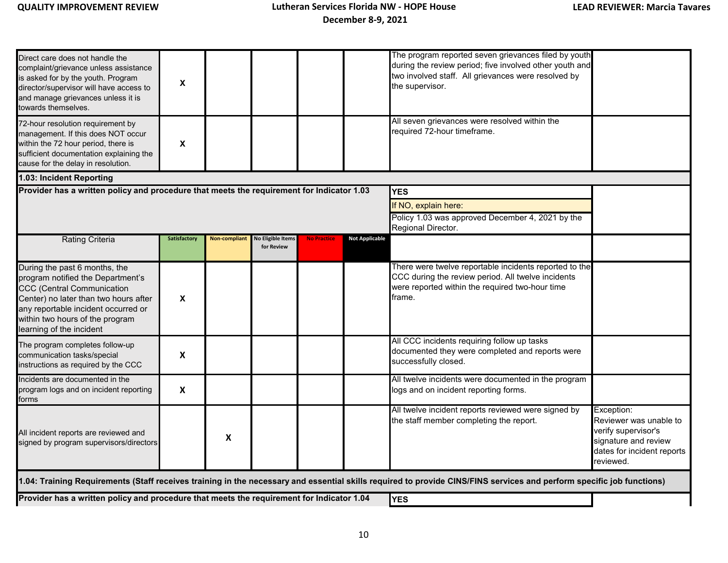| Direct care does not handle the<br>complaint/grievance unless assistance<br>is asked for by the youth. Program<br>director/supervisor will have access to<br>and manage grievances unless it is<br>towards themselves.<br>72-hour resolution requirement by | $\pmb{\mathsf{X}}$        |                      |                                 |                    |                       | The program reported seven grievances filed by youth<br>during the review period; five involved other youth and<br>two involved staff. All grievances were resolved by<br>the supervisor.<br>All seven grievances were resolved within the |                                                                                                                                |  |  |  |  |
|-------------------------------------------------------------------------------------------------------------------------------------------------------------------------------------------------------------------------------------------------------------|---------------------------|----------------------|---------------------------------|--------------------|-----------------------|--------------------------------------------------------------------------------------------------------------------------------------------------------------------------------------------------------------------------------------------|--------------------------------------------------------------------------------------------------------------------------------|--|--|--|--|
| management. If this does NOT occur<br>within the 72 hour period, there is<br>sufficient documentation explaining the<br>cause for the delay in resolution.                                                                                                  | X                         |                      |                                 |                    |                       | required 72-hour timeframe.                                                                                                                                                                                                                |                                                                                                                                |  |  |  |  |
| 1.03: Incident Reporting                                                                                                                                                                                                                                    |                           |                      |                                 |                    |                       |                                                                                                                                                                                                                                            |                                                                                                                                |  |  |  |  |
| Provider has a written policy and procedure that meets the requirement for Indicator 1.03<br><b>YES</b>                                                                                                                                                     |                           |                      |                                 |                    |                       |                                                                                                                                                                                                                                            |                                                                                                                                |  |  |  |  |
|                                                                                                                                                                                                                                                             |                           |                      |                                 |                    | If NO, explain here:  |                                                                                                                                                                                                                                            |                                                                                                                                |  |  |  |  |
|                                                                                                                                                                                                                                                             |                           |                      |                                 |                    |                       | Policy 1.03 was approved December 4, 2021 by the<br>Regional Director.                                                                                                                                                                     |                                                                                                                                |  |  |  |  |
| <b>Rating Criteria</b>                                                                                                                                                                                                                                      | Satisfactory              | <b>Non-compliant</b> | lo Eligible Items<br>for Review | <b>No Practice</b> | <b>Not Applicable</b> |                                                                                                                                                                                                                                            |                                                                                                                                |  |  |  |  |
| During the past 6 months, the<br>program notified the Department's<br><b>CCC</b> (Central Communication<br>Center) no later than two hours after<br>any reportable incident occurred or<br>within two hours of the program<br>learning of the incident      | X                         |                      |                                 |                    |                       | There were twelve reportable incidents reported to the<br>CCC during the review period. All twelve incidents<br>were reported within the required two-hour time<br>frame.                                                                  |                                                                                                                                |  |  |  |  |
| The program completes follow-up<br>communication tasks/special<br>instructions as required by the CCC                                                                                                                                                       | $\pmb{\mathsf{X}}$        |                      |                                 |                    |                       | All CCC incidents requiring follow up tasks<br>documented they were completed and reports were<br>successfully closed.                                                                                                                     |                                                                                                                                |  |  |  |  |
| Incidents are documented in the<br>program logs and on incident reporting<br>forms                                                                                                                                                                          | $\boldsymbol{\mathsf{X}}$ |                      |                                 |                    |                       | All twelve incidents were documented in the program<br>logs and on incident reporting forms.                                                                                                                                               |                                                                                                                                |  |  |  |  |
| All incident reports are reviewed and<br>signed by program supervisors/directors                                                                                                                                                                            |                           | X                    |                                 |                    |                       | All twelve incident reports reviewed were signed by<br>the staff member completing the report.                                                                                                                                             | Exception:<br>Reviewer was unable to<br>verify supervisor's<br>signature and review<br>dates for incident reports<br>reviewed. |  |  |  |  |
|                                                                                                                                                                                                                                                             |                           |                      |                                 |                    |                       | 1.04: Training Requirements (Staff receives training in the necessary and essential skills required to provide CINS/FINS services and perform specific job functions)                                                                      |                                                                                                                                |  |  |  |  |
| Provider has a written policy and procedure that meets the requirement for Indicator 1.04<br><b>YES</b>                                                                                                                                                     |                           |                      |                                 |                    |                       |                                                                                                                                                                                                                                            |                                                                                                                                |  |  |  |  |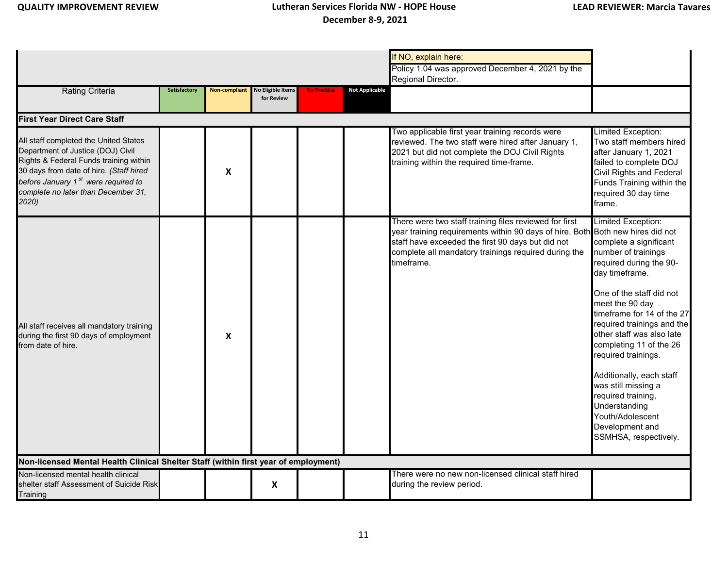|                                                                                                                                                                                                                                                                   |                     |               |                                        |                    |                       | If NO, explain here:                                                                                                                                                                                                                                                |                                                                                                                                                                                                                                                                                                                                                                                                                                                                      |
|-------------------------------------------------------------------------------------------------------------------------------------------------------------------------------------------------------------------------------------------------------------------|---------------------|---------------|----------------------------------------|--------------------|-----------------------|---------------------------------------------------------------------------------------------------------------------------------------------------------------------------------------------------------------------------------------------------------------------|----------------------------------------------------------------------------------------------------------------------------------------------------------------------------------------------------------------------------------------------------------------------------------------------------------------------------------------------------------------------------------------------------------------------------------------------------------------------|
|                                                                                                                                                                                                                                                                   |                     |               |                                        |                    |                       | Policy 1.04 was approved December 4, 2021 by the<br>Regional Director.                                                                                                                                                                                              |                                                                                                                                                                                                                                                                                                                                                                                                                                                                      |
| <b>Rating Criteria</b>                                                                                                                                                                                                                                            | <b>Satisfactory</b> | Non-compliant | <b>No Eligible Items</b><br>for Review | <b>No Practice</b> | <b>Not Applicable</b> |                                                                                                                                                                                                                                                                     |                                                                                                                                                                                                                                                                                                                                                                                                                                                                      |
| <b>First Year Direct Care Staff</b>                                                                                                                                                                                                                               |                     |               |                                        |                    |                       |                                                                                                                                                                                                                                                                     |                                                                                                                                                                                                                                                                                                                                                                                                                                                                      |
| All staff completed the United States<br>Department of Justice (DOJ) Civil<br>Rights & Federal Funds training within<br>30 days from date of hire. (Staff hired<br>before January 1 <sup>st</sup> were required to<br>complete no later than December 31,<br>2020 |                     | X             |                                        |                    |                       | Two applicable first year training records were<br>reviewed. The two staff were hired after January 1,<br>2021 but did not complete the DOJ Civil Rights<br>training within the required time-frame.                                                                | Limited Exception:<br>Two staff members hired<br>after January 1, 2021<br>failed to complete DOJ<br>Civil Rights and Federal<br>Funds Training within the<br>required 30 day time<br>frame.                                                                                                                                                                                                                                                                          |
| All staff receives all mandatory training<br>during the first 90 days of employment<br>from date of hire.                                                                                                                                                         |                     | X             |                                        |                    |                       | There were two staff training files reviewed for first<br>year training requirements within 90 days of hire. Both Both new hires did not<br>staff have exceeded the first 90 days but did not<br>complete all mandatory trainings required during the<br>timeframe. | Limited Exception:<br>complete a significant<br>number of trainings<br>required during the 90-<br>day timeframe.<br>One of the staff did not<br>meet the 90 day<br>timeframe for 14 of the 27<br>required trainings and the<br>other staff was also late<br>completing 11 of the 26<br>required trainings.<br>Additionally, each staff<br>was still missing a<br>required training,<br>Understanding<br>Youth/Adolescent<br>Development and<br>SSMHSA, respectively. |
| Non-licensed Mental Health Clinical Shelter Staff (within first year of employment)                                                                                                                                                                               |                     |               |                                        |                    |                       |                                                                                                                                                                                                                                                                     |                                                                                                                                                                                                                                                                                                                                                                                                                                                                      |
| Non-licensed mental health clinical<br>shelter staff Assessment of Suicide Risk<br>Training                                                                                                                                                                       |                     |               | X                                      |                    |                       | There were no new non-licensed clinical staff hired<br>during the review period.                                                                                                                                                                                    |                                                                                                                                                                                                                                                                                                                                                                                                                                                                      |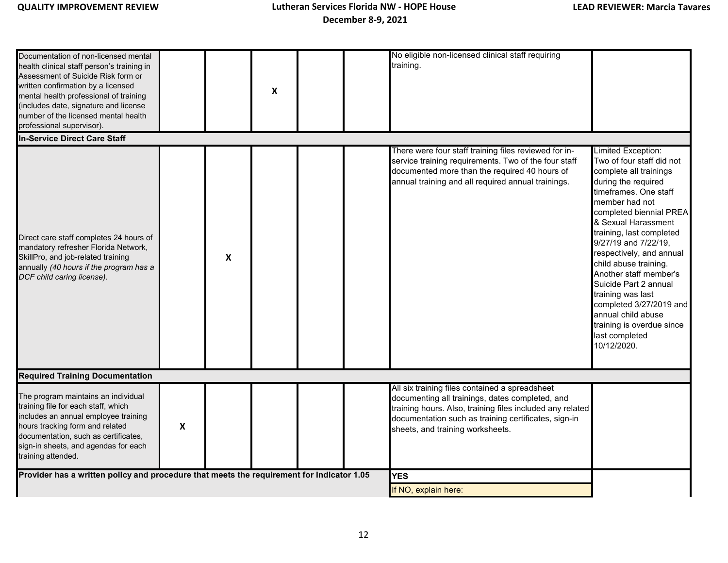| Documentation of non-licensed mental                                                                                                                                                                                                                                           |   |                           |                           |  | No eligible non-licensed clinical staff requiring                                                                                                                                                                                                          |                                                                                                                                                                                                                                                                                                                                                                                                                                                                                               |
|--------------------------------------------------------------------------------------------------------------------------------------------------------------------------------------------------------------------------------------------------------------------------------|---|---------------------------|---------------------------|--|------------------------------------------------------------------------------------------------------------------------------------------------------------------------------------------------------------------------------------------------------------|-----------------------------------------------------------------------------------------------------------------------------------------------------------------------------------------------------------------------------------------------------------------------------------------------------------------------------------------------------------------------------------------------------------------------------------------------------------------------------------------------|
| health clinical staff person's training in<br>Assessment of Suicide Risk form or<br>written confirmation by a licensed<br>mental health professional of training<br>(includes date, signature and license<br>number of the licensed mental health<br>professional supervisor). |   |                           | $\boldsymbol{\mathsf{x}}$ |  | training.                                                                                                                                                                                                                                                  |                                                                                                                                                                                                                                                                                                                                                                                                                                                                                               |
| <b>In-Service Direct Care Staff</b>                                                                                                                                                                                                                                            |   |                           |                           |  |                                                                                                                                                                                                                                                            |                                                                                                                                                                                                                                                                                                                                                                                                                                                                                               |
| Direct care staff completes 24 hours of<br>mandatory refresher Florida Network,<br>SkillPro, and job-related training<br>annually (40 hours if the program has a<br>DCF child caring license).                                                                                 |   | $\boldsymbol{\mathsf{X}}$ |                           |  | There were four staff training files reviewed for in-<br>service training requirements. Two of the four staff<br>documented more than the required 40 hours of<br>annual training and all required annual trainings.                                       | Limited Exception:<br>Two of four staff did not<br>complete all trainings<br>during the required<br>timeframes. One staff<br>member had not<br>completed biennial PREA<br>& Sexual Harassment<br>training, last completed<br>9/27/19 and 7/22/19,<br>respectively, and annual<br>child abuse training.<br>Another staff member's<br>Suicide Part 2 annual<br>training was last<br>completed 3/27/2019 and<br>annual child abuse<br>training is overdue since<br>last completed<br>10/12/2020. |
| <b>Required Training Documentation</b>                                                                                                                                                                                                                                         |   |                           |                           |  |                                                                                                                                                                                                                                                            |                                                                                                                                                                                                                                                                                                                                                                                                                                                                                               |
| The program maintains an individual<br>training file for each staff, which<br>includes an annual employee training<br>hours tracking form and related<br>documentation, such as certificates,<br>sign-in sheets, and agendas for each<br>training attended.                    | X |                           |                           |  | All six training files contained a spreadsheet<br>documenting all trainings, dates completed, and<br>training hours. Also, training files included any related<br>documentation such as training certificates, sign-in<br>sheets, and training worksheets. |                                                                                                                                                                                                                                                                                                                                                                                                                                                                                               |
| Provider has a written policy and procedure that meets the requirement for Indicator 1.05                                                                                                                                                                                      |   |                           |                           |  | <b>YES</b>                                                                                                                                                                                                                                                 |                                                                                                                                                                                                                                                                                                                                                                                                                                                                                               |
|                                                                                                                                                                                                                                                                                |   |                           |                           |  | If NO, explain here:                                                                                                                                                                                                                                       |                                                                                                                                                                                                                                                                                                                                                                                                                                                                                               |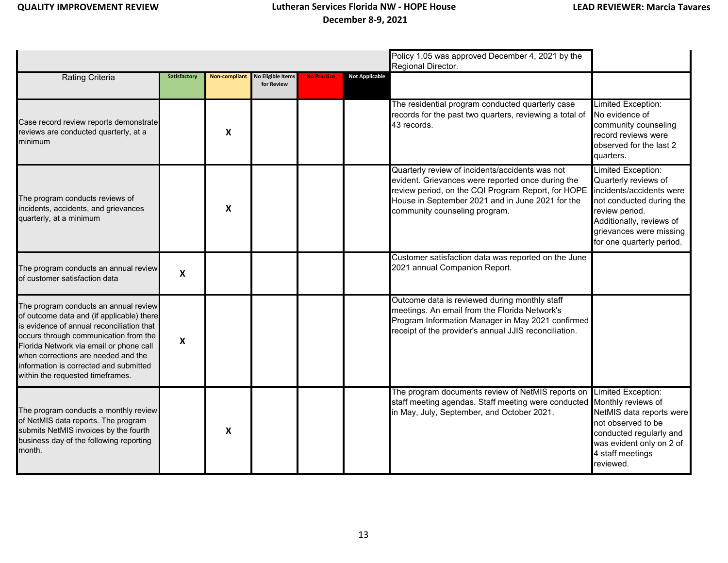|                                                                                                                                                                                                                                                                                                                                          |                           |               |                                        |             |                       | Policy 1.05 was approved December 4, 2021 by the<br>Regional Director.                                                                                                                                                                          |                                                                                                                                                                                                          |
|------------------------------------------------------------------------------------------------------------------------------------------------------------------------------------------------------------------------------------------------------------------------------------------------------------------------------------------|---------------------------|---------------|----------------------------------------|-------------|-----------------------|-------------------------------------------------------------------------------------------------------------------------------------------------------------------------------------------------------------------------------------------------|----------------------------------------------------------------------------------------------------------------------------------------------------------------------------------------------------------|
| <b>Rating Criteria</b>                                                                                                                                                                                                                                                                                                                   | Satisfactory              | Non-compliant | <b>No Eligible Items</b><br>for Review | No Practice | <b>Not Applicable</b> |                                                                                                                                                                                                                                                 |                                                                                                                                                                                                          |
| Case record review reports demonstrate<br>reviews are conducted quarterly, at a<br>minimum                                                                                                                                                                                                                                               |                           | X             |                                        |             |                       | The residential program conducted quarterly case<br>records for the past two quarters, reviewing a total of<br>43 records.                                                                                                                      | Limited Exception:<br>No evidence of<br>community counseling<br>record reviews were<br>observed for the last 2<br>quarters.                                                                              |
| The program conducts reviews of<br>incidents, accidents, and grievances<br>quarterly, at a minimum                                                                                                                                                                                                                                       |                           | X             |                                        |             |                       | Quarterly review of incidents/accidents was not<br>evident. Grievances were reported once during the<br>review period, on the CQI Program Report, for HOPE<br>House in September 2021 and in June 2021 for the<br>community counseling program. | Limited Exception:<br>Quarterly reviews of<br>incidents/accidents were<br>not conducted during the<br>review period.<br>Additionally, reviews of<br>grievances were missing<br>for one quarterly period. |
| The program conducts an annual review<br>of customer satisfaction data                                                                                                                                                                                                                                                                   | $\boldsymbol{\mathsf{x}}$ |               |                                        |             |                       | Customer satisfaction data was reported on the June<br>2021 annual Companion Report.                                                                                                                                                            |                                                                                                                                                                                                          |
| The program conducts an annual review<br>of outcome data and (if applicable) there<br>is evidence of annual reconciliation that<br>occurs through communication from the<br>Florida Network via email or phone call<br>when corrections are needed and the<br>information is corrected and submitted<br>within the requested timeframes. | X                         |               |                                        |             |                       | Outcome data is reviewed during monthly staff<br>meetings. An email from the Florida Network's<br>Program Information Manager in May 2021 confirmed<br>receipt of the provider's annual JJIS reconciliation.                                    |                                                                                                                                                                                                          |
| The program conducts a monthly review<br>of NetMIS data reports. The program<br>submits NetMIS invoices by the fourth<br>business day of the following reporting<br>month.                                                                                                                                                               |                           | X             |                                        |             |                       | The program documents review of NetMIS reports on<br>staff meeting agendas. Staff meeting were conducted<br>in May, July, September, and October 2021.                                                                                          | <b>Limited Exception:</b><br>Monthly reviews of<br>NetMIS data reports were<br>not observed to be<br>conducted regularly and<br>was evident only on 2 of<br>4 staff meetings<br>reviewed.                |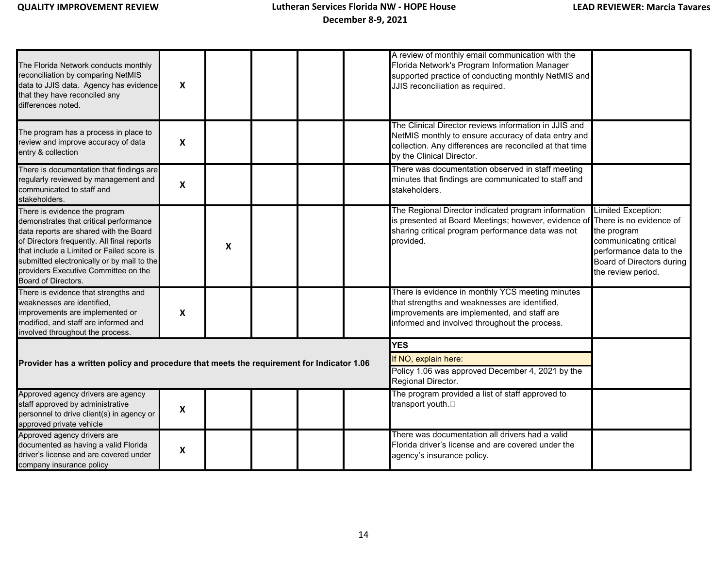| The Florida Network conducts monthly<br>reconciliation by comparing NetMIS<br>data to JJIS data. Agency has evidence<br>that they have reconciled any<br>differences noted.                                                                                                                                               | $\boldsymbol{x}$          |   |  | A review of monthly email communication with the<br>Florida Network's Program Information Manager<br>supported practice of conducting monthly NetMIS and<br>JJIS reconciliation as required.          |                                                                                                                                           |
|---------------------------------------------------------------------------------------------------------------------------------------------------------------------------------------------------------------------------------------------------------------------------------------------------------------------------|---------------------------|---|--|-------------------------------------------------------------------------------------------------------------------------------------------------------------------------------------------------------|-------------------------------------------------------------------------------------------------------------------------------------------|
| The program has a process in place to<br>review and improve accuracy of data<br>entry & collection                                                                                                                                                                                                                        | $\boldsymbol{\mathsf{x}}$ |   |  | The Clinical Director reviews information in JJIS and<br>NetMIS monthly to ensure accuracy of data entry and<br>collection. Any differences are reconciled at that time<br>by the Clinical Director.  |                                                                                                                                           |
| There is documentation that findings are<br>regularly reviewed by management and<br>communicated to staff and<br>stakeholders.                                                                                                                                                                                            | X                         |   |  | There was documentation observed in staff meeting<br>minutes that findings are communicated to staff and<br>stakeholders.                                                                             |                                                                                                                                           |
| There is evidence the program<br>demonstrates that critical performance<br>data reports are shared with the Board<br>of Directors frequently. All final reports<br>that include a Limited or Failed score is<br>submitted electronically or by mail to the<br>providers Executive Committee on the<br>Board of Directors. |                           | X |  | The Regional Director indicated program information<br>is presented at Board Meetings; however, evidence of There is no evidence of<br>sharing critical program performance data was not<br>provided. | Limited Exception:<br>the program<br>communicating critical<br>performance data to the<br>Board of Directors during<br>the review period. |
| There is evidence that strengths and<br>weaknesses are identified,<br>improvements are implemented or<br>modified, and staff are informed and<br>involved throughout the process.                                                                                                                                         | X                         |   |  | There is evidence in monthly YCS meeting minutes<br>that strengths and weaknesses are identified,<br>improvements are implemented, and staff are<br>informed and involved throughout the process.     |                                                                                                                                           |
|                                                                                                                                                                                                                                                                                                                           |                           |   |  | <b>YES</b>                                                                                                                                                                                            |                                                                                                                                           |
| Provider has a written policy and procedure that meets the requirement for Indicator 1.06                                                                                                                                                                                                                                 |                           |   |  | If NO, explain here:<br>Policy 1.06 was approved December 4, 2021 by the<br>Regional Director.                                                                                                        |                                                                                                                                           |
| Approved agency drivers are agency<br>staff approved by administrative<br>personnel to drive client(s) in agency or<br>approved private vehicle                                                                                                                                                                           | X                         |   |  | The program provided a list of staff approved to<br>transport youth.                                                                                                                                  |                                                                                                                                           |
| Approved agency drivers are<br>documented as having a valid Florida<br>driver's license and are covered under<br>company insurance policy                                                                                                                                                                                 | $\pmb{\mathsf{X}}$        |   |  | There was documentation all drivers had a valid<br>Florida driver's license and are covered under the<br>agency's insurance policy.                                                                   |                                                                                                                                           |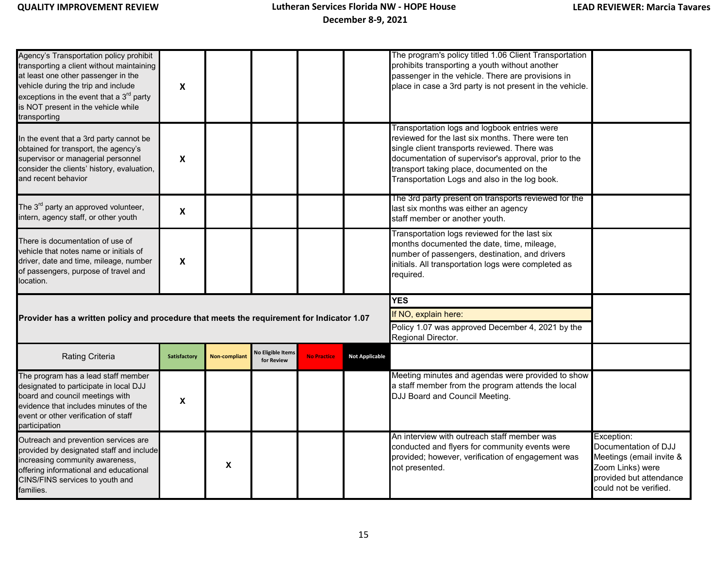| Agency's Transportation policy prohibit<br>transporting a client without maintaining<br>at least one other passenger in the<br>vehicle during the trip and include<br>exceptions in the event that a 3 $^{\sf rd}$ party<br>is NOT present in the vehicle while<br>transporting | $\mathsf{x}$              |                      |                                        |                    |                       | The program's policy titled 1.06 Client Transportation<br>prohibits transporting a youth without another<br>passenger in the vehicle. There are provisions in<br>place in case a 3rd party is not present in the vehicle.                                                                              |                                                                                                                                         |
|---------------------------------------------------------------------------------------------------------------------------------------------------------------------------------------------------------------------------------------------------------------------------------|---------------------------|----------------------|----------------------------------------|--------------------|-----------------------|--------------------------------------------------------------------------------------------------------------------------------------------------------------------------------------------------------------------------------------------------------------------------------------------------------|-----------------------------------------------------------------------------------------------------------------------------------------|
| In the event that a 3rd party cannot be<br>obtained for transport, the agency's<br>supervisor or managerial personnel<br>consider the clients' history, evaluation,<br>and recent behavior                                                                                      | $\mathsf{x}$              |                      |                                        |                    |                       | Transportation logs and logbook entries were<br>reviewed for the last six months. There were ten<br>single client transports reviewed. There was<br>documentation of supervisor's approval, prior to the<br>transport taking place, documented on the<br>Transportation Logs and also in the log book. |                                                                                                                                         |
| The 3 <sup>rd</sup> party an approved volunteer,<br>intern, agency staff, or other youth                                                                                                                                                                                        | $\mathbf x$               |                      |                                        |                    |                       | The 3rd party present on transports reviewed for the<br>last six months was either an agency<br>staff member or another youth.                                                                                                                                                                         |                                                                                                                                         |
| There is documentation of use of<br>vehicle that notes name or initials of<br>driver, date and time, mileage, number<br>of passengers, purpose of travel and<br>ocation.                                                                                                        | $\boldsymbol{\mathsf{x}}$ |                      |                                        |                    |                       | Transportation logs reviewed for the last six<br>months documented the date, time, mileage,<br>number of passengers, destination, and drivers<br>initials. All transportation logs were completed as<br>required.                                                                                      |                                                                                                                                         |
|                                                                                                                                                                                                                                                                                 |                           |                      |                                        |                    |                       | <b>YES</b>                                                                                                                                                                                                                                                                                             |                                                                                                                                         |
| Provider has a written policy and procedure that meets the requirement for Indicator 1.07                                                                                                                                                                                       |                           |                      |                                        |                    |                       | If NO, explain here:                                                                                                                                                                                                                                                                                   |                                                                                                                                         |
|                                                                                                                                                                                                                                                                                 |                           |                      |                                        |                    |                       | Policy 1.07 was approved December 4, 2021 by the<br>Regional Director.                                                                                                                                                                                                                                 |                                                                                                                                         |
| <b>Rating Criteria</b>                                                                                                                                                                                                                                                          | Satisfactory              | <b>Non-compliant</b> | <b>No Eligible Items</b><br>for Review | <b>No Practice</b> | <b>Not Applicable</b> |                                                                                                                                                                                                                                                                                                        |                                                                                                                                         |
| The program has a lead staff member<br>designated to participate in local DJJ<br>board and council meetings with<br>evidence that includes minutes of the<br>event or other verification of staff<br>participation                                                              | X                         |                      |                                        |                    |                       | Meeting minutes and agendas were provided to show<br>a staff member from the program attends the local<br>DJJ Board and Council Meeting.                                                                                                                                                               |                                                                                                                                         |
| Outreach and prevention services are<br>provided by designated staff and include<br>increasing community awareness,<br>offering informational and educational<br>CINS/FINS services to youth and<br>families.                                                                   |                           | X                    |                                        |                    |                       | An interview with outreach staff member was<br>conducted and flyers for community events were<br>provided; however, verification of engagement was<br>not presented.                                                                                                                                   | Exception:<br>Documentation of DJJ<br>Meetings (email invite &<br>Zoom Links) were<br>provided but attendance<br>could not be verified. |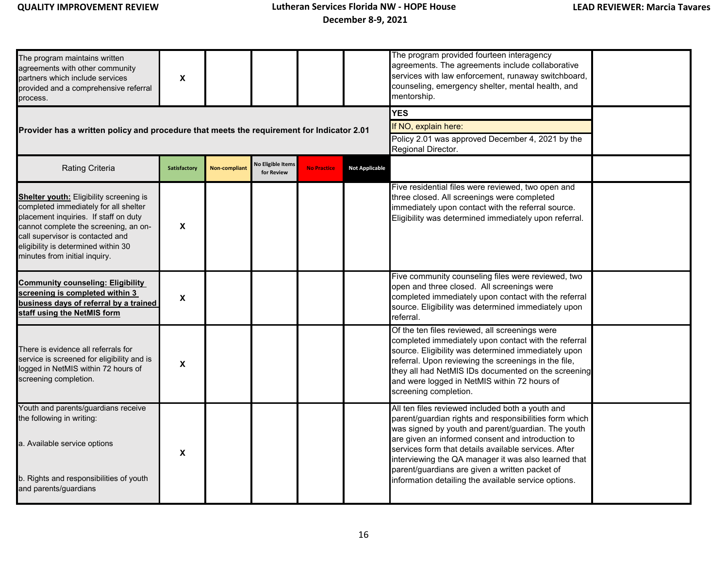| The program maintains written<br>agreements with other community<br>partners which include services<br>provided and a comprehensive referral<br>process.                                                                                                                              | X                   |                      |                                        |                                                                                                              |                       | The program provided fourteen interagency<br>agreements. The agreements include collaborative<br>services with law enforcement, runaway switchboard,<br>counseling, emergency shelter, mental health, and<br>mentorship.                                                                                                                                                                                                                        |  |
|---------------------------------------------------------------------------------------------------------------------------------------------------------------------------------------------------------------------------------------------------------------------------------------|---------------------|----------------------|----------------------------------------|--------------------------------------------------------------------------------------------------------------|-----------------------|-------------------------------------------------------------------------------------------------------------------------------------------------------------------------------------------------------------------------------------------------------------------------------------------------------------------------------------------------------------------------------------------------------------------------------------------------|--|
| Provider has a written policy and procedure that meets the requirement for Indicator 2.01                                                                                                                                                                                             |                     |                      |                                        | <b>YES</b><br>If NO, explain here:<br>Policy 2.01 was approved December 4, 2021 by the<br>Regional Director. |                       |                                                                                                                                                                                                                                                                                                                                                                                                                                                 |  |
| <b>Rating Criteria</b>                                                                                                                                                                                                                                                                | <b>Satisfactory</b> | <b>Non-compliant</b> | <b>No Eligible Items</b><br>for Review | <b>No Practice</b>                                                                                           | <b>Not Applicable</b> |                                                                                                                                                                                                                                                                                                                                                                                                                                                 |  |
| <b>Shelter youth:</b> Eligibility screening is<br>completed immediately for all shelter<br>placement inquiries. If staff on duty<br>cannot complete the screening, an on-<br>call supervisor is contacted and<br>eligibility is determined within 30<br>minutes from initial inquiry. | X                   |                      |                                        |                                                                                                              |                       | Five residential files were reviewed, two open and<br>three closed. All screenings were completed<br>immediately upon contact with the referral source.<br>Eligibility was determined immediately upon referral.                                                                                                                                                                                                                                |  |
| <b>Community counseling: Eligibility</b><br>screening is completed within 3<br>business days of referral by a trained<br>staff using the NetMIS form                                                                                                                                  | X                   |                      |                                        |                                                                                                              |                       | Five community counseling files were reviewed, two<br>open and three closed. All screenings were<br>completed immediately upon contact with the referral<br>source. Eligibility was determined immediately upon<br>referral.                                                                                                                                                                                                                    |  |
| There is evidence all referrals for<br>service is screened for eligibility and is<br>logged in NetMIS within 72 hours of<br>screening completion.                                                                                                                                     | X                   |                      |                                        |                                                                                                              |                       | Of the ten files reviewed, all screenings were<br>completed immediately upon contact with the referral<br>source. Eligibility was determined immediately upon<br>referral. Upon reviewing the screenings in the file,<br>they all had NetMIS IDs documented on the screening<br>and were logged in NetMIS within 72 hours of<br>screening completion.                                                                                           |  |
| Youth and parents/guardians receive<br>the following in writing:<br>a. Available service options<br>b. Rights and responsibilities of youth<br>and parents/guardians                                                                                                                  | X                   |                      |                                        |                                                                                                              |                       | All ten files reviewed included both a youth and<br>parent/guardian rights and responsibilities form which<br>was signed by youth and parent/guardian. The youth<br>are given an informed consent and introduction to<br>services form that details available services. After<br>interviewing the QA manager it was also learned that<br>parent/guardians are given a written packet of<br>information detailing the available service options. |  |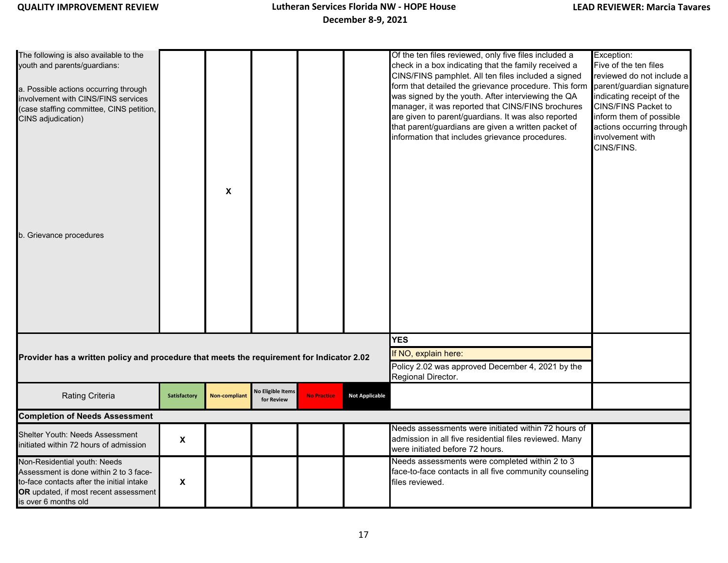| The following is also available to the<br>youth and parents/guardians:<br>a. Possible actions occurring through<br>involvement with CINS/FINS services<br>(case staffing committee, CINS petition,<br>CINS adjudication)<br>b. Grievance procedures |                           | X                    |                                 |                    |                       | Of the ten files reviewed, only five files included a<br>check in a box indicating that the family received a<br>CINS/FINS pamphlet. All ten files included a signed<br>form that detailed the grievance procedure. This form<br>was signed by the youth. After interviewing the QA<br>manager, it was reported that CINS/FINS brochures<br>are given to parent/guardians. It was also reported<br>that parent/guardians are given a written packet of<br>information that includes grievance procedures. | Exception:<br>Five of the ten files<br>reviewed do not include a<br>parent/guardian signature<br>indicating receipt of the<br>CINS/FINS Packet to<br>inform them of possible<br>actions occurring through<br>involvement with<br>CINS/FINS. |
|-----------------------------------------------------------------------------------------------------------------------------------------------------------------------------------------------------------------------------------------------------|---------------------------|----------------------|---------------------------------|--------------------|-----------------------|-----------------------------------------------------------------------------------------------------------------------------------------------------------------------------------------------------------------------------------------------------------------------------------------------------------------------------------------------------------------------------------------------------------------------------------------------------------------------------------------------------------|---------------------------------------------------------------------------------------------------------------------------------------------------------------------------------------------------------------------------------------------|
| Provider has a written policy and procedure that meets the requirement for Indicator 2.02                                                                                                                                                           |                           |                      |                                 |                    |                       | <b>YES</b><br>If NO, explain here:<br>Policy 2.02 was approved December 4, 2021 by the                                                                                                                                                                                                                                                                                                                                                                                                                    |                                                                                                                                                                                                                                             |
|                                                                                                                                                                                                                                                     |                           |                      |                                 |                    |                       | Regional Director.                                                                                                                                                                                                                                                                                                                                                                                                                                                                                        |                                                                                                                                                                                                                                             |
| <b>Rating Criteria</b>                                                                                                                                                                                                                              | Satisfactory              | <b>Non-compliant</b> | No Eligible Items<br>for Review | <b>No Practice</b> | <b>Not Applicable</b> |                                                                                                                                                                                                                                                                                                                                                                                                                                                                                                           |                                                                                                                                                                                                                                             |
| <b>Completion of Needs Assessment</b>                                                                                                                                                                                                               |                           |                      |                                 |                    |                       |                                                                                                                                                                                                                                                                                                                                                                                                                                                                                                           |                                                                                                                                                                                                                                             |
| Shelter Youth: Needs Assessment<br>initiated within 72 hours of admission                                                                                                                                                                           | $\pmb{\chi}$              |                      |                                 |                    |                       | Needs assessments were initiated within 72 hours of<br>admission in all five residential files reviewed. Many<br>were initiated before 72 hours.                                                                                                                                                                                                                                                                                                                                                          |                                                                                                                                                                                                                                             |
| Non-Residential youth: Needs<br>Assessment is done within 2 to 3 face-<br>to-face contacts after the initial intake<br>OR updated, if most recent assessment<br>is over 6 months old                                                                | $\boldsymbol{\mathsf{X}}$ |                      |                                 |                    |                       | Needs assessments were completed within 2 to 3<br>face-to-face contacts in all five community counseling<br>files reviewed.                                                                                                                                                                                                                                                                                                                                                                               |                                                                                                                                                                                                                                             |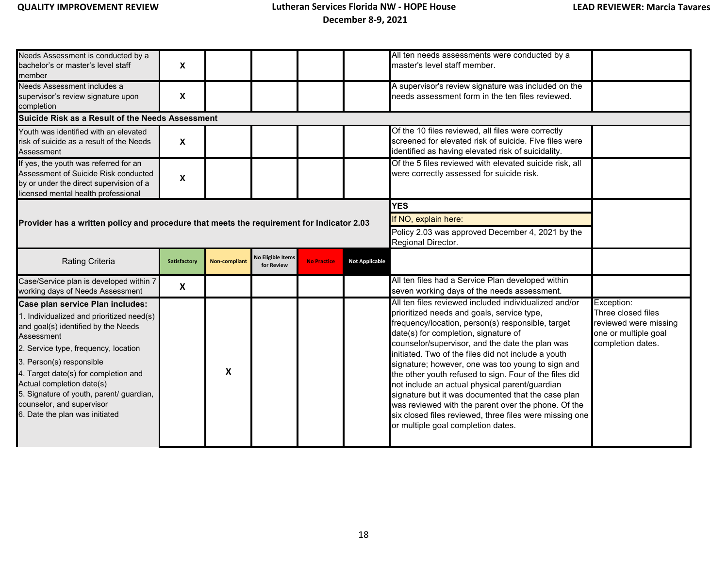| Needs Assessment is conducted by a<br>bachelor's or master's level staff<br>member<br>Needs Assessment includes a<br>supervisor's review signature upon<br>completion                                                                                                                                                                                                                  | $\pmb{\mathsf{X}}$<br>X   |                      |                                        |                    |                                                                        | All ten needs assessments were conducted by a<br>master's level staff member.<br>A supervisor's review signature was included on the<br>needs assessment form in the ten files reviewed.                                                                                                                                                                                                                                                                                                                                                                                                                                                            |                                                                                                        |
|----------------------------------------------------------------------------------------------------------------------------------------------------------------------------------------------------------------------------------------------------------------------------------------------------------------------------------------------------------------------------------------|---------------------------|----------------------|----------------------------------------|--------------------|------------------------------------------------------------------------|-----------------------------------------------------------------------------------------------------------------------------------------------------------------------------------------------------------------------------------------------------------------------------------------------------------------------------------------------------------------------------------------------------------------------------------------------------------------------------------------------------------------------------------------------------------------------------------------------------------------------------------------------------|--------------------------------------------------------------------------------------------------------|
| Suicide Risk as a Result of the Needs Assessment                                                                                                                                                                                                                                                                                                                                       |                           |                      |                                        |                    |                                                                        |                                                                                                                                                                                                                                                                                                                                                                                                                                                                                                                                                                                                                                                     |                                                                                                        |
| Youth was identified with an elevated<br>risk of suicide as a result of the Needs<br>Assessment                                                                                                                                                                                                                                                                                        | $\boldsymbol{\mathsf{x}}$ |                      |                                        |                    |                                                                        | Of the 10 files reviewed, all files were correctly<br>screened for elevated risk of suicide. Five files were<br>identified as having elevated risk of suicidality.                                                                                                                                                                                                                                                                                                                                                                                                                                                                                  |                                                                                                        |
| If yes, the youth was referred for an<br>Assessment of Suicide Risk conducted<br>by or under the direct supervision of a<br>licensed mental health professional                                                                                                                                                                                                                        | $\pmb{\mathsf{X}}$        |                      |                                        |                    |                                                                        | Of the 5 files reviewed with elevated suicide risk, all<br>were correctly assessed for suicide risk.                                                                                                                                                                                                                                                                                                                                                                                                                                                                                                                                                |                                                                                                        |
|                                                                                                                                                                                                                                                                                                                                                                                        |                           |                      |                                        |                    |                                                                        | <b>YES</b>                                                                                                                                                                                                                                                                                                                                                                                                                                                                                                                                                                                                                                          |                                                                                                        |
| Provider has a written policy and procedure that meets the requirement for Indicator 2.03                                                                                                                                                                                                                                                                                              |                           |                      |                                        |                    |                                                                        | If NO, explain here:                                                                                                                                                                                                                                                                                                                                                                                                                                                                                                                                                                                                                                |                                                                                                        |
|                                                                                                                                                                                                                                                                                                                                                                                        |                           |                      |                                        |                    | Policy 2.03 was approved December 4, 2021 by the<br>Regional Director. |                                                                                                                                                                                                                                                                                                                                                                                                                                                                                                                                                                                                                                                     |                                                                                                        |
| Rating Criteria                                                                                                                                                                                                                                                                                                                                                                        | Satisfactory              | <b>Non-compliant</b> | <b>No Eligible Items</b><br>for Review | <b>No Practice</b> | <b>Not Applicable</b>                                                  |                                                                                                                                                                                                                                                                                                                                                                                                                                                                                                                                                                                                                                                     |                                                                                                        |
| Case/Service plan is developed within 7<br>working days of Needs Assessment                                                                                                                                                                                                                                                                                                            | $\boldsymbol{\mathsf{X}}$ |                      |                                        |                    |                                                                        | All ten files had a Service Plan developed within<br>seven working days of the needs assessment.                                                                                                                                                                                                                                                                                                                                                                                                                                                                                                                                                    |                                                                                                        |
| Case plan service Plan includes:<br>1. Individualized and prioritized need(s)<br>and goal(s) identified by the Needs<br>Assessment<br>2. Service type, frequency, location<br>3. Person(s) responsible<br>4. Target date(s) for completion and<br>Actual completion date(s)<br>5. Signature of youth, parent/ guardian,<br>counselor, and supervisor<br>6. Date the plan was initiated |                           | X                    |                                        |                    |                                                                        | All ten files reviewed included individualized and/or<br>prioritized needs and goals, service type,<br>frequency/location, person(s) responsible, target<br>date(s) for completion, signature of<br>counselor/supervisor, and the date the plan was<br>initiated. Two of the files did not include a youth<br>signature; however, one was too young to sign and<br>the other youth refused to sign. Four of the files did<br>not include an actual physical parent/guardian<br>signature but it was documented that the case plan<br>was reviewed with the parent over the phone. Of the<br>six closed files reviewed, three files were missing one | Exception:<br>Three closed files<br>reviewed were missing<br>one or multiple goal<br>completion dates. |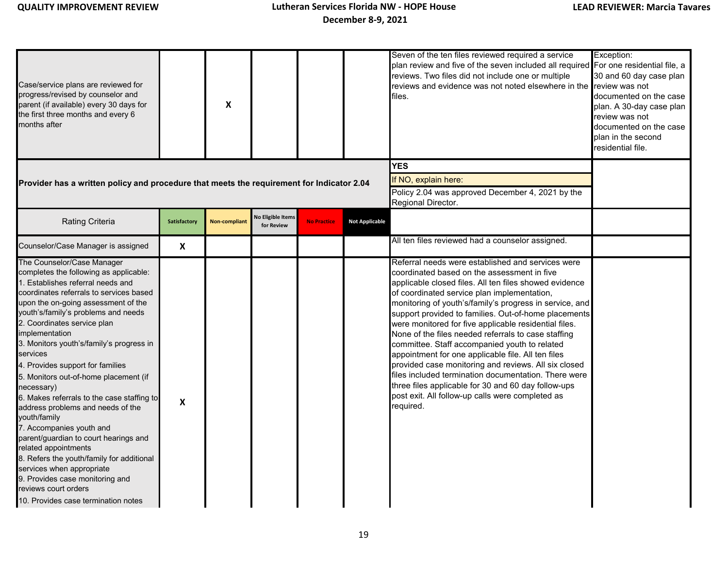| Case/service plans are reviewed for<br>progress/revised by counselor and<br>parent (if available) every 30 days for<br>the first three months and every 6<br>months after                                                                                                                                                                                                                                                                                                                                                                                                                                                                                                                                                                                                                                          |              | X                    |                                        |                    |                       | Seven of the ten files reviewed required a service<br>plan review and five of the seven included all required For one residential file, a<br>reviews. Two files did not include one or multiple<br>reviews and evidence was not noted elsewhere in the<br>files.                                                                                                                                                                                                                                                                                                                                                                                                                                                                                                                            | Exception:<br>30 and 60 day case plan<br>review was not<br>documented on the case<br>plan. A 30-day case plan<br>review was not<br>documented on the case<br>plan in the second<br>residential file. |
|--------------------------------------------------------------------------------------------------------------------------------------------------------------------------------------------------------------------------------------------------------------------------------------------------------------------------------------------------------------------------------------------------------------------------------------------------------------------------------------------------------------------------------------------------------------------------------------------------------------------------------------------------------------------------------------------------------------------------------------------------------------------------------------------------------------------|--------------|----------------------|----------------------------------------|--------------------|-----------------------|---------------------------------------------------------------------------------------------------------------------------------------------------------------------------------------------------------------------------------------------------------------------------------------------------------------------------------------------------------------------------------------------------------------------------------------------------------------------------------------------------------------------------------------------------------------------------------------------------------------------------------------------------------------------------------------------------------------------------------------------------------------------------------------------|------------------------------------------------------------------------------------------------------------------------------------------------------------------------------------------------------|
| Provider has a written policy and procedure that meets the requirement for Indicator 2.04                                                                                                                                                                                                                                                                                                                                                                                                                                                                                                                                                                                                                                                                                                                          |              |                      |                                        |                    |                       | <b>YES</b><br>If NO, explain here:<br>Policy 2.04 was approved December 4, 2021 by the<br>Regional Director.                                                                                                                                                                                                                                                                                                                                                                                                                                                                                                                                                                                                                                                                                |                                                                                                                                                                                                      |
| Rating Criteria                                                                                                                                                                                                                                                                                                                                                                                                                                                                                                                                                                                                                                                                                                                                                                                                    | Satisfactory | <b>Non-compliant</b> | <b>Jo Eligible Items</b><br>for Review | <b>No Practice</b> | <b>Not Applicable</b> |                                                                                                                                                                                                                                                                                                                                                                                                                                                                                                                                                                                                                                                                                                                                                                                             |                                                                                                                                                                                                      |
| Counselor/Case Manager is assigned                                                                                                                                                                                                                                                                                                                                                                                                                                                                                                                                                                                                                                                                                                                                                                                 | X            |                      |                                        |                    |                       | All ten files reviewed had a counselor assigned.                                                                                                                                                                                                                                                                                                                                                                                                                                                                                                                                                                                                                                                                                                                                            |                                                                                                                                                                                                      |
| The Counselor/Case Manager<br>completes the following as applicable:<br>1. Establishes referral needs and<br>coordinates referrals to services based<br>upon the on-going assessment of the<br>youth's/family's problems and needs<br>2. Coordinates service plan<br>implementation<br>3. Monitors youth's/family's progress in<br>services<br>4. Provides support for families<br>5. Monitors out-of-home placement (if<br>necessary)<br>6. Makes referrals to the case staffing to<br>address problems and needs of the<br>youth/family<br>7. Accompanies youth and<br>parent/guardian to court hearings and<br>related appointments<br>8. Refers the youth/family for additional<br>services when appropriate<br>9. Provides case monitoring and<br>reviews court orders<br>10. Provides case termination notes | X            |                      |                                        |                    |                       | Referral needs were established and services were<br>coordinated based on the assessment in five<br>applicable closed files. All ten files showed evidence<br>of coordinated service plan implementation,<br>monitoring of youth's/family's progress in service, and<br>support provided to families. Out-of-home placements<br>were monitored for five applicable residential files.<br>None of the files needed referrals to case staffing<br>committee. Staff accompanied youth to related<br>appointment for one applicable file. All ten files<br>provided case monitoring and reviews. All six closed<br>files included termination documentation. There were<br>three files applicable for 30 and 60 day follow-ups<br>post exit. All follow-up calls were completed as<br>required. |                                                                                                                                                                                                      |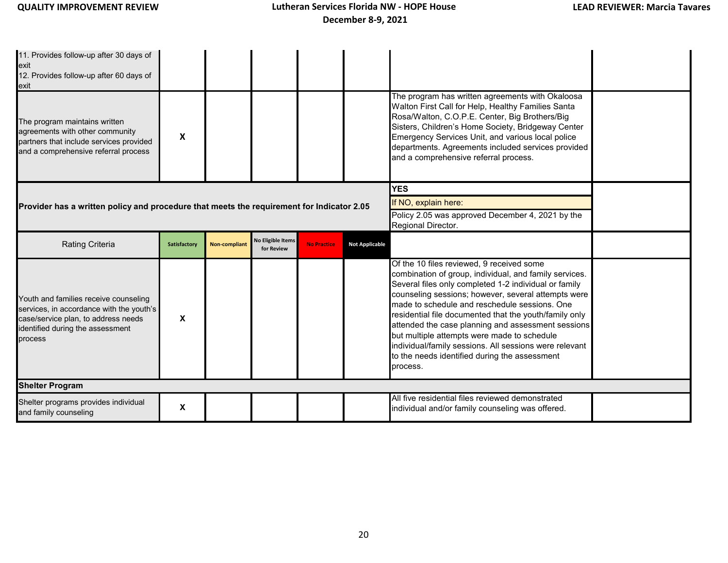| 11. Provides follow-up after 30 days of<br>exit<br>12. Provides follow-up after 60 days of<br>exit<br>The program maintains written<br>agreements with other community<br>partners that include services provided<br>and a comprehensive referral process | X            |                      |                                        |                    |                                                                                                              | The program has written agreements with Okaloosa<br>Walton First Call for Help, Healthy Families Santa<br>Rosa/Walton, C.O.P.E. Center, Big Brothers/Big<br>Sisters, Children's Home Society, Bridgeway Center<br>Emergency Services Unit, and various local police<br>departments. Agreements included services provided<br>and a comprehensive referral process.                                                                                                                                                                                         |  |
|-----------------------------------------------------------------------------------------------------------------------------------------------------------------------------------------------------------------------------------------------------------|--------------|----------------------|----------------------------------------|--------------------|--------------------------------------------------------------------------------------------------------------|------------------------------------------------------------------------------------------------------------------------------------------------------------------------------------------------------------------------------------------------------------------------------------------------------------------------------------------------------------------------------------------------------------------------------------------------------------------------------------------------------------------------------------------------------------|--|
| Provider has a written policy and procedure that meets the requirement for Indicator 2.05                                                                                                                                                                 |              |                      |                                        |                    | <b>YES</b><br>If NO, explain here:<br>Policy 2.05 was approved December 4, 2021 by the<br>Regional Director. |                                                                                                                                                                                                                                                                                                                                                                                                                                                                                                                                                            |  |
| <b>Rating Criteria</b>                                                                                                                                                                                                                                    | Satisfactory | <b>Non-compliant</b> | <b>Vo Eligible Items</b><br>for Review | <b>No Practice</b> | <b>Not Applicable</b>                                                                                        |                                                                                                                                                                                                                                                                                                                                                                                                                                                                                                                                                            |  |
| Youth and families receive counseling<br>services, in accordance with the youth's<br>case/service plan, to address needs<br>identified during the assessment<br>process                                                                                   | X            |                      |                                        |                    |                                                                                                              | Of the 10 files reviewed, 9 received some<br>combination of group, individual, and family services.<br>Several files only completed 1-2 individual or family<br>counseling sessions; however, several attempts were<br>made to schedule and reschedule sessions. One<br>residential file documented that the youth/family only<br>attended the case planning and assessment sessions<br>but multiple attempts were made to schedule<br>individual/family sessions. All sessions were relevant<br>to the needs identified during the assessment<br>process. |  |
| <b>Shelter Program</b>                                                                                                                                                                                                                                    |              |                      |                                        |                    |                                                                                                              |                                                                                                                                                                                                                                                                                                                                                                                                                                                                                                                                                            |  |
| Shelter programs provides individual<br>and family counseling                                                                                                                                                                                             | X            |                      |                                        |                    |                                                                                                              | All five residential files reviewed demonstrated<br>individual and/or family counseling was offered.                                                                                                                                                                                                                                                                                                                                                                                                                                                       |  |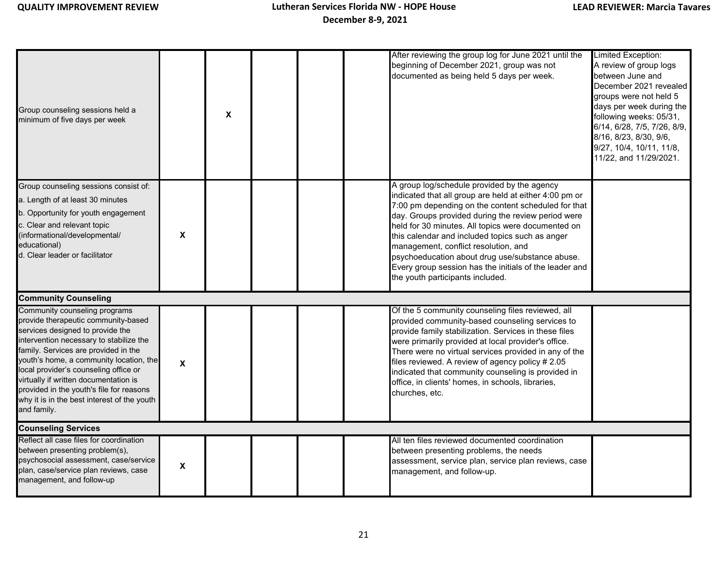| Group counseling sessions held a<br>minimum of five days per week                                                                                                                                                                                                                                                                                                                                                                  |   | X |  | After reviewing the group log for June 2021 until the<br>beginning of December 2021, group was not<br>documented as being held 5 days per week.                                                                                                                                                                                                                                                                                                                                                                      | Limited Exception:<br>A review of group logs<br>between June and<br>December 2021 revealed<br>groups were not held 5<br>days per week during the<br>following weeks: 05/31,<br>6/14, 6/28, 7/5, 7/26, 8/9,<br>8/16, 8/23, 8/30, 9/6,<br>9/27, 10/4, 10/11, 11/8,<br>11/22, and 11/29/2021. |
|------------------------------------------------------------------------------------------------------------------------------------------------------------------------------------------------------------------------------------------------------------------------------------------------------------------------------------------------------------------------------------------------------------------------------------|---|---|--|----------------------------------------------------------------------------------------------------------------------------------------------------------------------------------------------------------------------------------------------------------------------------------------------------------------------------------------------------------------------------------------------------------------------------------------------------------------------------------------------------------------------|--------------------------------------------------------------------------------------------------------------------------------------------------------------------------------------------------------------------------------------------------------------------------------------------|
| Group counseling sessions consist of:<br>a. Length of at least 30 minutes<br>b. Opportunity for youth engagement<br>c. Clear and relevant topic<br>(informational/developmental/<br>educational)<br>d. Clear leader or facilitator                                                                                                                                                                                                 | X |   |  | A group log/schedule provided by the agency<br>indicated that all group are held at either 4:00 pm or<br>7:00 pm depending on the content scheduled for that<br>day. Groups provided during the review period were<br>held for 30 minutes. All topics were documented on<br>this calendar and included topics such as anger<br>management, conflict resolution, and<br>psychoeducation about drug use/substance abuse.<br>Every group session has the initials of the leader and<br>the youth participants included. |                                                                                                                                                                                                                                                                                            |
| <b>Community Counseling</b>                                                                                                                                                                                                                                                                                                                                                                                                        |   |   |  |                                                                                                                                                                                                                                                                                                                                                                                                                                                                                                                      |                                                                                                                                                                                                                                                                                            |
| Community counseling programs<br>provide therapeutic community-based<br>services designed to provide the<br>intervention necessary to stabilize the<br>family. Services are provided in the<br>youth's home, a community location, the<br>local provider's counseling office or<br>virtually if written documentation is<br>provided in the youth's file for reasons<br>why it is in the best interest of the youth<br>and family. | X |   |  | Of the 5 community counseling files reviewed, all<br>provided community-based counseling services to<br>provide family stabilization. Services in these files<br>were primarily provided at local provider's office.<br>There were no virtual services provided in any of the<br>files reviewed. A review of agency policy # 2.05<br>indicated that community counseling is provided in<br>office, in clients' homes, in schools, libraries,<br>churches, etc.                                                       |                                                                                                                                                                                                                                                                                            |
| <b>Counseling Services</b>                                                                                                                                                                                                                                                                                                                                                                                                         |   |   |  |                                                                                                                                                                                                                                                                                                                                                                                                                                                                                                                      |                                                                                                                                                                                                                                                                                            |
| Reflect all case files for coordination<br>between presenting problem(s),<br>psychosocial assessment, case/service<br>plan, case/service plan reviews, case<br>management, and follow-up                                                                                                                                                                                                                                           | X |   |  | All ten files reviewed documented coordination<br>between presenting problems, the needs<br>assessment, service plan, service plan reviews, case<br>management, and follow-up.                                                                                                                                                                                                                                                                                                                                       |                                                                                                                                                                                                                                                                                            |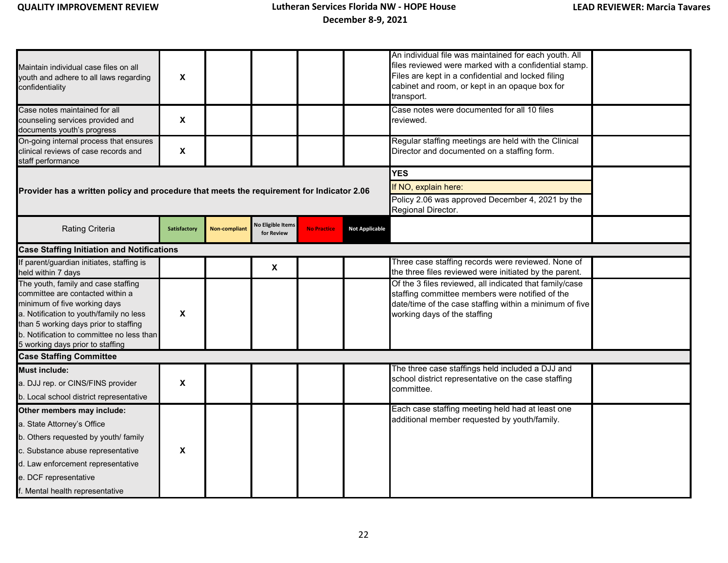| Maintain individual case files on all<br>youth and adhere to all laws regarding<br>confidentiality                                                                                                                                                                           | $\boldsymbol{\mathsf{X}}$ |                      |                                        |                    |                       | An individual file was maintained for each youth. All<br>files reviewed were marked with a confidential stamp.<br>Files are kept in a confidential and locked filing<br>cabinet and room, or kept in an opaque box for<br>transport. |  |
|------------------------------------------------------------------------------------------------------------------------------------------------------------------------------------------------------------------------------------------------------------------------------|---------------------------|----------------------|----------------------------------------|--------------------|-----------------------|--------------------------------------------------------------------------------------------------------------------------------------------------------------------------------------------------------------------------------------|--|
| Case notes maintained for all<br>counseling services provided and<br>documents youth's progress                                                                                                                                                                              | $\boldsymbol{\mathsf{X}}$ |                      |                                        |                    |                       | Case notes were documented for all 10 files<br>reviewed.                                                                                                                                                                             |  |
| On-going internal process that ensures<br>clinical reviews of case records and<br>staff performance                                                                                                                                                                          | $\boldsymbol{\mathsf{X}}$ |                      |                                        |                    |                       | Regular staffing meetings are held with the Clinical<br>Director and documented on a staffing form.                                                                                                                                  |  |
|                                                                                                                                                                                                                                                                              |                           |                      |                                        |                    |                       | <b>YES</b>                                                                                                                                                                                                                           |  |
| Provider has a written policy and procedure that meets the requirement for Indicator 2.06                                                                                                                                                                                    |                           |                      |                                        |                    |                       | If NO, explain here:                                                                                                                                                                                                                 |  |
|                                                                                                                                                                                                                                                                              |                           |                      |                                        |                    |                       | Policy 2.06 was approved December 4, 2021 by the<br>Regional Director.                                                                                                                                                               |  |
| <b>Rating Criteria</b>                                                                                                                                                                                                                                                       | Satisfactory              | <b>Non-compliant</b> | <b>No Eligible Items</b><br>for Review | <b>No Practice</b> | <b>Not Applicable</b> |                                                                                                                                                                                                                                      |  |
| <b>Case Staffing Initiation and Notifications</b>                                                                                                                                                                                                                            |                           |                      |                                        |                    |                       |                                                                                                                                                                                                                                      |  |
| If parent/guardian initiates, staffing is<br>held within 7 days                                                                                                                                                                                                              |                           |                      | $\boldsymbol{\mathsf{X}}$              |                    |                       | Three case staffing records were reviewed. None of<br>the three files reviewed were initiated by the parent.                                                                                                                         |  |
| The youth, family and case staffing<br>committee are contacted within a<br>minimum of five working days<br>a. Notification to youth/family no less<br>than 5 working days prior to staffing<br>b. Notification to committee no less than<br>5 working days prior to staffing | $\boldsymbol{\mathsf{x}}$ |                      |                                        |                    |                       | Of the 3 files reviewed, all indicated that family/case<br>staffing committee members were notified of the<br>date/time of the case staffing within a minimum of five<br>working days of the staffing                                |  |
| <b>Case Staffing Committee</b>                                                                                                                                                                                                                                               |                           |                      |                                        |                    |                       |                                                                                                                                                                                                                                      |  |
| Must include:<br>a. DJJ rep. or CINS/FINS provider<br>b. Local school district representative                                                                                                                                                                                | $\boldsymbol{\mathsf{x}}$ |                      |                                        |                    |                       | The three case staffings held included a DJJ and<br>school district representative on the case staffing<br>committee.                                                                                                                |  |
| Other members may include:                                                                                                                                                                                                                                                   |                           |                      |                                        |                    |                       | Each case staffing meeting held had at least one                                                                                                                                                                                     |  |
| a. State Attorney's Office                                                                                                                                                                                                                                                   |                           |                      |                                        |                    |                       | additional member requested by youth/family.                                                                                                                                                                                         |  |
| b. Others requested by youth/ family                                                                                                                                                                                                                                         |                           |                      |                                        |                    |                       |                                                                                                                                                                                                                                      |  |
| c. Substance abuse representative                                                                                                                                                                                                                                            | $\boldsymbol{\mathsf{X}}$ |                      |                                        |                    |                       |                                                                                                                                                                                                                                      |  |
| d. Law enforcement representative                                                                                                                                                                                                                                            |                           |                      |                                        |                    |                       |                                                                                                                                                                                                                                      |  |
| e. DCF representative                                                                                                                                                                                                                                                        |                           |                      |                                        |                    |                       |                                                                                                                                                                                                                                      |  |
| f. Mental health representative                                                                                                                                                                                                                                              |                           |                      |                                        |                    |                       |                                                                                                                                                                                                                                      |  |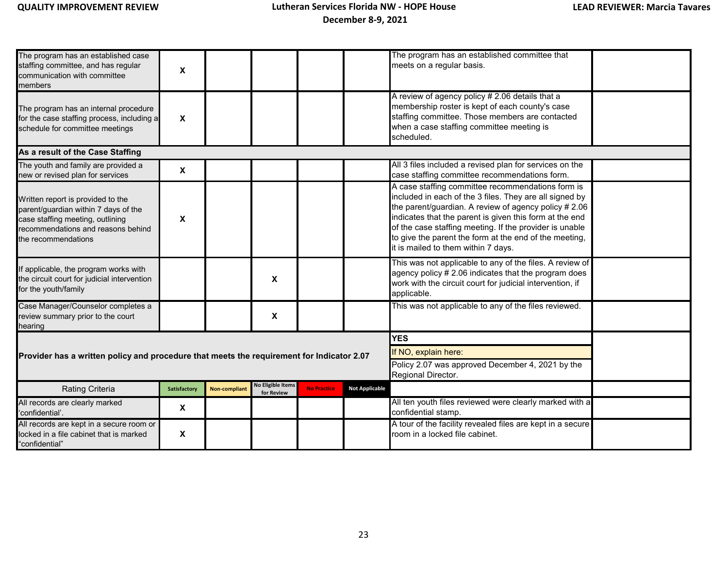| The program has an established case<br>staffing committee, and has regular<br>communication with committee<br>members                                                      | $\pmb{\chi}$              |                      |                                        |                    |                       | The program has an established committee that<br>meets on a regular basis.                                                                                                                                                                                                                                                                                                                   |  |
|----------------------------------------------------------------------------------------------------------------------------------------------------------------------------|---------------------------|----------------------|----------------------------------------|--------------------|-----------------------|----------------------------------------------------------------------------------------------------------------------------------------------------------------------------------------------------------------------------------------------------------------------------------------------------------------------------------------------------------------------------------------------|--|
| The program has an internal procedure<br>for the case staffing process, including a<br>schedule for committee meetings                                                     | $\boldsymbol{\mathsf{x}}$ |                      |                                        |                    |                       | A review of agency policy # 2.06 details that a<br>membership roster is kept of each county's case<br>staffing committee. Those members are contacted<br>when a case staffing committee meeting is<br>scheduled.                                                                                                                                                                             |  |
| As a result of the Case Staffing                                                                                                                                           |                           |                      |                                        |                    |                       |                                                                                                                                                                                                                                                                                                                                                                                              |  |
| The youth and family are provided a<br>new or revised plan for services                                                                                                    | $\boldsymbol{\mathsf{X}}$ |                      |                                        |                    |                       | All 3 files included a revised plan for services on the<br>case staffing committee recommendations form.                                                                                                                                                                                                                                                                                     |  |
| Written report is provided to the<br>parent/guardian within 7 days of the<br>case staffing meeting, outlining<br>recommendations and reasons behind<br>the recommendations | X                         |                      |                                        |                    |                       | A case staffing committee recommendations form is<br>included in each of the 3 files. They are all signed by<br>the parent/guardian. A review of agency policy # 2.06<br>indicates that the parent is given this form at the end<br>of the case staffing meeting. If the provider is unable<br>to give the parent the form at the end of the meeting,<br>it is mailed to them within 7 days. |  |
| If applicable, the program works with<br>the circuit court for judicial intervention<br>for the youth/family                                                               |                           |                      | X                                      |                    |                       | This was not applicable to any of the files. A review of<br>agency policy # 2.06 indicates that the program does<br>work with the circuit court for judicial intervention, if<br>applicable.                                                                                                                                                                                                 |  |
| Case Manager/Counselor completes a<br>review summary prior to the court<br>hearing                                                                                         |                           |                      | X                                      |                    |                       | This was not applicable to any of the files reviewed.                                                                                                                                                                                                                                                                                                                                        |  |
|                                                                                                                                                                            |                           |                      |                                        |                    |                       | <b>YES</b>                                                                                                                                                                                                                                                                                                                                                                                   |  |
| Provider has a written policy and procedure that meets the requirement for Indicator 2.07                                                                                  |                           |                      |                                        |                    |                       | If NO, explain here:                                                                                                                                                                                                                                                                                                                                                                         |  |
|                                                                                                                                                                            |                           |                      |                                        |                    |                       | Policy 2.07 was approved December 4, 2021 by the<br>Regional Director.                                                                                                                                                                                                                                                                                                                       |  |
| Rating Criteria                                                                                                                                                            | Satisfactory              | <b>Non-compliant</b> | <b>No Eligible Items</b><br>for Review | <b>No Practice</b> | <b>Not Applicable</b> |                                                                                                                                                                                                                                                                                                                                                                                              |  |
| All records are clearly marked<br>'confidential'.                                                                                                                          | $\boldsymbol{\mathsf{x}}$ |                      |                                        |                    |                       | All ten youth files reviewed were clearly marked with a<br>confidential stamp.                                                                                                                                                                                                                                                                                                               |  |
| All records are kept in a secure room or<br>locked in a file cabinet that is marked<br>"confidential"                                                                      | $\boldsymbol{\mathsf{x}}$ |                      |                                        |                    |                       | A tour of the facility revealed files are kept in a secure<br>room in a locked file cabinet.                                                                                                                                                                                                                                                                                                 |  |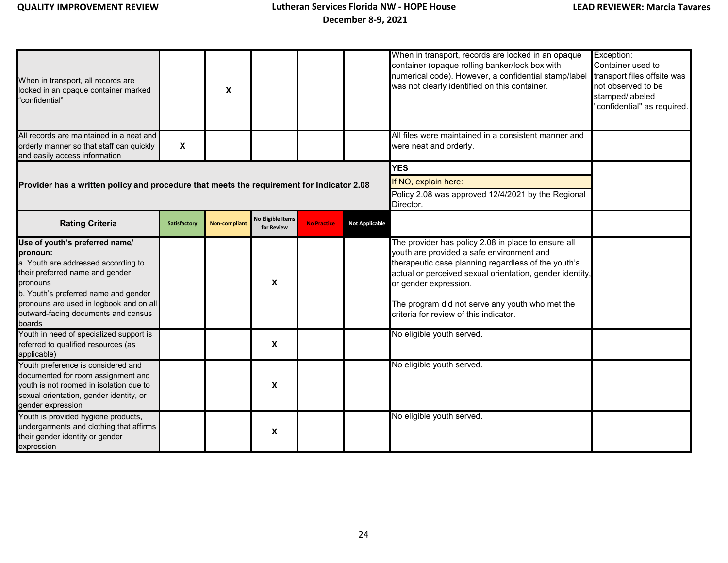| When in transport, all records are<br>locked in an opaque container marked<br>"confidential"                                                                                                                                                                         |                           | X                    |                                        |                    |                                                                                                       | When in transport, records are locked in an opaque<br>container (opaque rolling banker/lock box with<br>numerical code). However, a confidential stamp/label<br>was not clearly identified on this container.                                                                                                                             | Exception:<br>Container used to<br>transport files offsite was<br>not observed to be<br>stamped/labeled<br>"confidential" as required. |
|----------------------------------------------------------------------------------------------------------------------------------------------------------------------------------------------------------------------------------------------------------------------|---------------------------|----------------------|----------------------------------------|--------------------|-------------------------------------------------------------------------------------------------------|-------------------------------------------------------------------------------------------------------------------------------------------------------------------------------------------------------------------------------------------------------------------------------------------------------------------------------------------|----------------------------------------------------------------------------------------------------------------------------------------|
| All records are maintained in a neat and<br>orderly manner so that staff can quickly<br>and easily access information                                                                                                                                                | $\boldsymbol{\mathsf{X}}$ |                      |                                        |                    |                                                                                                       | All files were maintained in a consistent manner and<br>were neat and orderly.                                                                                                                                                                                                                                                            |                                                                                                                                        |
| Provider has a written policy and procedure that meets the requirement for Indicator 2.08                                                                                                                                                                            |                           |                      |                                        |                    | <b>YES</b><br>If NO, explain here:<br>Policy 2.08 was approved 12/4/2021 by the Regional<br>Director. |                                                                                                                                                                                                                                                                                                                                           |                                                                                                                                        |
| <b>Rating Criteria</b>                                                                                                                                                                                                                                               | Satisfactory              | <b>Non-compliant</b> | <b>No Eligible Items</b><br>for Review | <b>No Practice</b> | <b>Not Applicable</b>                                                                                 |                                                                                                                                                                                                                                                                                                                                           |                                                                                                                                        |
| Use of youth's preferred name/<br>pronoun:<br>a. Youth are addressed according to<br>their preferred name and gender<br>pronouns<br>b. Youth's preferred name and gender<br>pronouns are used in logbook and on all<br>outward-facing documents and census<br>boards |                           |                      | X                                      |                    |                                                                                                       | The provider has policy 2.08 in place to ensure all<br>youth are provided a safe environment and<br>therapeutic case planning regardless of the youth's<br>actual or perceived sexual orientation, gender identity,<br>or gender expression.<br>The program did not serve any youth who met the<br>criteria for review of this indicator. |                                                                                                                                        |
| Youth in need of specialized support is<br>referred to qualified resources (as<br>applicable)                                                                                                                                                                        |                           |                      | X                                      |                    |                                                                                                       | No eligible youth served.                                                                                                                                                                                                                                                                                                                 |                                                                                                                                        |
| Youth preference is considered and<br>documented for room assignment and<br>youth is not roomed in isolation due to<br>sexual orientation, gender identity, or<br>gender expression                                                                                  |                           |                      | X                                      |                    |                                                                                                       | No eligible youth served.                                                                                                                                                                                                                                                                                                                 |                                                                                                                                        |
| Youth is provided hygiene products,<br>undergarments and clothing that affirms<br>their gender identity or gender<br>expression                                                                                                                                      |                           |                      | X                                      |                    |                                                                                                       | No eligible youth served.                                                                                                                                                                                                                                                                                                                 |                                                                                                                                        |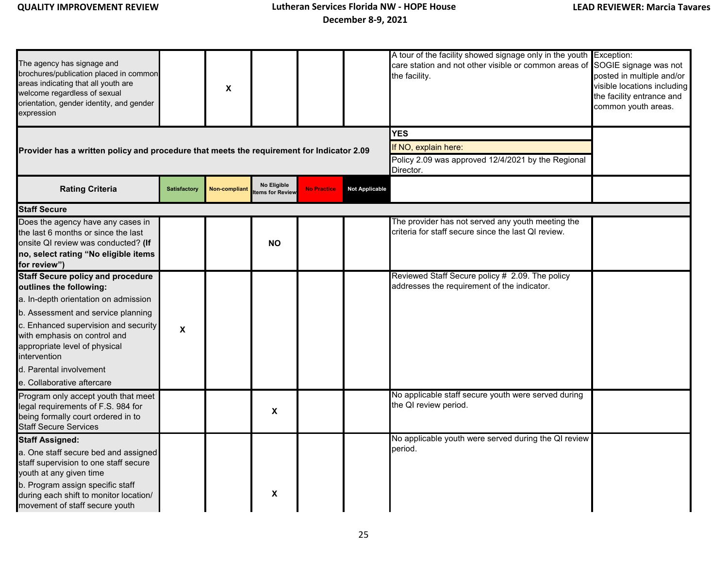| The agency has signage and<br>brochures/publication placed in common<br>areas indicating that all youth are<br>welcome regardless of sexual<br>orientation, gender identity, and gender<br>expression                    |                           | X             |                               |                    |                                                                                                       | A tour of the facility showed signage only in the youth Exception:<br>care station and not other visible or common areas of<br>the facility. | SOGIE signage was not<br>posted in multiple and/or<br>visible locations including<br>the facility entrance and<br>common youth areas. |
|--------------------------------------------------------------------------------------------------------------------------------------------------------------------------------------------------------------------------|---------------------------|---------------|-------------------------------|--------------------|-------------------------------------------------------------------------------------------------------|----------------------------------------------------------------------------------------------------------------------------------------------|---------------------------------------------------------------------------------------------------------------------------------------|
| Provider has a written policy and procedure that meets the requirement for Indicator 2.09                                                                                                                                |                           |               |                               |                    | <b>YES</b><br>If NO, explain here:<br>Policy 2.09 was approved 12/4/2021 by the Regional<br>Director. |                                                                                                                                              |                                                                                                                                       |
| <b>Rating Criteria</b>                                                                                                                                                                                                   | <b>Satisfactory</b>       | Non-compliant | No Eligible<br>ems for Review | <b>No Practice</b> | <b>Not Applicable</b>                                                                                 |                                                                                                                                              |                                                                                                                                       |
| <b>Staff Secure</b>                                                                                                                                                                                                      |                           |               |                               |                    |                                                                                                       |                                                                                                                                              |                                                                                                                                       |
| Does the agency have any cases in<br>the last 6 months or since the last<br>onsite QI review was conducted? (If<br>no, select rating "No eligible items<br>for review")                                                  |                           |               | <b>NO</b>                     |                    |                                                                                                       | The provider has not served any youth meeting the<br>criteria for staff secure since the last QI review.                                     |                                                                                                                                       |
| <b>Staff Secure policy and procedure</b><br>outlines the following:<br>a. In-depth orientation on admission<br>b. Assessment and service planning                                                                        |                           |               |                               |                    |                                                                                                       | Reviewed Staff Secure policy # 2.09. The policy<br>addresses the requirement of the indicator.                                               |                                                                                                                                       |
| c. Enhanced supervision and security<br>with emphasis on control and<br>appropriate level of physical<br>intervention                                                                                                    | $\boldsymbol{\mathsf{X}}$ |               |                               |                    |                                                                                                       |                                                                                                                                              |                                                                                                                                       |
| d. Parental involvement                                                                                                                                                                                                  |                           |               |                               |                    |                                                                                                       |                                                                                                                                              |                                                                                                                                       |
| e. Collaborative aftercare<br>Program only accept youth that meet<br>legal requirements of F.S. 984 for<br>being formally court ordered in to<br><b>Staff Secure Services</b>                                            |                           |               | X                             |                    |                                                                                                       | No applicable staff secure youth were served during<br>the QI review period.                                                                 |                                                                                                                                       |
| <b>Staff Assigned:</b>                                                                                                                                                                                                   |                           |               |                               |                    |                                                                                                       | No applicable youth were served during the QI review                                                                                         |                                                                                                                                       |
| a. One staff secure bed and assigned<br>staff supervision to one staff secure<br>youth at any given time<br>b. Program assign specific staff<br>during each shift to monitor location/<br>movement of staff secure youth |                           |               | χ                             |                    |                                                                                                       | period.                                                                                                                                      |                                                                                                                                       |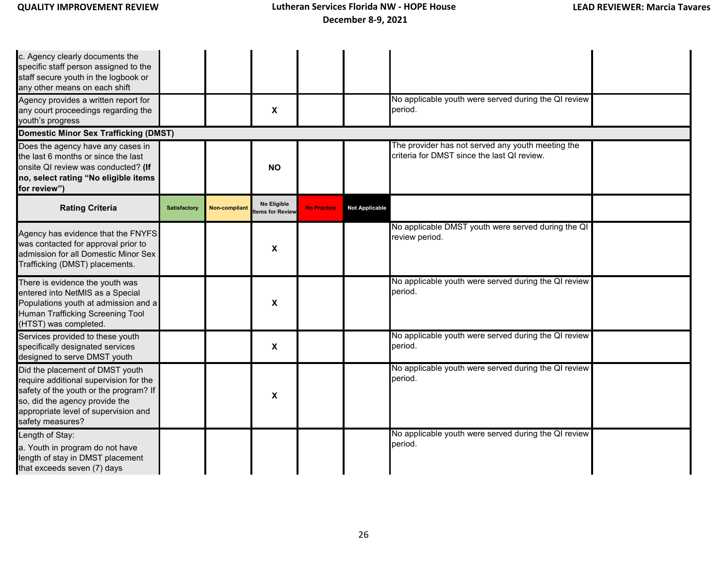| c. Agency clearly documents the<br>specific staff person assigned to the<br>staff secure youth in the logbook or<br>any other means on each shift                                                                 |              |               |                                |                    |                       |                                                                                                  |  |
|-------------------------------------------------------------------------------------------------------------------------------------------------------------------------------------------------------------------|--------------|---------------|--------------------------------|--------------------|-----------------------|--------------------------------------------------------------------------------------------------|--|
| Agency provides a written report for<br>any court proceedings regarding the<br>youth's progress                                                                                                                   |              |               | X                              |                    |                       | No applicable youth were served during the QI review<br>period.                                  |  |
| <b>Domestic Minor Sex Trafficking (DMST)</b>                                                                                                                                                                      |              |               |                                |                    |                       |                                                                                                  |  |
| Does the agency have any cases in<br>the last 6 months or since the last<br>onsite QI review was conducted? (If<br>no, select rating "No eligible items<br>for review")                                           |              |               | <b>NO</b>                      |                    |                       | The provider has not served any youth meeting the<br>criteria for DMST since the last QI review. |  |
| <b>Rating Criteria</b>                                                                                                                                                                                            | Satisfactory | Non-compliant | No Eligible<br>tems for Review | <b>No Practice</b> | <b>Not Applicable</b> |                                                                                                  |  |
| Agency has evidence that the FNYFS<br>was contacted for approval prior to<br>admission for all Domestic Minor Sex<br>Trafficking (DMST) placements.                                                               |              |               | X                              |                    |                       | No applicable DMST youth were served during the QI<br>review period.                             |  |
| There is evidence the youth was<br>entered into NetMIS as a Special<br>Populations youth at admission and a<br>Human Trafficking Screening Tool<br>(HTST) was completed.                                          |              |               | X                              |                    |                       | No applicable youth were served during the QI review<br>period.                                  |  |
| Services provided to these youth<br>specifically designated services<br>designed to serve DMST youth                                                                                                              |              |               | $\boldsymbol{\mathsf{x}}$      |                    |                       | No applicable youth were served during the QI review<br>period.                                  |  |
| Did the placement of DMST youth<br>require additional supervision for the<br>safety of the youth or the program? If<br>so, did the agency provide the<br>appropriate level of supervision and<br>safety measures? |              |               | $\boldsymbol{\mathsf{X}}$      |                    |                       | No applicable youth were served during the QI review<br>period.                                  |  |
| Length of Stay:<br>a. Youth in program do not have<br>length of stay in DMST placement<br>that exceeds seven (7) days                                                                                             |              |               |                                |                    |                       | No applicable youth were served during the QI review<br>period.                                  |  |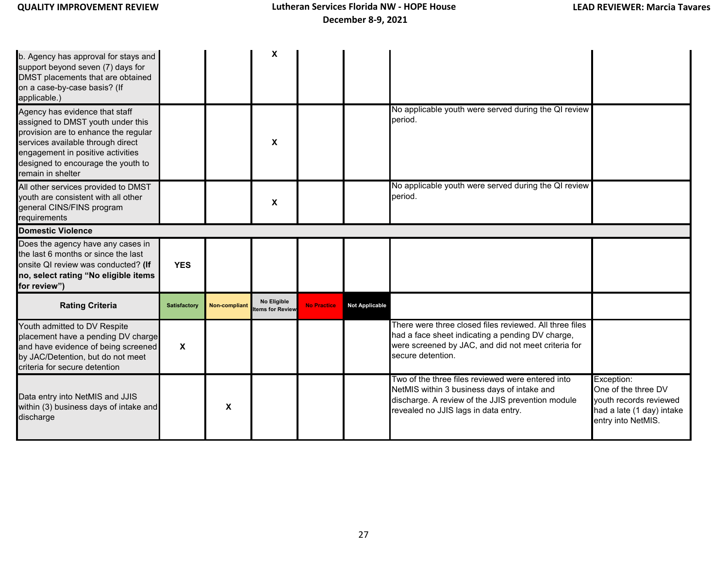| b. Agency has approval for stays and<br>support beyond seven (7) days for<br>DMST placements that are obtained<br>on a case-by-case basis? (If<br>applicable.)                                                                                   |                           |                      | X                              |                    |                       |                                                                                                                                                                                               |                                                                                                                |
|--------------------------------------------------------------------------------------------------------------------------------------------------------------------------------------------------------------------------------------------------|---------------------------|----------------------|--------------------------------|--------------------|-----------------------|-----------------------------------------------------------------------------------------------------------------------------------------------------------------------------------------------|----------------------------------------------------------------------------------------------------------------|
| Agency has evidence that staff<br>assigned to DMST youth under this<br>provision are to enhance the regular<br>services available through direct<br>engagement in positive activities<br>designed to encourage the youth to<br>remain in shelter |                           |                      | X                              |                    |                       | No applicable youth were served during the QI review<br>period.                                                                                                                               |                                                                                                                |
| All other services provided to DMST<br>youth are consistent with all other<br>general CINS/FINS program<br>requirements                                                                                                                          |                           |                      | X                              |                    |                       | No applicable youth were served during the QI review<br>period.                                                                                                                               |                                                                                                                |
| <b>Domestic Violence</b>                                                                                                                                                                                                                         |                           |                      |                                |                    |                       |                                                                                                                                                                                               |                                                                                                                |
| Does the agency have any cases in<br>the last 6 months or since the last<br>onsite QI review was conducted? (If<br>no, select rating "No eligible items<br>for review")                                                                          | <b>YES</b>                |                      |                                |                    |                       |                                                                                                                                                                                               |                                                                                                                |
| <b>Rating Criteria</b>                                                                                                                                                                                                                           | Satisfactory              | <b>Non-compliant</b> | No Eligible<br>tems for Review | <b>No Practice</b> | <b>Not Applicable</b> |                                                                                                                                                                                               |                                                                                                                |
| Youth admitted to DV Respite<br>placement have a pending DV charge<br>and have evidence of being screened<br>by JAC/Detention, but do not meet<br>criteria for secure detention                                                                  | $\boldsymbol{\mathsf{x}}$ |                      |                                |                    |                       | There were three closed files reviewed. All three files<br>had a face sheet indicating a pending DV charge,<br>were screened by JAC, and did not meet criteria for<br>secure detention.       |                                                                                                                |
| Data entry into NetMIS and JJIS<br>within (3) business days of intake and<br>discharge                                                                                                                                                           |                           | X                    |                                |                    |                       | Two of the three files reviewed were entered into<br>NetMIS within 3 business days of intake and<br>discharge. A review of the JJIS prevention module<br>revealed no JJIS lags in data entry. | Exception:<br>One of the three DV<br>vouth records reviewed<br>had a late (1 day) intake<br>entry into NetMIS. |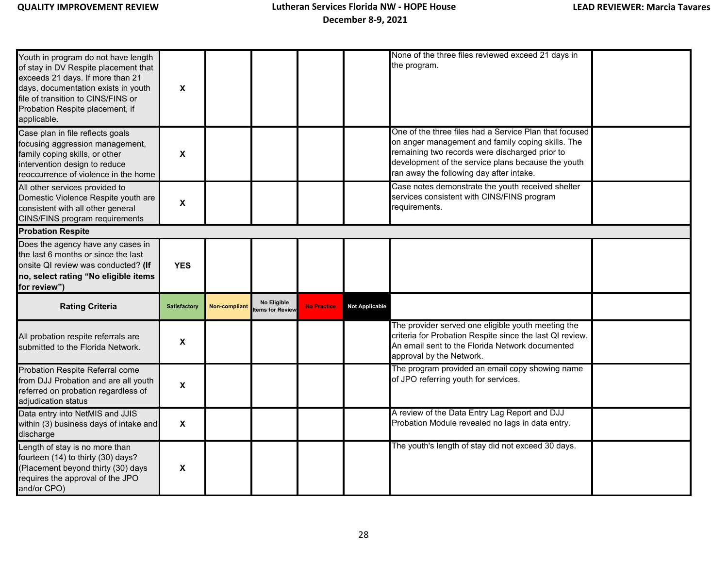| Youth in program do not have length<br>of stay in DV Respite placement that<br>exceeds 21 days. If more than 21<br>days, documentation exists in youth<br>file of transition to CINS/FINS or<br>Probation Respite placement, if<br>applicable. | X                         |               |                                      |                    |                       | None of the three files reviewed exceed 21 days in<br>the program.                                                                                                                                                                                              |  |
|------------------------------------------------------------------------------------------------------------------------------------------------------------------------------------------------------------------------------------------------|---------------------------|---------------|--------------------------------------|--------------------|-----------------------|-----------------------------------------------------------------------------------------------------------------------------------------------------------------------------------------------------------------------------------------------------------------|--|
| Case plan in file reflects goals<br>focusing aggression management,<br>family coping skills, or other<br>intervention design to reduce<br>reoccurrence of violence in the home                                                                 | X                         |               |                                      |                    |                       | One of the three files had a Service Plan that focused<br>on anger management and family coping skills. The<br>remaining two records were discharged prior to<br>development of the service plans because the youth<br>ran away the following day after intake. |  |
| All other services provided to<br>Domestic Violence Respite youth are<br>consistent with all other general<br>CINS/FINS program requirements                                                                                                   | $\boldsymbol{\mathsf{x}}$ |               |                                      |                    |                       | Case notes demonstrate the youth received shelter<br>services consistent with CINS/FINS program<br>requirements.                                                                                                                                                |  |
| <b>Probation Respite</b>                                                                                                                                                                                                                       |                           |               |                                      |                    |                       |                                                                                                                                                                                                                                                                 |  |
| Does the agency have any cases in<br>the last 6 months or since the last<br>onsite QI review was conducted? (If<br>no, select rating "No eligible items<br>for review")                                                                        | <b>YES</b>                |               |                                      |                    |                       |                                                                                                                                                                                                                                                                 |  |
| <b>Rating Criteria</b>                                                                                                                                                                                                                         | <b>Satisfactory</b>       | Non-compliant | <b>No Eligible</b><br>ems for Review | <b>No Practice</b> | <b>Not Applicable</b> |                                                                                                                                                                                                                                                                 |  |
| All probation respite referrals are<br>submitted to the Florida Network.                                                                                                                                                                       | $\boldsymbol{\mathsf{X}}$ |               |                                      |                    |                       | The provider served one eligible youth meeting the<br>criteria for Probation Respite since the last QI review.<br>An email sent to the Florida Network documented<br>approval by the Network.                                                                   |  |
| Probation Respite Referral come<br>from DJJ Probation and are all youth<br>referred on probation regardless of<br>adjudication status                                                                                                          | X                         |               |                                      |                    |                       | The program provided an email copy showing name<br>of JPO referring youth for services.                                                                                                                                                                         |  |
| Data entry into NetMIS and JJIS<br>within (3) business days of intake and<br>discharge                                                                                                                                                         | $\boldsymbol{\mathsf{X}}$ |               |                                      |                    |                       | A review of the Data Entry Lag Report and DJJ<br>Probation Module revealed no lags in data entry.                                                                                                                                                               |  |
| Length of stay is no more than<br>fourteen (14) to thirty (30) days?<br>(Placement beyond thirty (30) days<br>requires the approval of the JPO<br>and/or CPO)                                                                                  | X                         |               |                                      |                    |                       | The youth's length of stay did not exceed 30 days.                                                                                                                                                                                                              |  |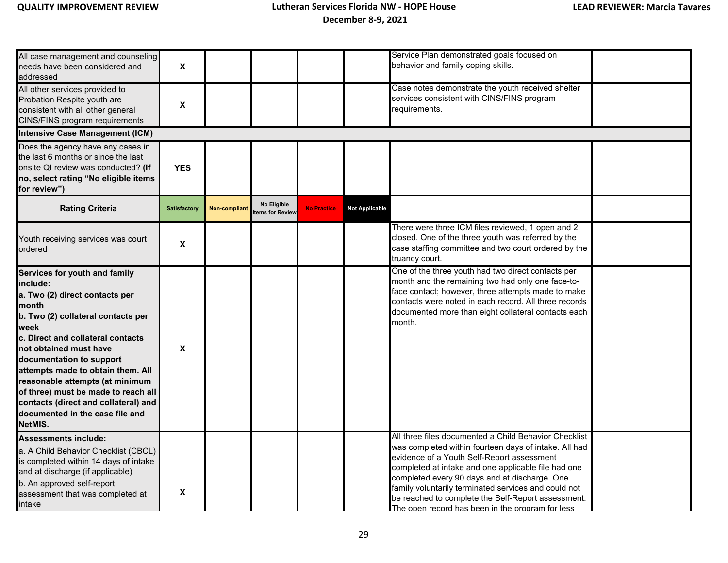| All case management and counseling<br>needs have been considered and<br>addressed                                                                                                                                                                                                                                                                                                                                                  | $\boldsymbol{\mathsf{X}}$ |               |                                |                    |                       | Service Plan demonstrated goals focused on<br>behavior and family coping skills.                                                                                                                                                                                                                                                                                                                                                       |  |  |  |  |
|------------------------------------------------------------------------------------------------------------------------------------------------------------------------------------------------------------------------------------------------------------------------------------------------------------------------------------------------------------------------------------------------------------------------------------|---------------------------|---------------|--------------------------------|--------------------|-----------------------|----------------------------------------------------------------------------------------------------------------------------------------------------------------------------------------------------------------------------------------------------------------------------------------------------------------------------------------------------------------------------------------------------------------------------------------|--|--|--|--|
| All other services provided to<br>Probation Respite youth are<br>consistent with all other general<br>CINS/FINS program requirements                                                                                                                                                                                                                                                                                               | X                         |               |                                |                    |                       | Case notes demonstrate the youth received shelter<br>services consistent with CINS/FINS program<br>requirements.                                                                                                                                                                                                                                                                                                                       |  |  |  |  |
| <b>Intensive Case Management (ICM)</b>                                                                                                                                                                                                                                                                                                                                                                                             |                           |               |                                |                    |                       |                                                                                                                                                                                                                                                                                                                                                                                                                                        |  |  |  |  |
| Does the agency have any cases in<br>the last 6 months or since the last<br>onsite QI review was conducted? (If<br>no, select rating "No eligible items<br>for review")                                                                                                                                                                                                                                                            | <b>YES</b>                |               |                                |                    |                       |                                                                                                                                                                                                                                                                                                                                                                                                                                        |  |  |  |  |
| <b>Rating Criteria</b>                                                                                                                                                                                                                                                                                                                                                                                                             | Satisfactory              | Non-compliant | No Eligible<br>tems for Review | <b>No Practice</b> | <b>Not Applicable</b> |                                                                                                                                                                                                                                                                                                                                                                                                                                        |  |  |  |  |
| Youth receiving services was court<br>ordered                                                                                                                                                                                                                                                                                                                                                                                      | X                         |               |                                |                    |                       | There were three ICM files reviewed, 1 open and 2<br>closed. One of the three youth was referred by the<br>case staffing committee and two court ordered by the<br>truancy court.                                                                                                                                                                                                                                                      |  |  |  |  |
| Services for youth and family<br>include:<br>a. Two (2) direct contacts per<br>month<br>b. Two (2) collateral contacts per<br>week<br>c. Direct and collateral contacts<br>not obtained must have<br>documentation to support<br>attempts made to obtain them. All<br>reasonable attempts (at minimum<br>of three) must be made to reach all<br>contacts (direct and collateral) and<br>documented in the case file and<br>NetMIS. | X                         |               |                                |                    |                       | One of the three youth had two direct contacts per<br>month and the remaining two had only one face-to-<br>face contact; however, three attempts made to make<br>contacts were noted in each record. All three records<br>documented more than eight collateral contacts each<br>month.                                                                                                                                                |  |  |  |  |
| <b>Assessments include:</b><br>a. A Child Behavior Checklist (CBCL)<br>is completed within 14 days of intake<br>and at discharge (if applicable)<br>b. An approved self-report<br>assessment that was completed at<br>intake                                                                                                                                                                                                       | X                         |               |                                |                    |                       | All three files documented a Child Behavior Checklist<br>was completed within fourteen days of intake. All had<br>evidence of a Youth Self-Report assessment<br>completed at intake and one applicable file had one<br>completed every 90 days and at discharge. One<br>family voluntarily terminated services and could not<br>be reached to complete the Self-Report assessment.<br>The open record has been in the program for less |  |  |  |  |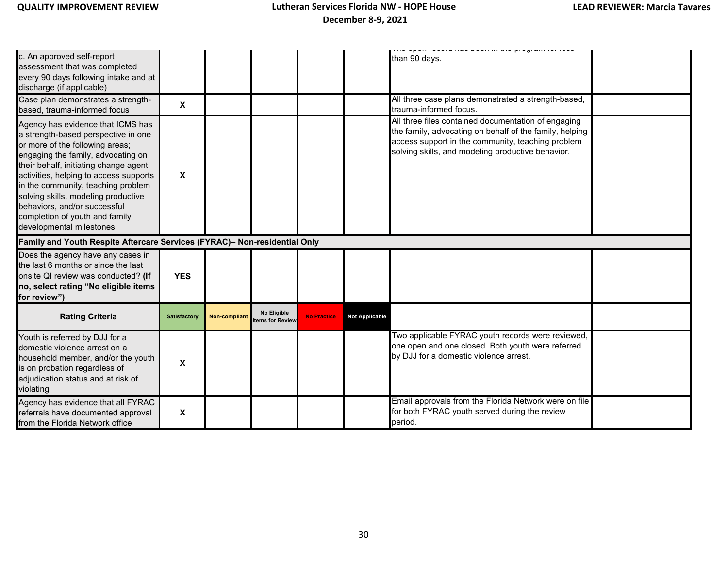| c. An approved self-report<br>assessment that was completed<br>every 90 days following intake and at<br>discharge (if applicable)<br>Case plan demonstrates a strength-<br>based, trauma-informed focus                                                                                                                                                                                                         | $\boldsymbol{\mathsf{X}}$ |                      |                                |                    |                       | ioora mao woon in uno program ior iooo<br>than 90 days.<br>All three case plans demonstrated a strength-based,<br>trauma-informed focus.                                                                                 |  |
|-----------------------------------------------------------------------------------------------------------------------------------------------------------------------------------------------------------------------------------------------------------------------------------------------------------------------------------------------------------------------------------------------------------------|---------------------------|----------------------|--------------------------------|--------------------|-----------------------|--------------------------------------------------------------------------------------------------------------------------------------------------------------------------------------------------------------------------|--|
| Agency has evidence that ICMS has<br>a strength-based perspective in one<br>or more of the following areas;<br>engaging the family, advocating on<br>their behalf, initiating change agent<br>activities, helping to access supports<br>in the community, teaching problem<br>solving skills, modeling productive<br>behaviors, and/or successful<br>completion of youth and family<br>developmental milestones | X                         |                      |                                |                    |                       | All three files contained documentation of engaging<br>the family, advocating on behalf of the family, helping<br>access support in the community, teaching problem<br>solving skills, and modeling productive behavior. |  |
| Family and Youth Respite Aftercare Services (FYRAC)- Non-residential Only                                                                                                                                                                                                                                                                                                                                       |                           |                      |                                |                    |                       |                                                                                                                                                                                                                          |  |
| Does the agency have any cases in<br>the last 6 months or since the last<br>onsite QI review was conducted? (If<br>no, select rating "No eligible items<br>for review")                                                                                                                                                                                                                                         | <b>YES</b>                |                      |                                |                    |                       |                                                                                                                                                                                                                          |  |
| <b>Rating Criteria</b>                                                                                                                                                                                                                                                                                                                                                                                          | <b>Satisfactory</b>       | <b>Non-compliant</b> | No Eligible<br>tems for Review | <b>No Practice</b> | <b>Not Applicable</b> |                                                                                                                                                                                                                          |  |
| Youth is referred by DJJ for a<br>domestic violence arrest on a<br>household member, and/or the youth<br>is on probation regardless of<br>adjudication status and at risk of<br>violating                                                                                                                                                                                                                       | X                         |                      |                                |                    |                       | Two applicable FYRAC youth records were reviewed,<br>one open and one closed. Both youth were referred<br>by DJJ for a domestic violence arrest.                                                                         |  |
| Agency has evidence that all FYRAC<br>referrals have documented approval<br>from the Florida Network office                                                                                                                                                                                                                                                                                                     | X                         |                      |                                |                    |                       | Email approvals from the Florida Network were on file<br>for both FYRAC youth served during the review<br>period.                                                                                                        |  |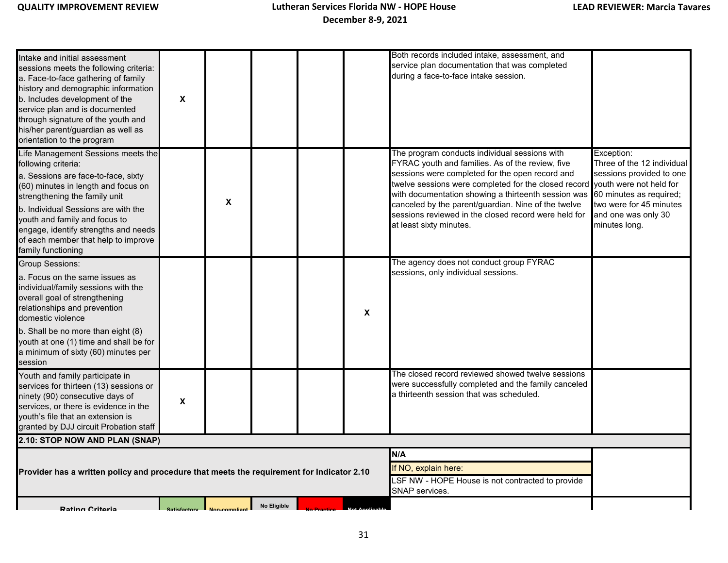| Intake and initial assessment<br>sessions meets the following criteria:<br>a. Face-to-face gathering of family<br>history and demographic information<br>b. Includes development of the<br>service plan and is documented<br>through signature of the youth and<br>his/her parent/guardian as well as<br>orientation to the program                   | X                   |               |             |                                                                                                   | Both records included intake, assessment, and<br>service plan documentation that was completed<br>during a face-to-face intake session.                                                                                                                                                                                                                                                                                               |                                                                                                                                                                    |
|-------------------------------------------------------------------------------------------------------------------------------------------------------------------------------------------------------------------------------------------------------------------------------------------------------------------------------------------------------|---------------------|---------------|-------------|---------------------------------------------------------------------------------------------------|---------------------------------------------------------------------------------------------------------------------------------------------------------------------------------------------------------------------------------------------------------------------------------------------------------------------------------------------------------------------------------------------------------------------------------------|--------------------------------------------------------------------------------------------------------------------------------------------------------------------|
| Life Management Sessions meets the<br>following criteria:<br>a. Sessions are face-to-face, sixty<br>(60) minutes in length and focus on<br>strengthening the family unit<br>b. Individual Sessions are with the<br>youth and family and focus to<br>engage, identify strengths and needs<br>of each member that help to improve<br>family functioning |                     | X             |             |                                                                                                   | The program conducts individual sessions with<br>FYRAC youth and families. As of the review, five<br>sessions were completed for the open record and<br>twelve sessions were completed for the closed record youth were not held for<br>with documentation showing a thirteenth session was<br>canceled by the parent/guardian. Nine of the twelve<br>sessions reviewed in the closed record were held for<br>at least sixty minutes. | Exception:<br>Three of the 12 individual<br>sessions provided to one<br>60 minutes as required;<br>two were for 45 minutes<br>and one was only 30<br>minutes long. |
| <b>Group Sessions:</b><br>a. Focus on the same issues as<br>individual/family sessions with the<br>overall goal of strengthening<br>relationships and prevention<br>domestic violence<br>b. Shall be no more than eight (8)<br>youth at one (1) time and shall be for<br>a minimum of sixty (60) minutes per<br>session                               |                     |               |             | X                                                                                                 | The agency does not conduct group FYRAC<br>sessions, only individual sessions.                                                                                                                                                                                                                                                                                                                                                        |                                                                                                                                                                    |
| Youth and family participate in<br>services for thirteen (13) sessions or<br>ninety (90) consecutive days of<br>services, or there is evidence in the<br>vouth's file that an extension is<br>granted by DJJ circuit Probation staff                                                                                                                  | X                   |               |             |                                                                                                   | The closed record reviewed showed twelve sessions<br>were successfully completed and the family canceled<br>a thirteenth session that was scheduled.                                                                                                                                                                                                                                                                                  |                                                                                                                                                                    |
| 2.10: STOP NOW AND PLAN (SNAP)                                                                                                                                                                                                                                                                                                                        |                     |               |             |                                                                                                   |                                                                                                                                                                                                                                                                                                                                                                                                                                       |                                                                                                                                                                    |
| Provider has a written policy and procedure that meets the requirement for Indicator 2.10                                                                                                                                                                                                                                                             |                     |               |             | N/A<br>If NO, explain here:<br>LSF NW - HOPE House is not contracted to provide<br>SNAP services. |                                                                                                                                                                                                                                                                                                                                                                                                                                       |                                                                                                                                                                    |
| <b>Rating Critoria</b>                                                                                                                                                                                                                                                                                                                                | <b>Satisfactory</b> | Non-compliant | No Eligible |                                                                                                   |                                                                                                                                                                                                                                                                                                                                                                                                                                       |                                                                                                                                                                    |

 **No Practice Not Applicable**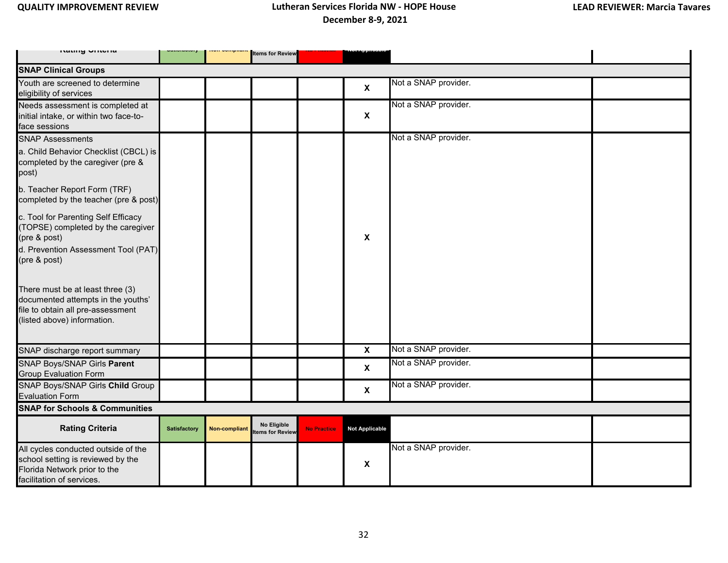| ו ושנוווש שוונסוום                                                                                                                               |                     | nun-uumpnar          | <b>Items for Review</b>        |                    |                           |                      |
|--------------------------------------------------------------------------------------------------------------------------------------------------|---------------------|----------------------|--------------------------------|--------------------|---------------------------|----------------------|
| <b>SNAP Clinical Groups</b>                                                                                                                      |                     |                      |                                |                    |                           |                      |
| Youth are screened to determine<br>eligibility of services                                                                                       |                     |                      |                                |                    | $\boldsymbol{\mathsf{X}}$ | Not a SNAP provider. |
| Needs assessment is completed at<br>initial intake, or within two face-to-<br>face sessions                                                      |                     |                      |                                |                    | $\boldsymbol{\mathsf{X}}$ | Not a SNAP provider. |
| <b>SNAP Assessments</b>                                                                                                                          |                     |                      |                                |                    |                           | Not a SNAP provider. |
| a. Child Behavior Checklist (CBCL) is<br>completed by the caregiver (pre &<br>post)                                                              |                     |                      |                                |                    |                           |                      |
| b. Teacher Report Form (TRF)<br>completed by the teacher (pre & post)                                                                            |                     |                      |                                |                    |                           |                      |
| c. Tool for Parenting Self Efficacy<br>(TOPSE) completed by the caregiver<br>(pre & post)<br>d. Prevention Assessment Tool (PAT)<br>(pre & post) |                     |                      |                                |                    | X                         |                      |
| There must be at least three (3)<br>documented attempts in the youths'<br>file to obtain all pre-assessment<br>(listed above) information.       |                     |                      |                                |                    |                           |                      |
| SNAP discharge report summary                                                                                                                    |                     |                      |                                |                    | $\mathbf{x}$              | Not a SNAP provider. |
| SNAP Boys/SNAP Girls Parent<br><b>Group Evaluation Form</b>                                                                                      |                     |                      |                                |                    | $\boldsymbol{\mathsf{X}}$ | Not a SNAP provider. |
| SNAP Boys/SNAP Girls Child Group<br><b>Evaluation Form</b>                                                                                       |                     |                      |                                |                    | $\boldsymbol{\mathsf{X}}$ | Not a SNAP provider. |
| <b>SNAP for Schools &amp; Communities</b>                                                                                                        |                     |                      |                                |                    |                           |                      |
| <b>Rating Criteria</b>                                                                                                                           | <b>Satisfactory</b> | <b>Non-compliant</b> | No Eligible<br>tems for Review | <b>No Practice</b> | Not Applicable            |                      |
| All cycles conducted outside of the<br>school setting is reviewed by the<br>Florida Network prior to the<br>facilitation of services.            |                     |                      |                                |                    | $\boldsymbol{\mathsf{X}}$ | Not a SNAP provider. |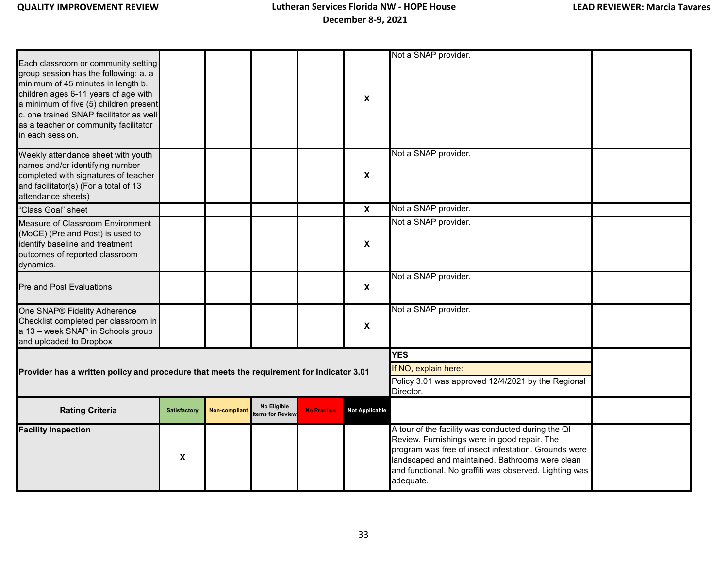| Each classroom or community setting<br>group session has the following: a. a<br>minimum of 45 minutes in length b.<br>children ages 6-11 years of age with<br>a minimum of five (5) children present<br>c. one trained SNAP facilitator as well<br>as a teacher or community facilitator<br>in each session. |                     |               |                                |                    | $\boldsymbol{x}$          | Not a SNAP provider.                                                                                                                                                                                                                                                                 |  |
|--------------------------------------------------------------------------------------------------------------------------------------------------------------------------------------------------------------------------------------------------------------------------------------------------------------|---------------------|---------------|--------------------------------|--------------------|---------------------------|--------------------------------------------------------------------------------------------------------------------------------------------------------------------------------------------------------------------------------------------------------------------------------------|--|
| Weekly attendance sheet with youth<br>names and/or identifying number<br>completed with signatures of teacher<br>and facilitator(s) (For a total of 13<br>attendance sheets)                                                                                                                                 |                     |               |                                |                    | X                         | Not a SNAP provider.                                                                                                                                                                                                                                                                 |  |
| "Class Goal" sheet                                                                                                                                                                                                                                                                                           |                     |               |                                |                    | $\boldsymbol{\mathsf{x}}$ | Not a SNAP provider.                                                                                                                                                                                                                                                                 |  |
| Measure of Classroom Environment<br>(MoCE) (Pre and Post) is used to<br>identify baseline and treatment<br>outcomes of reported classroom<br>dynamics.                                                                                                                                                       |                     |               |                                |                    | X                         | Not a SNAP provider.                                                                                                                                                                                                                                                                 |  |
| Pre and Post Evaluations                                                                                                                                                                                                                                                                                     |                     |               |                                |                    | $\boldsymbol{\mathsf{x}}$ | Not a SNAP provider.                                                                                                                                                                                                                                                                 |  |
| One SNAP® Fidelity Adherence<br>Checklist completed per classroom in<br>a 13 - week SNAP in Schools group<br>and uploaded to Dropbox                                                                                                                                                                         |                     |               |                                |                    | X                         | Not a SNAP provider.                                                                                                                                                                                                                                                                 |  |
|                                                                                                                                                                                                                                                                                                              |                     |               |                                |                    |                           | <b>YES</b>                                                                                                                                                                                                                                                                           |  |
| Provider has a written policy and procedure that meets the requirement for Indicator 3.01                                                                                                                                                                                                                    |                     |               |                                |                    |                           | If NO, explain here:                                                                                                                                                                                                                                                                 |  |
|                                                                                                                                                                                                                                                                                                              |                     |               |                                |                    |                           | Policy 3.01 was approved 12/4/2021 by the Regional<br>Director.                                                                                                                                                                                                                      |  |
| <b>Rating Criteria</b>                                                                                                                                                                                                                                                                                       | <b>Satisfactory</b> | Non-compliant | No Eligible<br>tems for Review | <b>No Practice</b> | <b>Not Applicable</b>     |                                                                                                                                                                                                                                                                                      |  |
| <b>Facility Inspection</b>                                                                                                                                                                                                                                                                                   | X                   |               |                                |                    |                           | A tour of the facility was conducted during the QI<br>Review. Furnishings were in good repair. The<br>program was free of insect infestation. Grounds were<br>landscaped and maintained. Bathrooms were clean<br>and functional. No graffiti was observed. Lighting was<br>adequate. |  |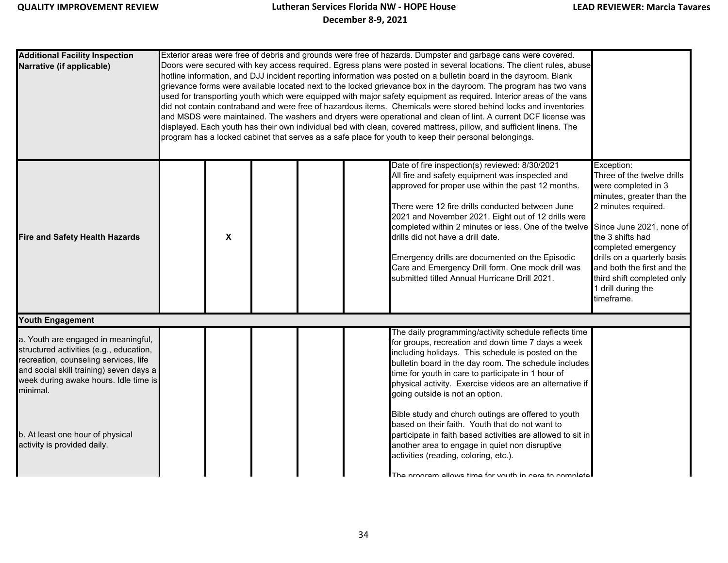| <b>Additional Facility Inspection</b><br>Narrative (if applicable)                                                                                                                                                                                                                         |   | Exterior areas were free of debris and grounds were free of hazards. Dumpster and garbage cans were covered.<br>Doors were secured with key access required. Egress plans were posted in several locations. The client rules, abuse<br>hotline information, and DJJ incident reporting information was posted on a bulletin board in the dayroom. Blank<br>grievance forms were available located next to the locked grievance box in the dayroom. The program has two vans<br>used for transporting youth which were equipped with major safety equipment as required. Interior areas of the vans<br>did not contain contraband and were free of hazardous items. Chemicals were stored behind locks and inventories<br>and MSDS were maintained. The washers and dryers were operational and clean of lint. A current DCF license was<br>displayed. Each youth has their own individual bed with clean, covered mattress, pillow, and sufficient linens. The<br>program has a locked cabinet that serves as a safe place for youth to keep their personal belongings. |                                                                                                                                                                                                                                                                                                                                                                                                                                                                                                                                                                                                                                                                                                               |                                                                                                                                                                                                                                                                                                                           |  |  |  |  |  |  |
|--------------------------------------------------------------------------------------------------------------------------------------------------------------------------------------------------------------------------------------------------------------------------------------------|---|-------------------------------------------------------------------------------------------------------------------------------------------------------------------------------------------------------------------------------------------------------------------------------------------------------------------------------------------------------------------------------------------------------------------------------------------------------------------------------------------------------------------------------------------------------------------------------------------------------------------------------------------------------------------------------------------------------------------------------------------------------------------------------------------------------------------------------------------------------------------------------------------------------------------------------------------------------------------------------------------------------------------------------------------------------------------------|---------------------------------------------------------------------------------------------------------------------------------------------------------------------------------------------------------------------------------------------------------------------------------------------------------------------------------------------------------------------------------------------------------------------------------------------------------------------------------------------------------------------------------------------------------------------------------------------------------------------------------------------------------------------------------------------------------------|---------------------------------------------------------------------------------------------------------------------------------------------------------------------------------------------------------------------------------------------------------------------------------------------------------------------------|--|--|--|--|--|--|
| <b>Fire and Safety Health Hazards</b>                                                                                                                                                                                                                                                      | X |                                                                                                                                                                                                                                                                                                                                                                                                                                                                                                                                                                                                                                                                                                                                                                                                                                                                                                                                                                                                                                                                         | Date of fire inspection(s) reviewed: 8/30/2021<br>All fire and safety equipment was inspected and<br>approved for proper use within the past 12 months.<br>There were 12 fire drills conducted between June<br>2021 and November 2021. Eight out of 12 drills were<br>completed within 2 minutes or less. One of the twelve<br>drills did not have a drill date.<br>Emergency drills are documented on the Episodic<br>Care and Emergency Drill form. One mock drill was<br>submitted titled Annual Hurricane Drill 2021.                                                                                                                                                                                     | Exception:<br>Three of the twelve drills<br>were completed in 3<br>minutes, greater than the<br>2 minutes required.<br>Since June 2021, none of<br>the 3 shifts had<br>completed emergency<br>drills on a quarterly basis<br>and both the first and the<br>third shift completed only<br>1 drill during the<br>timeframe. |  |  |  |  |  |  |
| Youth Engagement                                                                                                                                                                                                                                                                           |   |                                                                                                                                                                                                                                                                                                                                                                                                                                                                                                                                                                                                                                                                                                                                                                                                                                                                                                                                                                                                                                                                         |                                                                                                                                                                                                                                                                                                                                                                                                                                                                                                                                                                                                                                                                                                               |                                                                                                                                                                                                                                                                                                                           |  |  |  |  |  |  |
| a. Youth are engaged in meaningful,<br>structured activities (e.g., education,<br>recreation, counseling services, life<br>and social skill training) seven days a<br>week during awake hours. Idle time is<br>minimal.<br>b. At least one hour of physical<br>activity is provided daily. |   |                                                                                                                                                                                                                                                                                                                                                                                                                                                                                                                                                                                                                                                                                                                                                                                                                                                                                                                                                                                                                                                                         | The daily programming/activity schedule reflects time<br>for groups, recreation and down time 7 days a week<br>including holidays. This schedule is posted on the<br>bulletin board in the day room. The schedule includes<br>time for youth in care to participate in 1 hour of<br>physical activity. Exercise videos are an alternative if<br>going outside is not an option.<br>Bible study and church outings are offered to youth<br>based on their faith. Youth that do not want to<br>participate in faith based activities are allowed to sit in<br>another area to engage in quiet non disruptive<br>activities (reading, coloring, etc.).<br>The program allows time for vouth in care to complete! |                                                                                                                                                                                                                                                                                                                           |  |  |  |  |  |  |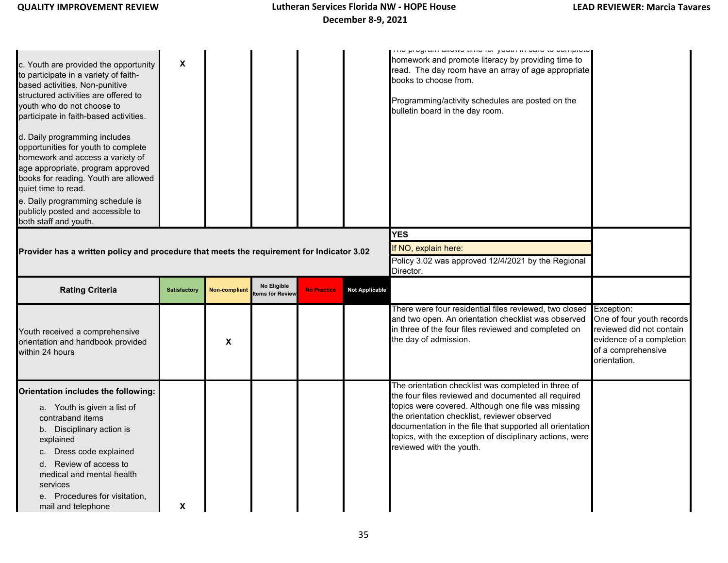| c. Youth are provided the opportunity<br>to participate in a variety of faith-<br>based activities. Non-punitive<br>structured activities are offered to<br>youth who do not choose to<br>participate in faith-based activities.<br>d. Daily programming includes<br>opportunities for youth to complete<br>homework and access a variety of<br>age appropriate, program approved<br>books for reading. Youth are allowed<br>quiet time to read.<br>e. Daily programming schedule is<br>publicly posted and accessible to<br>both staff and youth. | $\boldsymbol{\mathsf{x}}$ |                      |                                |                    |                       | ו ווע פוסקומות מווטאס נווווט וטו פטענורווו טמוט נט טטווופוטנט<br>homework and promote literacy by providing time to<br>read. The day room have an array of age appropriate<br>books to choose from.<br>Programming/activity schedules are posted on the<br>bulletin board in the day room.                                                                           |                                                                                                                                       |
|----------------------------------------------------------------------------------------------------------------------------------------------------------------------------------------------------------------------------------------------------------------------------------------------------------------------------------------------------------------------------------------------------------------------------------------------------------------------------------------------------------------------------------------------------|---------------------------|----------------------|--------------------------------|--------------------|-----------------------|----------------------------------------------------------------------------------------------------------------------------------------------------------------------------------------------------------------------------------------------------------------------------------------------------------------------------------------------------------------------|---------------------------------------------------------------------------------------------------------------------------------------|
|                                                                                                                                                                                                                                                                                                                                                                                                                                                                                                                                                    |                           |                      |                                |                    |                       | YES                                                                                                                                                                                                                                                                                                                                                                  |                                                                                                                                       |
| Provider has a written policy and procedure that meets the requirement for Indicator 3.02                                                                                                                                                                                                                                                                                                                                                                                                                                                          |                           |                      |                                |                    |                       | If NO, explain here:                                                                                                                                                                                                                                                                                                                                                 |                                                                                                                                       |
|                                                                                                                                                                                                                                                                                                                                                                                                                                                                                                                                                    |                           |                      |                                |                    |                       | Policy 3.02 was approved 12/4/2021 by the Regional<br>Director.                                                                                                                                                                                                                                                                                                      |                                                                                                                                       |
| <b>Rating Criteria</b>                                                                                                                                                                                                                                                                                                                                                                                                                                                                                                                             | <b>Satisfactory</b>       | <b>Non-compliant</b> | No Eligible<br>tems for Review | <b>No Practice</b> | <b>Not Applicable</b> |                                                                                                                                                                                                                                                                                                                                                                      |                                                                                                                                       |
| Youth received a comprehensive<br>orientation and handbook provided<br>within 24 hours                                                                                                                                                                                                                                                                                                                                                                                                                                                             |                           | X                    |                                |                    |                       | There were four residential files reviewed, two closed<br>and two open. An orientation checklist was observed<br>in three of the four files reviewed and completed on<br>the day of admission.                                                                                                                                                                       | Exception:<br>One of four youth records<br>reviewed did not contain<br>evidence of a completion<br>of a comprehensive<br>orientation. |
| Orientation includes the following:<br>a. Youth is given a list of<br>contraband items<br>b. Disciplinary action is<br>explained<br>c. Dress code explained<br>Review of access to<br>d.<br>medical and mental health<br>services<br>e. Procedures for visitation,<br>mail and telephone                                                                                                                                                                                                                                                           | X                         |                      |                                |                    |                       | The orientation checklist was completed in three of<br>the four files reviewed and documented all required<br>topics were covered. Although one file was missing<br>the orientation checklist, reviewer observed<br>documentation in the file that supported all orientation<br>topics, with the exception of disciplinary actions, were<br>reviewed with the youth. |                                                                                                                                       |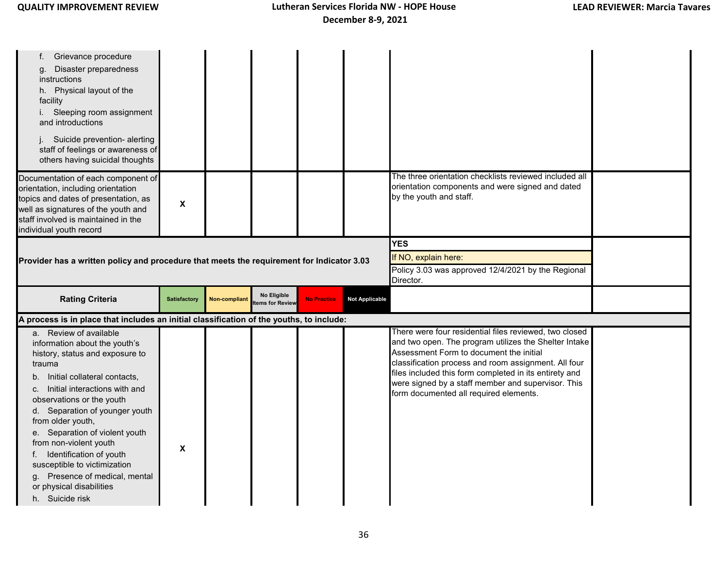| Grievance procedure<br>t.<br>Disaster preparedness<br>g.<br>instructions<br>h. Physical layout of the<br>facility<br>i. Sleeping room assignment<br>and introductions<br>Suicide prevention- alerting<br>staff of feelings or awareness of<br>others having suicidal thoughts<br>Documentation of each component of<br>orientation, including orientation |                     |               |                                        |                    |                                                                                                | The three orientation checklists reviewed included all<br>orientation components and were signed and dated                                                                                                                                                                   |  |
|-----------------------------------------------------------------------------------------------------------------------------------------------------------------------------------------------------------------------------------------------------------------------------------------------------------------------------------------------------------|---------------------|---------------|----------------------------------------|--------------------|------------------------------------------------------------------------------------------------|------------------------------------------------------------------------------------------------------------------------------------------------------------------------------------------------------------------------------------------------------------------------------|--|
| topics and dates of presentation, as<br>well as signatures of the youth and<br>staff involved is maintained in the<br>individual youth record                                                                                                                                                                                                             | X                   |               |                                        |                    |                                                                                                | by the youth and staff.                                                                                                                                                                                                                                                      |  |
| Provider has a written policy and procedure that meets the requirement for Indicator 3.03                                                                                                                                                                                                                                                                 |                     |               |                                        |                    | YES<br>If NO, explain here:<br>Policy 3.03 was approved 12/4/2021 by the Regional<br>Director. |                                                                                                                                                                                                                                                                              |  |
| <b>Rating Criteria</b>                                                                                                                                                                                                                                                                                                                                    | <b>Satisfactory</b> | Non-compliant | No Eligible<br><b>Items for Review</b> | <b>No Practice</b> | <b>Not Applicable</b>                                                                          |                                                                                                                                                                                                                                                                              |  |
| A process is in place that includes an initial classification of the youths, to include:                                                                                                                                                                                                                                                                  |                     |               |                                        |                    |                                                                                                |                                                                                                                                                                                                                                                                              |  |
| a. Review of available<br>information about the youth's<br>history, status and exposure to<br>trauma                                                                                                                                                                                                                                                      |                     |               |                                        |                    |                                                                                                | There were four residential files reviewed, two closed<br>and two open. The program utilizes the Shelter Intake<br>Assessment Form to document the initial<br>classification process and room assignment. All four<br>files included this form completed in its entirety and |  |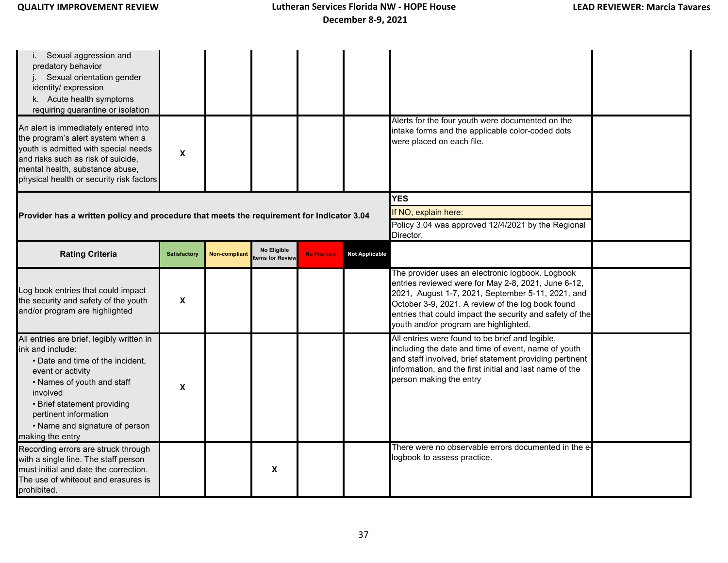| i. Sexual aggression and<br>predatory behavior<br>Sexual orientation gender<br>identity/ expression<br>k. Acute health symptoms<br>requiring quarantine or isolation                                                                                                           |                           |                      |                                |                    |                                                                                                       |                                                                                                                                                                                                                                                                                                                        |  |
|--------------------------------------------------------------------------------------------------------------------------------------------------------------------------------------------------------------------------------------------------------------------------------|---------------------------|----------------------|--------------------------------|--------------------|-------------------------------------------------------------------------------------------------------|------------------------------------------------------------------------------------------------------------------------------------------------------------------------------------------------------------------------------------------------------------------------------------------------------------------------|--|
| An alert is immediately entered into<br>the program's alert system when a<br>youth is admitted with special needs<br>and risks such as risk of suicide,<br>mental health, substance abuse,<br>physical health or security risk factors                                         | X                         |                      |                                |                    |                                                                                                       | Alerts for the four youth were documented on the<br>intake forms and the applicable color-coded dots<br>were placed on each file.                                                                                                                                                                                      |  |
| Provider has a written policy and procedure that meets the requirement for Indicator 3.04                                                                                                                                                                                      |                           |                      |                                |                    | <b>YES</b><br>If NO, explain here:<br>Policy 3.04 was approved 12/4/2021 by the Regional<br>Director. |                                                                                                                                                                                                                                                                                                                        |  |
| <b>Rating Criteria</b>                                                                                                                                                                                                                                                         | <b>Satisfactory</b>       | <b>Non-compliant</b> | No Eligible<br>tems for Review | <b>No Practice</b> | <b>Not Applicable</b>                                                                                 |                                                                                                                                                                                                                                                                                                                        |  |
| Log book entries that could impact<br>the security and safety of the youth<br>and/or program are highlighted                                                                                                                                                                   | X                         |                      |                                |                    |                                                                                                       | The provider uses an electronic logbook. Logbook<br>entries reviewed were for May 2-8, 2021, June 6-12,<br>2021, August 1-7, 2021, September 5-11, 2021, and<br>October 3-9, 2021. A review of the log book found<br>entries that could impact the security and safety of the<br>youth and/or program are highlighted. |  |
| All entries are brief, legibly written in<br>ink and include:<br>• Date and time of the incident,<br>event or activity<br>• Names of youth and staff<br>involved<br>• Brief statement providing<br>pertinent information<br>• Name and signature of person<br>making the entry | $\boldsymbol{\mathsf{x}}$ |                      |                                |                    |                                                                                                       | All entries were found to be brief and legible,<br>including the date and time of event, name of youth<br>and staff involved, brief statement providing pertinent<br>information, and the first initial and last name of the<br>person making the entry                                                                |  |
| Recording errors are struck through<br>with a single line. The staff person<br>must initial and date the correction.<br>The use of whiteout and erasures is<br>prohibited.                                                                                                     |                           |                      | X                              |                    |                                                                                                       | There were no observable errors documented in the e-<br>logbook to assess practice.                                                                                                                                                                                                                                    |  |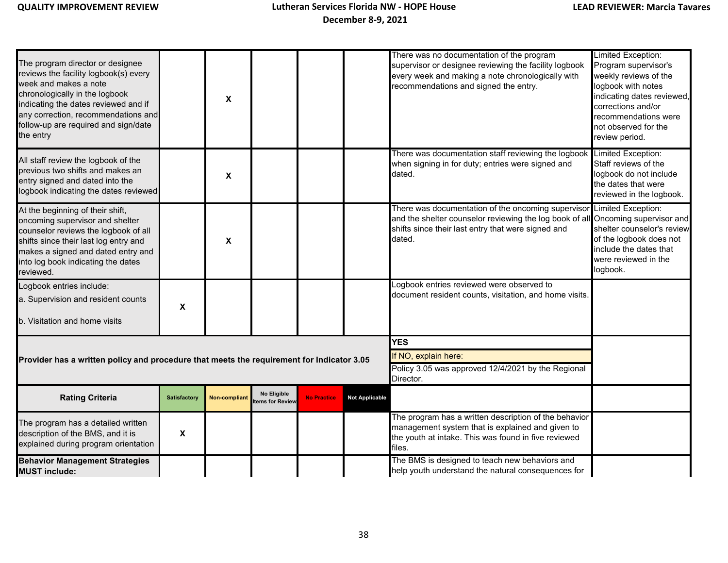| The program director or designee<br>reviews the facility logbook(s) every<br>week and makes a note<br>chronologically in the logbook<br>indicating the dates reviewed and if<br>any correction, recommendations and<br>follow-up are required and sign/date<br>the entry |                     | X                         |                                |                    |                       | There was no documentation of the program<br>supervisor or designee reviewing the facility logbook<br>every week and making a note chronologically with<br>recommendations and signed the entry.                         | Limited Exception:<br>Program supervisor's<br>weekly reviews of the<br>logbook with notes<br>indicating dates reviewed,<br>corrections and/or<br>recommendations were<br>not observed for the<br>review period. |
|--------------------------------------------------------------------------------------------------------------------------------------------------------------------------------------------------------------------------------------------------------------------------|---------------------|---------------------------|--------------------------------|--------------------|-----------------------|--------------------------------------------------------------------------------------------------------------------------------------------------------------------------------------------------------------------------|-----------------------------------------------------------------------------------------------------------------------------------------------------------------------------------------------------------------|
| All staff review the logbook of the<br>previous two shifts and makes an<br>entry signed and dated into the<br>logbook indicating the dates reviewed                                                                                                                      |                     | X                         |                                |                    |                       | There was documentation staff reviewing the logbook<br>when signing in for duty; entries were signed and<br>dated.                                                                                                       | Limited Exception:<br>Staff reviews of the<br>logbook do not include<br>the dates that were<br>reviewed in the logbook.                                                                                         |
| At the beginning of their shift,<br>oncoming supervisor and shelter<br>counselor reviews the logbook of all<br>shifts since their last log entry and<br>makes a signed and dated entry and<br>into log book indicating the dates<br>reviewed.                            |                     | $\boldsymbol{\mathsf{X}}$ |                                |                    |                       | There was documentation of the oncoming supervisor Limited Exception:<br>and the shelter counselor reviewing the log book of all Oncoming supervisor and<br>shifts since their last entry that were signed and<br>dated. | shelter counselor's review<br>of the logbook does not<br>include the dates that<br>were reviewed in the<br>logbook.                                                                                             |
| Logbook entries include:<br>a. Supervision and resident counts<br>b. Visitation and home visits                                                                                                                                                                          | $\pmb{\chi}$        |                           |                                |                    |                       | Logbook entries reviewed were observed to<br>document resident counts, visitation, and home visits.                                                                                                                      |                                                                                                                                                                                                                 |
|                                                                                                                                                                                                                                                                          |                     |                           |                                |                    |                       | <b>YES</b>                                                                                                                                                                                                               |                                                                                                                                                                                                                 |
| Provider has a written policy and procedure that meets the requirement for Indicator 3.05                                                                                                                                                                                |                     |                           |                                |                    |                       | If NO, explain here:<br>Policy 3.05 was approved 12/4/2021 by the Regional<br>Director.                                                                                                                                  |                                                                                                                                                                                                                 |
| <b>Rating Criteria</b>                                                                                                                                                                                                                                                   | <b>Satisfactory</b> | Non-compliant             | No Eligible<br>tems for Review | <b>No Practice</b> | <b>Not Applicable</b> |                                                                                                                                                                                                                          |                                                                                                                                                                                                                 |
| The program has a detailed written<br>description of the BMS, and it is<br>explained during program orientation                                                                                                                                                          | X                   |                           |                                |                    |                       | The program has a written description of the behavior<br>management system that is explained and given to<br>the youth at intake. This was found in five reviewed<br>files.                                              |                                                                                                                                                                                                                 |
| <b>Behavior Management Strategies</b><br><b>MUST include:</b>                                                                                                                                                                                                            |                     |                           |                                |                    |                       | The BMS is designed to teach new behaviors and<br>help youth understand the natural consequences for                                                                                                                     |                                                                                                                                                                                                                 |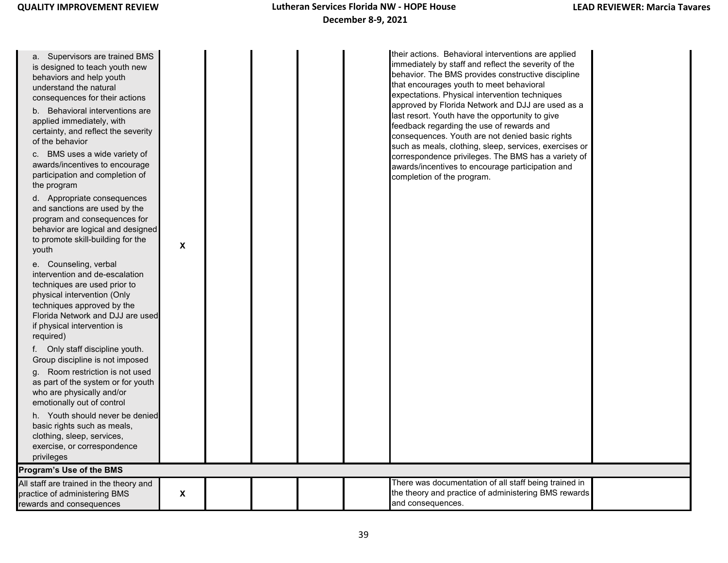| a. Supervisors are trained BMS<br>is designed to teach youth new<br>behaviors and help youth<br>understand the natural<br>consequences for their actions<br>b. Behavioral interventions are<br>applied immediately, with<br>certainty, and reflect the severity<br>of the behavior<br>c. BMS uses a wide variety of<br>awards/incentives to encourage<br>participation and completion of<br>the program |   |  |  | their actions. Behavioral interventions are applied<br>immediately by staff and reflect the severity of the<br>behavior. The BMS provides constructive discipline<br>that encourages youth to meet behavioral<br>expectations. Physical intervention techniques<br>approved by Florida Network and DJJ are used as a<br>last resort. Youth have the opportunity to give<br>feedback regarding the use of rewards and<br>consequences. Youth are not denied basic rights<br>such as meals, clothing, sleep, services, exercises or<br>correspondence privileges. The BMS has a variety of<br>awards/incentives to encourage participation and<br>completion of the program. |  |
|---------------------------------------------------------------------------------------------------------------------------------------------------------------------------------------------------------------------------------------------------------------------------------------------------------------------------------------------------------------------------------------------------------|---|--|--|----------------------------------------------------------------------------------------------------------------------------------------------------------------------------------------------------------------------------------------------------------------------------------------------------------------------------------------------------------------------------------------------------------------------------------------------------------------------------------------------------------------------------------------------------------------------------------------------------------------------------------------------------------------------------|--|
| d. Appropriate consequences<br>and sanctions are used by the<br>program and consequences for<br>behavior are logical and designed<br>to promote skill-building for the<br>youth                                                                                                                                                                                                                         | X |  |  |                                                                                                                                                                                                                                                                                                                                                                                                                                                                                                                                                                                                                                                                            |  |
| e. Counseling, verbal<br>intervention and de-escalation<br>techniques are used prior to<br>physical intervention (Only<br>techniques approved by the<br>Florida Network and DJJ are used<br>if physical intervention is<br>required)                                                                                                                                                                    |   |  |  |                                                                                                                                                                                                                                                                                                                                                                                                                                                                                                                                                                                                                                                                            |  |
| f. Only staff discipline youth.<br>Group discipline is not imposed<br>g. Room restriction is not used<br>as part of the system or for youth<br>who are physically and/or<br>emotionally out of control                                                                                                                                                                                                  |   |  |  |                                                                                                                                                                                                                                                                                                                                                                                                                                                                                                                                                                                                                                                                            |  |
| h. Youth should never be denied<br>basic rights such as meals,<br>clothing, sleep, services,<br>exercise, or correspondence<br>privileges                                                                                                                                                                                                                                                               |   |  |  |                                                                                                                                                                                                                                                                                                                                                                                                                                                                                                                                                                                                                                                                            |  |
| Program's Use of the BMS                                                                                                                                                                                                                                                                                                                                                                                |   |  |  |                                                                                                                                                                                                                                                                                                                                                                                                                                                                                                                                                                                                                                                                            |  |
| All staff are trained in the theory and<br>practice of administering BMS<br>rewards and consequences                                                                                                                                                                                                                                                                                                    | X |  |  | There was documentation of all staff being trained in<br>the theory and practice of administering BMS rewards<br>and consequences.                                                                                                                                                                                                                                                                                                                                                                                                                                                                                                                                         |  |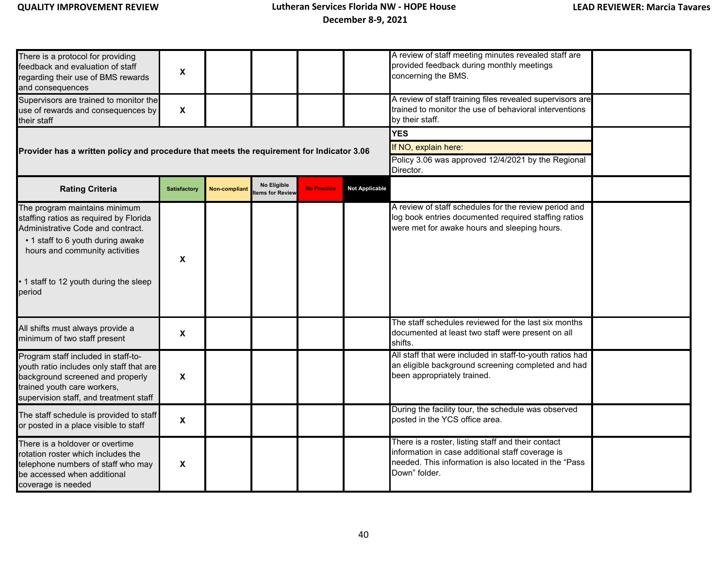| There is a protocol for providing<br>feedback and evaluation of staff<br>regarding their use of BMS rewards<br>and consequences                                                              | X                         |               |                                       |                    |                       | A review of staff meeting minutes revealed staff are<br>provided feedback during monthly meetings<br>concerning the BMS.                                                         |  |
|----------------------------------------------------------------------------------------------------------------------------------------------------------------------------------------------|---------------------------|---------------|---------------------------------------|--------------------|-----------------------|----------------------------------------------------------------------------------------------------------------------------------------------------------------------------------|--|
| Supervisors are trained to monitor the<br>use of rewards and consequences by<br>their staff                                                                                                  | $\boldsymbol{\mathsf{X}}$ |               |                                       |                    |                       | A review of staff training files revealed supervisors are<br>trained to monitor the use of behavioral interventions<br>by their staff.                                           |  |
|                                                                                                                                                                                              |                           |               |                                       |                    |                       | <b>YES</b>                                                                                                                                                                       |  |
| Provider has a written policy and procedure that meets the requirement for Indicator 3.06                                                                                                    |                           |               |                                       |                    |                       | If NO, explain here:                                                                                                                                                             |  |
|                                                                                                                                                                                              |                           |               |                                       |                    |                       | Policy 3.06 was approved 12/4/2021 by the Regional<br>Director.                                                                                                                  |  |
| <b>Rating Criteria</b>                                                                                                                                                                       | <b>Satisfactory</b>       | Non-compliant | <b>No Eligible</b><br>tems for Review | <b>No Practice</b> | <b>Not Applicable</b> |                                                                                                                                                                                  |  |
| The program maintains minimum<br>staffing ratios as required by Florida<br>Administrative Code and contract.<br>• 1 staff to 6 youth during awake<br>hours and community activities          | X                         |               |                                       |                    |                       | A review of staff schedules for the review period and<br>log book entries documented required staffing ratios<br>were met for awake hours and sleeping hours.                    |  |
| 1 staff to 12 youth during the sleep<br>period                                                                                                                                               |                           |               |                                       |                    |                       |                                                                                                                                                                                  |  |
| All shifts must always provide a<br>minimum of two staff present                                                                                                                             | X                         |               |                                       |                    |                       | The staff schedules reviewed for the last six months<br>documented at least two staff were present on all<br>shifts.                                                             |  |
| Program staff included in staff-to-<br>youth ratio includes only staff that are<br>background screened and properly<br>trained youth care workers,<br>supervision staff, and treatment staff | $\pmb{\chi}$              |               |                                       |                    |                       | All staff that were included in staff-to-youth ratios had<br>an eligible background screening completed and had<br>been appropriately trained.                                   |  |
| The staff schedule is provided to staff<br>or posted in a place visible to staff                                                                                                             | X                         |               |                                       |                    |                       | During the facility tour, the schedule was observed<br>posted in the YCS office area.                                                                                            |  |
| There is a holdover or overtime<br>rotation roster which includes the<br>telephone numbers of staff who may<br>be accessed when additional<br>coverage is needed                             | X                         |               |                                       |                    |                       | There is a roster, listing staff and their contact<br>information in case additional staff coverage is<br>needed. This information is also located in the "Pass<br>Down" folder. |  |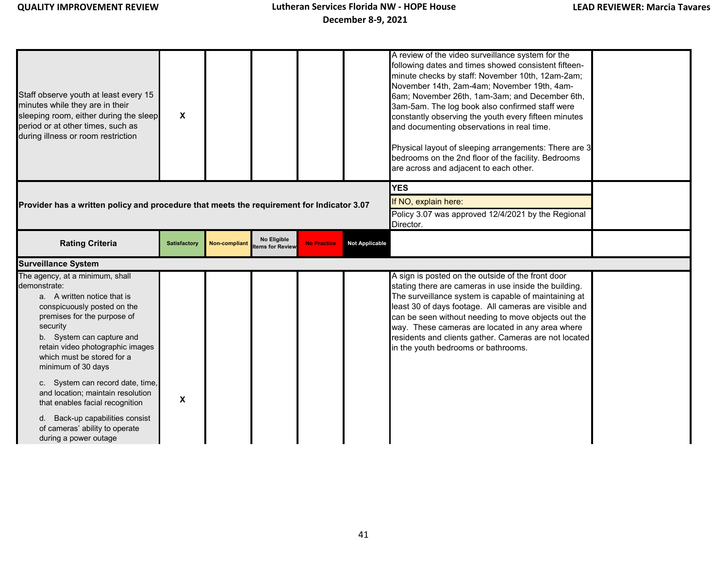| Staff observe youth at least every 15<br>minutes while they are in their<br>sleeping room, either during the sleep<br>period or at other times, such as<br>during illness or room restriction                                                                                 | X                   |                      |                                |                    |                       | A review of the video surveillance system for the<br>following dates and times showed consistent fifteen-<br>minute checks by staff: November 10th, 12am-2am;<br>November 14th, 2am-4am; November 19th, 4am-<br>6am; November 26th, 1am-3am; and December 6th,<br>3am-5am. The log book also confirmed staff were<br>constantly observing the youth every fifteen minutes<br>and documenting observations in real time.<br>Physical layout of sleeping arrangements: There are 3<br>bedrooms on the 2nd floor of the facility. Bedrooms<br>are across and adjacent to each other. |  |
|-------------------------------------------------------------------------------------------------------------------------------------------------------------------------------------------------------------------------------------------------------------------------------|---------------------|----------------------|--------------------------------|--------------------|-----------------------|-----------------------------------------------------------------------------------------------------------------------------------------------------------------------------------------------------------------------------------------------------------------------------------------------------------------------------------------------------------------------------------------------------------------------------------------------------------------------------------------------------------------------------------------------------------------------------------|--|
|                                                                                                                                                                                                                                                                               |                     |                      |                                |                    |                       | <b>YES</b>                                                                                                                                                                                                                                                                                                                                                                                                                                                                                                                                                                        |  |
| Provider has a written policy and procedure that meets the requirement for Indicator 3.07                                                                                                                                                                                     |                     |                      |                                |                    |                       | If NO, explain here:                                                                                                                                                                                                                                                                                                                                                                                                                                                                                                                                                              |  |
|                                                                                                                                                                                                                                                                               |                     |                      |                                |                    |                       | Policy 3.07 was approved 12/4/2021 by the Regional<br>Director.                                                                                                                                                                                                                                                                                                                                                                                                                                                                                                                   |  |
| <b>Rating Criteria</b>                                                                                                                                                                                                                                                        | <b>Satisfactory</b> | <b>Non-compliant</b> | No Eligible<br>tems for Review | <b>No Practice</b> | <b>Not Applicable</b> |                                                                                                                                                                                                                                                                                                                                                                                                                                                                                                                                                                                   |  |
| <b>Surveillance System</b>                                                                                                                                                                                                                                                    |                     |                      |                                |                    |                       |                                                                                                                                                                                                                                                                                                                                                                                                                                                                                                                                                                                   |  |
| The agency, at a minimum, shall<br>demonstrate:<br>a. A written notice that is<br>conspicuously posted on the<br>premises for the purpose of<br>security<br>b. System can capture and<br>retain video photographic images<br>which must be stored for a<br>minimum of 30 days |                     |                      |                                |                    |                       | A sign is posted on the outside of the front door<br>stating there are cameras in use inside the building.<br>The surveillance system is capable of maintaining at<br>least 30 of days footage. All cameras are visible and<br>can be seen without needing to move objects out the<br>way. These cameras are located in any area where<br>residents and clients gather. Cameras are not located<br>in the youth bedrooms or bathrooms.                                                                                                                                            |  |
| c. System can record date, time,<br>and location; maintain resolution<br>that enables facial recognition<br>d. Back-up capabilities consist<br>of cameras' ability to operate                                                                                                 | X                   |                      |                                |                    |                       |                                                                                                                                                                                                                                                                                                                                                                                                                                                                                                                                                                                   |  |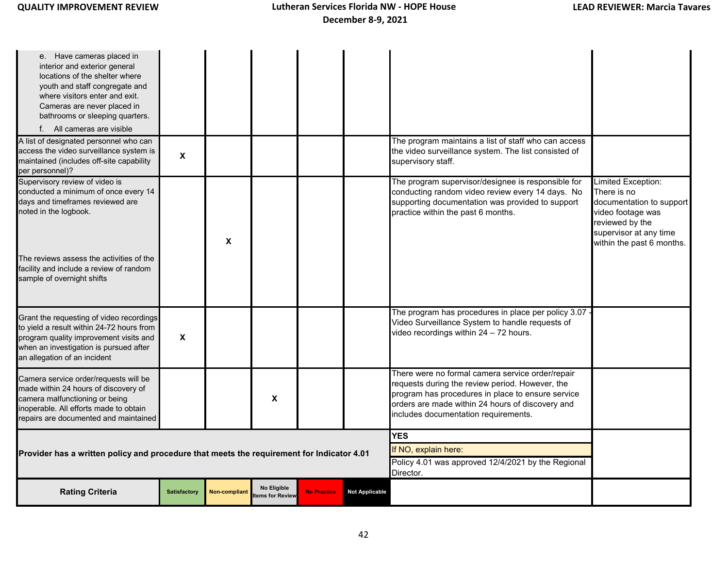| e. Have cameras placed in<br>interior and exterior general<br>locations of the shelter where<br>youth and staff congregate and<br>where visitors enter and exit.<br>Cameras are never placed in<br>bathrooms or sleeping quarters.<br>f. All cameras are visible |                           |                      |                                |                    |                                                                                                       |                                                                                                                                                                                                                                                      |                                                                                                                                                              |
|------------------------------------------------------------------------------------------------------------------------------------------------------------------------------------------------------------------------------------------------------------------|---------------------------|----------------------|--------------------------------|--------------------|-------------------------------------------------------------------------------------------------------|------------------------------------------------------------------------------------------------------------------------------------------------------------------------------------------------------------------------------------------------------|--------------------------------------------------------------------------------------------------------------------------------------------------------------|
| A list of designated personnel who can<br>access the video surveillance system is<br>maintained (includes off-site capability<br>per personnel)?                                                                                                                 | $\boldsymbol{\mathsf{x}}$ |                      |                                |                    |                                                                                                       | The program maintains a list of staff who can access<br>the video surveillance system. The list consisted of<br>supervisory staff.                                                                                                                   |                                                                                                                                                              |
| Supervisory review of video is<br>conducted a minimum of once every 14<br>days and timeframes reviewed are<br>noted in the logbook.<br>The reviews assess the activities of the<br>facility and include a review of random<br>sample of overnight shifts         |                           | X                    |                                |                    |                                                                                                       | The program supervisor/designee is responsible for<br>conducting random video review every 14 days. No<br>supporting documentation was provided to support<br>practice within the past 6 months.                                                     | Limited Exception:<br>There is no<br>documentation to support<br>video footage was<br>reviewed by the<br>supervisor at any time<br>within the past 6 months. |
| Grant the requesting of video recordings<br>to yield a result within 24-72 hours from<br>program quality improvement visits and<br>when an investigation is pursued after<br>an allegation of an incident                                                        | $\boldsymbol{\mathsf{x}}$ |                      |                                |                    |                                                                                                       | The program has procedures in place per policy 3.07 -<br>Video Surveillance System to handle requests of<br>video recordings within 24 - 72 hours.                                                                                                   |                                                                                                                                                              |
| Camera service order/requests will be<br>made within 24 hours of discovery of<br>camera malfunctioning or being<br>inoperable. All efforts made to obtain<br>repairs are documented and maintained                                                               |                           |                      | X                              |                    |                                                                                                       | There were no formal camera service order/repair<br>requests during the review period. However, the<br>program has procedures in place to ensure service<br>orders are made within 24 hours of discovery and<br>includes documentation requirements. |                                                                                                                                                              |
| Provider has a written policy and procedure that meets the requirement for Indicator 4.01                                                                                                                                                                        |                           |                      |                                |                    | <b>YES</b><br>If NO, explain here:<br>Policy 4.01 was approved 12/4/2021 by the Regional<br>Director. |                                                                                                                                                                                                                                                      |                                                                                                                                                              |
| <b>Rating Criteria</b>                                                                                                                                                                                                                                           | <b>Satisfactory</b>       | <b>Non-compliant</b> | No Eligible<br>tems for Review | <b>No Practice</b> | <b>Not Applicable</b>                                                                                 |                                                                                                                                                                                                                                                      |                                                                                                                                                              |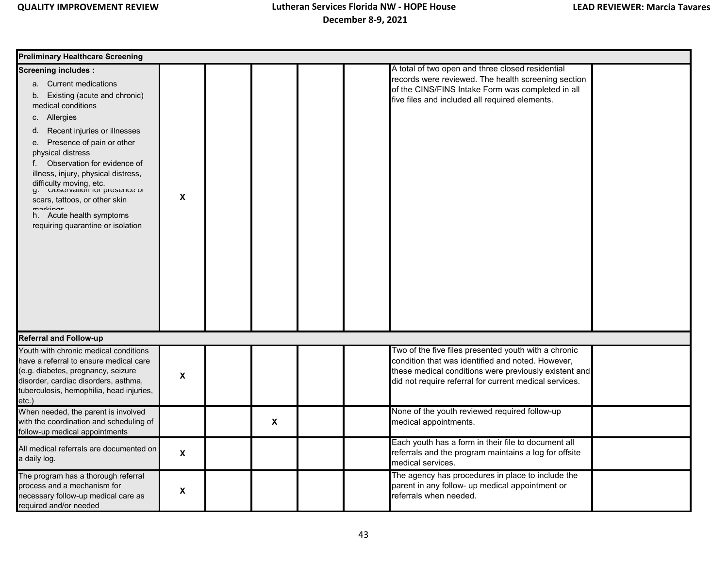| <b>Preliminary Healthcare Screening</b>                                                                                                                                                                                                                                                                                                                                                                                                                                         |   |  |              |  |  |                                                                                                                                                                                                                              |  |  |
|---------------------------------------------------------------------------------------------------------------------------------------------------------------------------------------------------------------------------------------------------------------------------------------------------------------------------------------------------------------------------------------------------------------------------------------------------------------------------------|---|--|--------------|--|--|------------------------------------------------------------------------------------------------------------------------------------------------------------------------------------------------------------------------------|--|--|
| <b>Screening includes:</b><br>a. Current medications<br>b. Existing (acute and chronic)<br>medical conditions<br>c. Allergies<br>Recent injuries or illnesses<br>d.<br>Presence of pain or other<br>e.<br>physical distress<br>f. Observation for evidence of<br>illness, injury, physical distress,<br>difficulty moving, etc.<br>g. Unservation for presence of<br>scars, tattoos, or other skin<br>markinge<br>h. Acute health symptoms<br>requiring quarantine or isolation | X |  |              |  |  | A total of two open and three closed residential<br>records were reviewed. The health screening section<br>of the CINS/FINS Intake Form was completed in all<br>five files and included all required elements.               |  |  |
| <b>Referral and Follow-up</b>                                                                                                                                                                                                                                                                                                                                                                                                                                                   |   |  |              |  |  |                                                                                                                                                                                                                              |  |  |
| Youth with chronic medical conditions<br>have a referral to ensure medical care<br>(e.g. diabetes, pregnancy, seizure<br>disorder, cardiac disorders, asthma,<br>tuberculosis, hemophilia, head injuries,<br>etc.)                                                                                                                                                                                                                                                              | X |  |              |  |  | Two of the five files presented youth with a chronic<br>condition that was identified and noted. However,<br>these medical conditions were previously existent and<br>did not require referral for current medical services. |  |  |
| When needed, the parent is involved<br>with the coordination and scheduling of<br>follow-up medical appointments                                                                                                                                                                                                                                                                                                                                                                |   |  | $\pmb{\chi}$ |  |  | None of the youth reviewed required follow-up<br>medical appointments.                                                                                                                                                       |  |  |
| All medical referrals are documented on<br>a daily log.                                                                                                                                                                                                                                                                                                                                                                                                                         | X |  |              |  |  | Each youth has a form in their file to document all<br>referrals and the program maintains a log for offsite<br>medical services.                                                                                            |  |  |
| The program has a thorough referral<br>process and a mechanism for<br>necessary follow-up medical care as<br>required and/or needed                                                                                                                                                                                                                                                                                                                                             | X |  |              |  |  | The agency has procedures in place to include the<br>parent in any follow- up medical appointment or<br>referrals when needed.                                                                                               |  |  |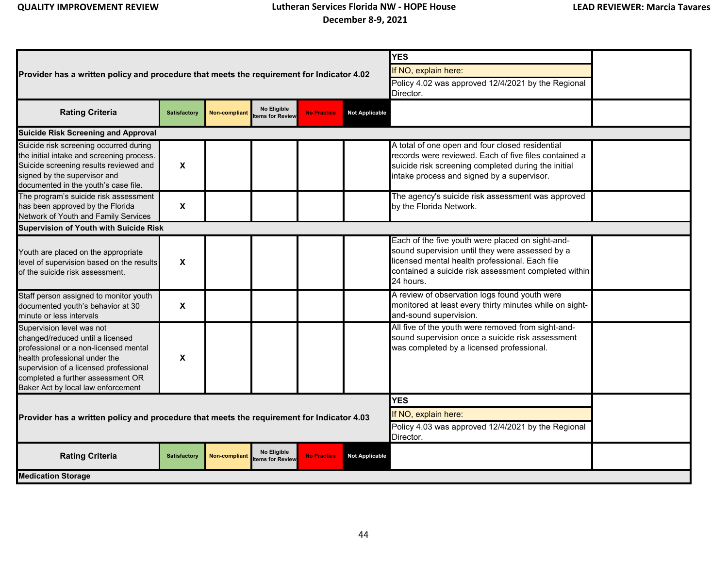|                                                                                                                                                                                                                                                              |                           |                      |                                |                    |                                                                                         | <b>YES</b>                                                                                                                                                                                                                 |  |  |  |  |
|--------------------------------------------------------------------------------------------------------------------------------------------------------------------------------------------------------------------------------------------------------------|---------------------------|----------------------|--------------------------------|--------------------|-----------------------------------------------------------------------------------------|----------------------------------------------------------------------------------------------------------------------------------------------------------------------------------------------------------------------------|--|--|--|--|
| Provider has a written policy and procedure that meets the requirement for Indicator 4.02                                                                                                                                                                    |                           |                      |                                |                    |                                                                                         | If NO, explain here:                                                                                                                                                                                                       |  |  |  |  |
|                                                                                                                                                                                                                                                              |                           |                      |                                |                    |                                                                                         | Policy 4.02 was approved 12/4/2021 by the Regional                                                                                                                                                                         |  |  |  |  |
|                                                                                                                                                                                                                                                              |                           |                      |                                |                    | Director.                                                                               |                                                                                                                                                                                                                            |  |  |  |  |
| <b>Rating Criteria</b>                                                                                                                                                                                                                                       | Satisfactory              | <b>Non-compliant</b> | No Eligible<br>ems for Review  | <b>No Practice</b> | <b>Not Applicable</b>                                                                   |                                                                                                                                                                                                                            |  |  |  |  |
| <b>Suicide Risk Screening and Approval</b>                                                                                                                                                                                                                   |                           |                      |                                |                    |                                                                                         |                                                                                                                                                                                                                            |  |  |  |  |
| Suicide risk screening occurred during<br>the initial intake and screening process.<br>Suicide screening results reviewed and<br>signed by the supervisor and<br>documented in the youth's case file.                                                        | $\boldsymbol{\mathsf{x}}$ |                      |                                |                    |                                                                                         | A total of one open and four closed residential<br>records were reviewed. Each of five files contained a<br>suicide risk screening completed during the initial<br>intake process and signed by a supervisor.              |  |  |  |  |
| The program's suicide risk assessment<br>has been approved by the Florida<br>Network of Youth and Family Services                                                                                                                                            | $\boldsymbol{\mathsf{x}}$ |                      |                                |                    |                                                                                         | The agency's suicide risk assessment was approved<br>by the Florida Network.                                                                                                                                               |  |  |  |  |
| <b>Supervision of Youth with Suicide Risk</b>                                                                                                                                                                                                                |                           |                      |                                |                    |                                                                                         |                                                                                                                                                                                                                            |  |  |  |  |
| Youth are placed on the appropriate<br>level of supervision based on the results<br>of the suicide risk assessment.                                                                                                                                          | $\pmb{\mathsf{x}}$        |                      |                                |                    |                                                                                         | Each of the five youth were placed on sight-and-<br>sound supervision until they were assessed by a<br>licensed mental health professional. Each file<br>contained a suicide risk assessment completed within<br>24 hours. |  |  |  |  |
| Staff person assigned to monitor youth<br>documented youth's behavior at 30<br>minute or less intervals                                                                                                                                                      | X                         |                      |                                |                    |                                                                                         | A review of observation logs found youth were<br>monitored at least every thirty minutes while on sight-<br>and-sound supervision.                                                                                         |  |  |  |  |
| Supervision level was not<br>changed/reduced until a licensed<br>professional or a non-licensed mental<br>health professional under the<br>supervision of a licensed professional<br>completed a further assessment OR<br>Baker Act by local law enforcement | X                         |                      |                                |                    |                                                                                         | All five of the youth were removed from sight-and-<br>sound supervision once a suicide risk assessment<br>was completed by a licensed professional.                                                                        |  |  |  |  |
|                                                                                                                                                                                                                                                              |                           |                      |                                |                    |                                                                                         | <b>YES</b>                                                                                                                                                                                                                 |  |  |  |  |
| Provider has a written policy and procedure that meets the requirement for Indicator 4.03                                                                                                                                                                    |                           |                      |                                |                    | If NO, explain here:<br>Policy 4.03 was approved 12/4/2021 by the Regional<br>Director. |                                                                                                                                                                                                                            |  |  |  |  |
| <b>Rating Criteria</b>                                                                                                                                                                                                                                       | Satisfactory              | <b>Non-compliant</b> | No Eligible<br>tems for Review | <b>No Practice</b> | <b>Not Applicable</b>                                                                   |                                                                                                                                                                                                                            |  |  |  |  |
| <b>Medication Storage</b>                                                                                                                                                                                                                                    |                           |                      |                                |                    |                                                                                         |                                                                                                                                                                                                                            |  |  |  |  |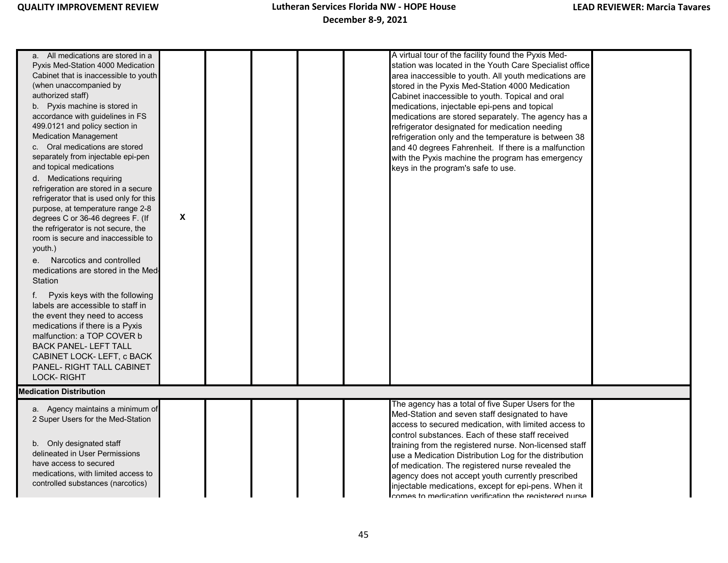| a. All medications are stored in a<br>Pyxis Med-Station 4000 Medication<br>Cabinet that is inaccessible to youth<br>(when unaccompanied by<br>authorized staff)<br>b. Pyxis machine is stored in<br>accordance with guidelines in FS<br>499.0121 and policy section in<br><b>Medication Management</b><br>c. Oral medications are stored<br>separately from injectable epi-pen<br>and topical medications<br>d. Medications requiring<br>refrigeration are stored in a secure<br>refrigerator that is used only for this<br>purpose, at temperature range 2-8<br>degrees C or 36-46 degrees F. (If<br>the refrigerator is not secure, the<br>room is secure and inaccessible to<br>youth.)<br>e. Narcotics and controlled<br>medications are stored in the Med<br>Station<br>f. Pyxis keys with the following<br>labels are accessible to staff in<br>the event they need to access<br>medications if there is a Pyxis<br>malfunction: a TOP COVER b<br><b>BACK PANEL-LEFT TALL</b><br>CABINET LOCK-LEFT, c BACK<br>PANEL- RIGHT TALL CABINET<br><b>LOCK-RIGHT</b> | X |  | A virtual tour of the facility found the Pyxis Med-<br>station was located in the Youth Care Specialist office<br>area inaccessible to youth. All youth medications are<br>stored in the Pyxis Med-Station 4000 Medication<br>Cabinet inaccessible to youth. Topical and oral<br>medications, injectable epi-pens and topical<br>medications are stored separately. The agency has a<br>refrigerator designated for medication needing<br>refrigeration only and the temperature is between 38<br>and 40 degrees Fahrenheit. If there is a malfunction<br>with the Pyxis machine the program has emergency<br>keys in the program's safe to use. |  |
|--------------------------------------------------------------------------------------------------------------------------------------------------------------------------------------------------------------------------------------------------------------------------------------------------------------------------------------------------------------------------------------------------------------------------------------------------------------------------------------------------------------------------------------------------------------------------------------------------------------------------------------------------------------------------------------------------------------------------------------------------------------------------------------------------------------------------------------------------------------------------------------------------------------------------------------------------------------------------------------------------------------------------------------------------------------------|---|--|--------------------------------------------------------------------------------------------------------------------------------------------------------------------------------------------------------------------------------------------------------------------------------------------------------------------------------------------------------------------------------------------------------------------------------------------------------------------------------------------------------------------------------------------------------------------------------------------------------------------------------------------------|--|
| <b>Medication Distribution</b>                                                                                                                                                                                                                                                                                                                                                                                                                                                                                                                                                                                                                                                                                                                                                                                                                                                                                                                                                                                                                                     |   |  |                                                                                                                                                                                                                                                                                                                                                                                                                                                                                                                                                                                                                                                  |  |
|                                                                                                                                                                                                                                                                                                                                                                                                                                                                                                                                                                                                                                                                                                                                                                                                                                                                                                                                                                                                                                                                    |   |  | The agency has a total of five Super Users for the                                                                                                                                                                                                                                                                                                                                                                                                                                                                                                                                                                                               |  |
| a. Agency maintains a minimum of<br>2 Super Users for the Med-Station                                                                                                                                                                                                                                                                                                                                                                                                                                                                                                                                                                                                                                                                                                                                                                                                                                                                                                                                                                                              |   |  | Med-Station and seven staff designated to have<br>access to secured medication, with limited access to<br>control substances. Each of these staff received                                                                                                                                                                                                                                                                                                                                                                                                                                                                                       |  |
| b. Only designated staff<br>delineated in User Permissions<br>have access to secured<br>medications, with limited access to<br>controlled substances (narcotics)                                                                                                                                                                                                                                                                                                                                                                                                                                                                                                                                                                                                                                                                                                                                                                                                                                                                                                   |   |  | training from the registered nurse. Non-licensed staff<br>use a Medication Distribution Log for the distribution<br>of medication. The registered nurse revealed the<br>agency does not accept youth currently prescribed<br>injectable medications, except for epi-pens. When it                                                                                                                                                                                                                                                                                                                                                                |  |
|                                                                                                                                                                                                                                                                                                                                                                                                                                                                                                                                                                                                                                                                                                                                                                                                                                                                                                                                                                                                                                                                    |   |  | comes to medication verification the registered nurse                                                                                                                                                                                                                                                                                                                                                                                                                                                                                                                                                                                            |  |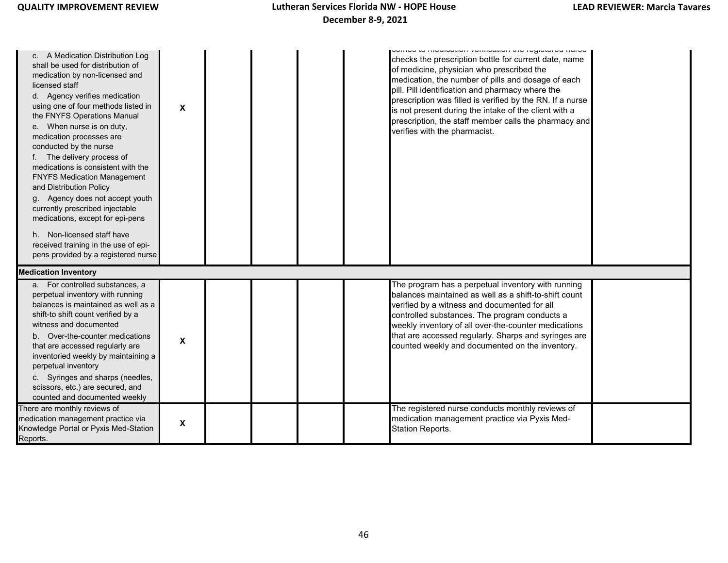| A Medication Distribution Log<br>C.<br>shall be used for distribution of<br>medication by non-licensed and<br>licensed staff<br>d. Agency verifies medication<br>using one of four methods listed in<br>the FNYFS Operations Manual<br>e. When nurse is on duty,<br>medication processes are<br>conducted by the nurse<br>f. The delivery process of<br>medications is consistent with the<br><b>FNYFS Medication Management</b><br>and Distribution Policy<br>g. Agency does not accept youth<br>currently prescribed injectable<br>medications, except for epi-pens<br>h. Non-licensed staff have<br>received training in the use of epi-<br>pens provided by a registered nurse | X            |  | סטוווטס גט וווטעוטעווטור ווטווווטעווטור נווט רטאָוסנטרטע ווערסט<br>checks the prescription bottle for current date, name<br>of medicine, physician who prescribed the<br>medication, the number of pills and dosage of each<br>pill. Pill identification and pharmacy where the<br>prescription was filled is verified by the RN. If a nurse<br>is not present during the intake of the client with a<br>prescription, the staff member calls the pharmacy and<br>verifies with the pharmacist. |
|------------------------------------------------------------------------------------------------------------------------------------------------------------------------------------------------------------------------------------------------------------------------------------------------------------------------------------------------------------------------------------------------------------------------------------------------------------------------------------------------------------------------------------------------------------------------------------------------------------------------------------------------------------------------------------|--------------|--|-------------------------------------------------------------------------------------------------------------------------------------------------------------------------------------------------------------------------------------------------------------------------------------------------------------------------------------------------------------------------------------------------------------------------------------------------------------------------------------------------|
|                                                                                                                                                                                                                                                                                                                                                                                                                                                                                                                                                                                                                                                                                    |              |  |                                                                                                                                                                                                                                                                                                                                                                                                                                                                                                 |
| <b>Medication Inventory</b>                                                                                                                                                                                                                                                                                                                                                                                                                                                                                                                                                                                                                                                        |              |  |                                                                                                                                                                                                                                                                                                                                                                                                                                                                                                 |
| a. For controlled substances, a<br>perpetual inventory with running<br>balances is maintained as well as a<br>shift-to shift count verified by a<br>witness and documented<br>b. Over-the-counter medications<br>that are accessed regularly are<br>inventoried weekly by maintaining a<br>perpetual inventory<br>c. Syringes and sharps (needles,<br>scissors, etc.) are secured, and<br>counted and documented weekly                                                                                                                                                                                                                                                            | X            |  | The program has a perpetual inventory with running<br>balances maintained as well as a shift-to-shift count<br>verified by a witness and documented for all<br>controlled substances. The program conducts a<br>weekly inventory of all over-the-counter medications<br>that are accessed regularly. Sharps and syringes are<br>counted weekly and documented on the inventory.                                                                                                                 |
| There are monthly reviews of<br>medication management practice via<br>Knowledge Portal or Pyxis Med-Station<br>Reports.                                                                                                                                                                                                                                                                                                                                                                                                                                                                                                                                                            | $\mathsf{x}$ |  | The registered nurse conducts monthly reviews of<br>medication management practice via Pyxis Med-<br><b>Station Reports.</b>                                                                                                                                                                                                                                                                                                                                                                    |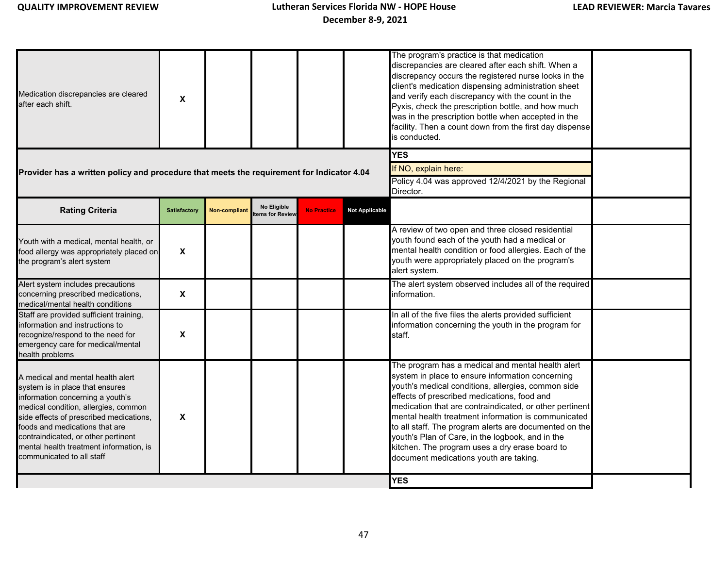| Medication discrepancies are cleared<br>after each shift.                                                                                                                                                                                                                                                                                    | X                         |               |                                        |                                                                 |                       | The program's practice is that medication<br>discrepancies are cleared after each shift. When a<br>discrepancy occurs the registered nurse looks in the<br>client's medication dispensing administration sheet<br>and verify each discrepancy with the count in the<br>Pyxis, check the prescription bottle, and how much<br>was in the prescription bottle when accepted in the<br>facility. Then a count down from the first day dispense<br>is conducted.                                                                           |  |
|----------------------------------------------------------------------------------------------------------------------------------------------------------------------------------------------------------------------------------------------------------------------------------------------------------------------------------------------|---------------------------|---------------|----------------------------------------|-----------------------------------------------------------------|-----------------------|----------------------------------------------------------------------------------------------------------------------------------------------------------------------------------------------------------------------------------------------------------------------------------------------------------------------------------------------------------------------------------------------------------------------------------------------------------------------------------------------------------------------------------------|--|
|                                                                                                                                                                                                                                                                                                                                              |                           |               |                                        |                                                                 |                       | <b>YES</b>                                                                                                                                                                                                                                                                                                                                                                                                                                                                                                                             |  |
| Provider has a written policy and procedure that meets the requirement for Indicator 4.04                                                                                                                                                                                                                                                    |                           |               |                                        |                                                                 | If NO, explain here:  |                                                                                                                                                                                                                                                                                                                                                                                                                                                                                                                                        |  |
|                                                                                                                                                                                                                                                                                                                                              |                           |               |                                        | Policy 4.04 was approved 12/4/2021 by the Regional<br>Director. |                       |                                                                                                                                                                                                                                                                                                                                                                                                                                                                                                                                        |  |
| <b>Rating Criteria</b>                                                                                                                                                                                                                                                                                                                       | <b>Satisfactory</b>       | Non-compliant | No Eligible<br><b>Items for Review</b> | <b>No Practice</b>                                              | <b>Not Applicable</b> |                                                                                                                                                                                                                                                                                                                                                                                                                                                                                                                                        |  |
| Youth with a medical, mental health, or<br>food allergy was appropriately placed on<br>the program's alert system                                                                                                                                                                                                                            | $\boldsymbol{\mathsf{X}}$ |               |                                        |                                                                 |                       | A review of two open and three closed residential<br>youth found each of the youth had a medical or<br>mental health condition or food allergies. Each of the<br>youth were appropriately placed on the program's<br>alert system.                                                                                                                                                                                                                                                                                                     |  |
| Alert system includes precautions<br>concerning prescribed medications,<br>medical/mental health conditions                                                                                                                                                                                                                                  | X                         |               |                                        |                                                                 |                       | The alert system observed includes all of the required<br>information.                                                                                                                                                                                                                                                                                                                                                                                                                                                                 |  |
| Staff are provided sufficient training,<br>information and instructions to<br>recognize/respond to the need for<br>emergency care for medical/mental<br>health problems                                                                                                                                                                      | X                         |               |                                        |                                                                 |                       | In all of the five files the alerts provided sufficient<br>information concerning the youth in the program for<br>staff.                                                                                                                                                                                                                                                                                                                                                                                                               |  |
| A medical and mental health alert<br>system is in place that ensures<br>information concerning a youth's<br>medical condition, allergies, common<br>side effects of prescribed medications,<br>foods and medications that are<br>contraindicated, or other pertinent<br>mental health treatment information, is<br>communicated to all staff | X                         |               |                                        |                                                                 |                       | The program has a medical and mental health alert<br>system in place to ensure information concerning<br>youth's medical conditions, allergies, common side<br>effects of prescribed medications, food and<br>medication that are contraindicated, or other pertinent<br>mental health treatment information is communicated<br>to all staff. The program alerts are documented on the<br>youth's Plan of Care, in the logbook, and in the<br>kitchen. The program uses a dry erase board to<br>document medications youth are taking. |  |
|                                                                                                                                                                                                                                                                                                                                              |                           |               |                                        |                                                                 |                       | <b>YES</b>                                                                                                                                                                                                                                                                                                                                                                                                                                                                                                                             |  |